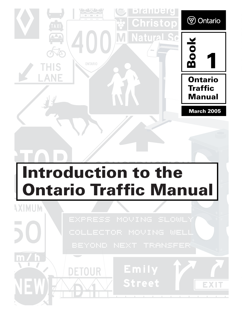

# Introduction to the Ontario Traffic Manual

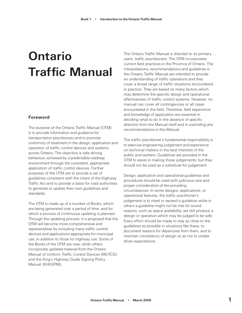## **Ontario Traffic Manual**

### **Foreword**

The purpose of the Ontario Traffic Manual (OTM) is to provide information and guidance for transportation practitioners and to promote uniformity of treatment in the design, application and operation of traffic control devices and systems across Ontario. The objective is safe driving behaviour, achieved by a predictable roadway environment through the consistent, appropriate application of traffic control devices. Further purposes of the OTM are to provide a set of guidelines consistent with the intent of the Highway Traffic Act and to provide a basis for road authorities to generate or update their own guidelines and standards.

The OTM is made up of a number of Books, which are being generated over a period of time, and for which a process of continuous updating is planned. Through the updating process, it is proposed that the OTM will become more comprehensive and representative by including many traffic control devices and applications appropriate for municipal use, in addition to those for highway use. Some of the Books of the OTM are new, while others incorporate updated material from the Ontario Manual of Uniform Traffic Control Devices (MUTCD) and the King's Highway Guide Signing Policy Manual (KHGSPM).

The Ontario Traffic Manual is directed to its primary users, traffic practitioners. The OTM incorporates current best practices in the Province of Ontario. The interpretations, recommendations and guidelines in the Ontario Traffic Manual are intended to provide an understanding of traffic operations and they cover a broad range of traffic situations encountered in practice. They are based on many factors which may determine the specific design and operational effectiveness of traffic control systems. However, no manual can cover all contingencies or all cases encountered in the field. Therefore, field experience and knowledge of application are essential in deciding what to do in the absence of specific direction from the Manual itself and in overriding any recommendations in this Manual.

The traffic practitioner's fundamental responsibility is to exercise engineering judgement and experience on technical matters in the best interests of the public and workers. Guidelines are provided in the OTM to assist in making those judgements, but they should not be used as a substitute for judgement.

Design, application and operational guidelines and procedures should be used with judicious care and proper consideration of the prevailing circumstances. In some designs, applications, or operational features, the traffic practitioner's judgement is to meet or exceed a guideline while in others a guideline might not be met for sound reasons, such as space availability, yet still produce a design or operation which may be judged to be safe. Every effort should be made to stay as close to the guidelines as possible in situations like these, to document reasons for departures from them, and to maintain consistency of design so as not to violate driver expectations.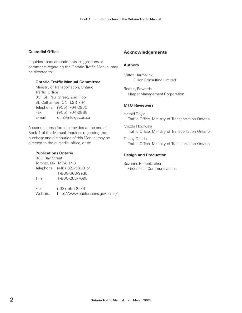#### **Custodial Office**

Inquiries about amendments, suggestions or comments regarding the Ontario Traffic Manual may be directed to:

#### **Ontario Traffic Manual Committee**

Ministry of Transportation, Ontario Traffic Office 301 St. Paul Street, 2nd Floor St. Catharines, ON L2R 7R4 Telephone: (905) 704-2960 Fax: (905) 704-2888 E-mail: otm@mto.gov.on.ca

A user response form is provided at the end of Book 1 of this Manual. Inquiries regarding the purchase and distribution of this Manual may be directed to the custodial office, or to:

#### **Publications Ontario**

880 Bay Street Toronto, ON M7A 1N8 Telephone: (416) 326-5300 or 1-800-668-9938 TTY: 1-800-268-7095

Fax: (613) 566-2234 Website: http://www.publications.gov.on.ca/

### **Acknowledgements**

### **Authors**

Milton Harmelink, Dillon Consulting Limited

Rodney Edwards Harpar Management Corporation

#### **MTO Reviewers**

Harold Doyle Traffic Office, Ministry of Transportation Ontario

Mazda Hodiwala Traffic Office, Ministry of Transportation Ontario

Tracey Difede Traffic Office, Ministry of Transportation Ontario

#### **Design and Production**

Suzanne Rodenkirchen, Green Leaf Communications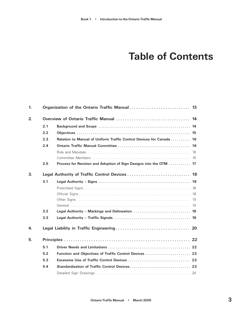## **Table of Contents**

| $\mathbf{1}$ . |     |                                                                      |    |
|----------------|-----|----------------------------------------------------------------------|----|
| 2.             |     |                                                                      |    |
|                | 2.1 |                                                                      |    |
|                | 2.2 |                                                                      |    |
|                | 2.3 | Relation to Manual of Uniform Traffic Control Devices for Canada  16 |    |
|                | 2.4 |                                                                      |    |
|                |     |                                                                      |    |
|                |     |                                                                      |    |
|                | 2.5 | Process for Revision and Adoption of Sign Designs into the OTM  17   |    |
| 3.             |     |                                                                      |    |
|                | 3.1 |                                                                      |    |
|                |     |                                                                      |    |
|                |     |                                                                      | 18 |
|                |     |                                                                      |    |
|                |     |                                                                      |    |
|                | 3.2 |                                                                      |    |
|                | 3.3 |                                                                      |    |
| 4.             |     |                                                                      |    |
| 5.             |     |                                                                      |    |
|                | 5.1 |                                                                      |    |
|                | 5.2 | Function and Objectives of Traffic Control Devices  23               |    |
|                | 5.3 |                                                                      |    |
|                | 5.4 |                                                                      |    |
|                |     |                                                                      |    |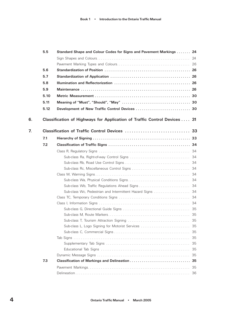|    | 5.5  | Standard Shape and Colour Codes for Signs and Pavement Markings 24        |    |
|----|------|---------------------------------------------------------------------------|----|
|    |      |                                                                           |    |
|    |      |                                                                           |    |
|    | 5.6  |                                                                           |    |
|    | 5.7  |                                                                           |    |
|    | 5.8  |                                                                           |    |
|    | 5.9  |                                                                           |    |
|    | 5.10 |                                                                           |    |
|    | 5.11 |                                                                           |    |
|    | 5.12 |                                                                           |    |
| 6. |      | Classification of Highways for Application of Traffic Control Devices  31 |    |
| 7. |      |                                                                           |    |
|    | 7.1  |                                                                           |    |
|    | 7.2  |                                                                           |    |
|    |      |                                                                           |    |
|    |      |                                                                           |    |
|    |      |                                                                           |    |
|    |      |                                                                           |    |
|    |      |                                                                           |    |
|    |      |                                                                           |    |
|    |      | Sub-class Wb, Traffic Regulations Ahead Signs  34                         |    |
|    |      | Sub-class Wc, Pedestrian and Intermittent Hazard Signs  34                |    |
|    |      |                                                                           |    |
|    |      |                                                                           |    |
|    |      |                                                                           |    |
|    |      |                                                                           |    |
|    |      |                                                                           |    |
|    |      |                                                                           |    |
|    |      |                                                                           | 35 |
|    |      |                                                                           | 35 |
|    |      |                                                                           | 35 |
|    |      |                                                                           | 35 |
|    |      |                                                                           | 35 |
|    | 7.3  | <b>Classification of Markings and Delineation </b>                        | 35 |
|    |      |                                                                           | 35 |
|    |      |                                                                           | 36 |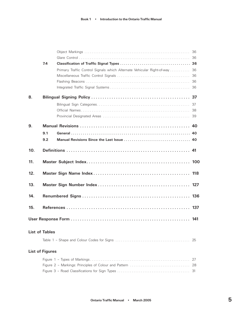|                       |                        |                                                                            | 36  |
|-----------------------|------------------------|----------------------------------------------------------------------------|-----|
|                       |                        |                                                                            |     |
|                       | 7.4                    |                                                                            |     |
|                       |                        | Primary Traffic Control Signals which Alternate Vehicular Right-of-way  36 |     |
|                       |                        |                                                                            | 36  |
|                       |                        |                                                                            |     |
|                       |                        |                                                                            |     |
| 8.                    |                        |                                                                            |     |
|                       |                        |                                                                            |     |
|                       |                        |                                                                            |     |
|                       |                        |                                                                            |     |
| 9.                    |                        |                                                                            |     |
|                       | 9.1                    |                                                                            |     |
|                       | 9.2                    |                                                                            |     |
|                       |                        |                                                                            |     |
| 10.                   |                        |                                                                            | 41  |
| 11.                   |                        |                                                                            |     |
| 12.                   |                        |                                                                            | 118 |
| 13.                   |                        |                                                                            | 127 |
| 14.                   |                        |                                                                            | 136 |
| 15.                   |                        |                                                                            | 137 |
|                       |                        |                                                                            | 141 |
| <b>List of Tables</b> |                        |                                                                            |     |
|                       |                        |                                                                            | 25  |
|                       | <b>List of Figures</b> |                                                                            |     |
|                       |                        |                                                                            | 27  |
|                       |                        |                                                                            | 28  |
|                       |                        |                                                                            | 31  |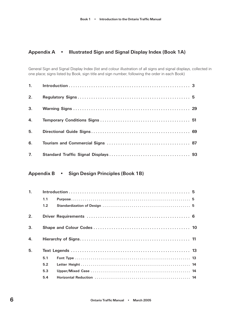### **Appendix A • Illustrated Sign and Signal Display Index (Book 1A)**

General Sign and Signal Display Index (list and colour illustration of all signs and signal displays, collected in one place; signs listed by Book, sign title and sign number, following the order in each Book)

### **Appendix B • Sign Design Principles (Book 1B)**

| 1 <sub>1</sub> |     |  |
|----------------|-----|--|
|                | 1.1 |  |
|                | 1.2 |  |
| 2.             |     |  |
| 3.             |     |  |
| 4.             |     |  |
| 5.             |     |  |
|                | 5.1 |  |
|                | 5.2 |  |
|                | 5.3 |  |
|                | 5.4 |  |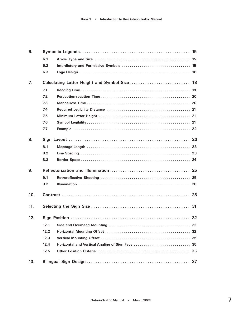| 6.           |      |    |
|--------------|------|----|
|              | 6.1  |    |
|              | 6.2  |    |
|              | 6.3  |    |
| $\mathbf{7}$ |      |    |
|              | 7.1  |    |
|              | 7.2  |    |
|              | 7.3  |    |
|              | 7.4  |    |
|              | 7.5  |    |
|              | 7.6  |    |
|              | 7.7  |    |
| 8.           |      |    |
|              | 8.1  |    |
|              | 8.2  |    |
|              | 8.3  |    |
| 9.           |      |    |
|              | 9.1  |    |
|              | 9.2  |    |
| 10.          |      |    |
| 11.          |      | 31 |
| 12.          |      |    |
|              | 12.1 |    |
|              | 12.2 |    |
|              | 12.3 |    |
|              | 12.4 |    |
|              | 12.5 |    |
| 13.          |      |    |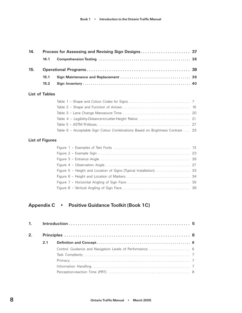| 14. |      |  |  |
|-----|------|--|--|
|     | 14.1 |  |  |
| 15. |      |  |  |
|     | 15.1 |  |  |
|     | 15.2 |  |  |

### **List of Tables**

| Table 6 - Acceptable Sign Colour Combinations Based on Brightness Contrast 29 |  |
|-------------------------------------------------------------------------------|--|

### **List of Figures**

### **Appendix C • Positive Guidance Toolkit (Book 1C)**

| 2.  |  |
|-----|--|
| 2.1 |  |
|     |  |
|     |  |
|     |  |
|     |  |
|     |  |
|     |  |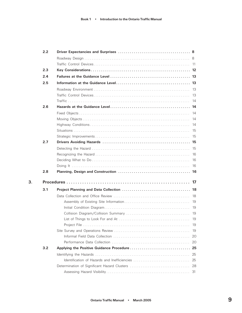|    | 2.2 |                                              |     |
|----|-----|----------------------------------------------|-----|
|    |     |                                              |     |
|    |     |                                              |     |
|    | 2.3 |                                              |     |
|    | 2.4 |                                              |     |
|    | 2.5 |                                              |     |
|    |     |                                              |     |
|    |     |                                              |     |
|    |     |                                              |     |
|    | 2.6 |                                              |     |
|    |     |                                              |     |
|    |     |                                              |     |
|    |     |                                              | 14  |
|    |     |                                              |     |
|    |     |                                              |     |
|    | 2.7 |                                              |     |
|    |     |                                              |     |
|    |     |                                              |     |
|    |     |                                              | 16  |
|    |     |                                              |     |
|    | 2.8 |                                              |     |
| 3. |     |                                              |     |
|    |     |                                              |     |
|    | 3.1 |                                              |     |
|    |     |                                              |     |
|    |     |                                              |     |
|    |     |                                              |     |
|    |     |                                              |     |
|    |     |                                              |     |
|    |     |                                              |     |
|    |     |                                              | -20 |
|    |     |                                              |     |
|    | 3.2 |                                              | 25  |
|    |     |                                              | 25  |
|    |     | Identification of Hazards and Inefficiencies | 25  |
|    |     |                                              |     |
|    |     |                                              | 31  |
|    |     |                                              |     |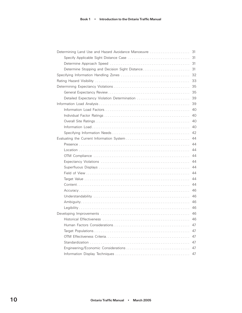| Determining Land Use and Hazard Avoidance Manoeuvre | 31 |
|-----------------------------------------------------|----|
|                                                     |    |
|                                                     | 31 |
| Determine Stopping and Decision Sight Distance      | 31 |
|                                                     | 32 |
|                                                     | 33 |
|                                                     |    |
|                                                     |    |
|                                                     |    |
|                                                     |    |
|                                                     | 40 |
|                                                     | 40 |
|                                                     | 40 |
|                                                     | 40 |
|                                                     | 42 |
|                                                     | 44 |
|                                                     | 44 |
|                                                     |    |
|                                                     |    |
|                                                     |    |
|                                                     | 44 |
|                                                     | 44 |
|                                                     | 44 |
|                                                     | 44 |
|                                                     | 46 |
|                                                     | 46 |
|                                                     | 46 |
|                                                     | 46 |
|                                                     | 46 |
|                                                     | 46 |
|                                                     | 47 |
|                                                     | 47 |
|                                                     |    |
|                                                     | 47 |
|                                                     |    |
|                                                     | 47 |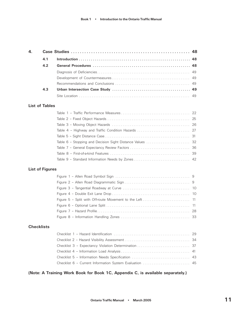| 4. |     |  |
|----|-----|--|
|    | 4.1 |  |
|    | 4.2 |  |
|    |     |  |
|    |     |  |
|    |     |  |
|    | 4.3 |  |
|    |     |  |

### **List of Tables**

### **List of Figures**

### **Checklists**

### **(Note: A Training Work Book for Book 1C, Appendix C, is available separately.)**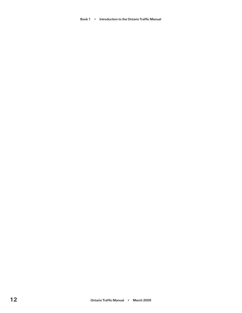**Book 1 • Introduction to the Ontario Traffic Manual**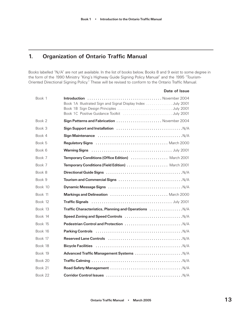### **1. Organization of Ontario Traffic Manual**

Books labelled "N/A" are not yet available. In the list of books below, Books 8 and 9 exist to some degree in the form of the 1990 Ministry "King's Highway Guide Signing Policy Manual" and the 1995 "Tourism-Oriented Directional Signing Policy." These will be revised to conform to the Ontario Traffic Manual.

**Date of Issue**

| Book 1  | Book 1A Illustrated Sign and Signal Display Index July 2001<br>Book 1B Sign Design Principles July 2001<br>Book 1C Positive Guidance Toolkit July 2001 |
|---------|--------------------------------------------------------------------------------------------------------------------------------------------------------|
| Book 2  |                                                                                                                                                        |
| Book 3  |                                                                                                                                                        |
| Book 4  |                                                                                                                                                        |
| Book 5  |                                                                                                                                                        |
| Book 6  |                                                                                                                                                        |
| Book 7  | Temporary Conditions (Office Edition)  March 2001                                                                                                      |
| Book 7  | Temporary Conditions (Field Edition)  March 2001                                                                                                       |
| Book 8  |                                                                                                                                                        |
| Book 9  |                                                                                                                                                        |
| Book 10 |                                                                                                                                                        |
| Book 11 | Markings and Delineation  March 2000                                                                                                                   |
| Book 12 |                                                                                                                                                        |
| Book 13 |                                                                                                                                                        |
| Book 14 |                                                                                                                                                        |
| Book 15 |                                                                                                                                                        |
| Book 16 |                                                                                                                                                        |
| Book 17 |                                                                                                                                                        |
| Book 18 |                                                                                                                                                        |
| Book 19 |                                                                                                                                                        |
| Book 20 |                                                                                                                                                        |
| Book 21 |                                                                                                                                                        |
| Book 22 |                                                                                                                                                        |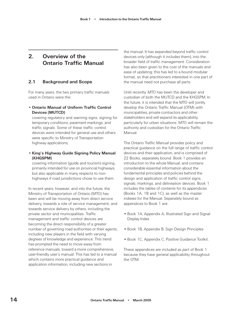### **2. Overview of the Ontario Traffic Manual**

### **2.1 Background and Scope**

For many years, the two primary traffic manuals used in Ontario were the:

### • **Ontario Manual of Uniform Traffic Control Devices (MUTCD)**

covering regulatory and warning signs, signing for temporary conditions, pavement markings, and traffic signals. Some of these traffic control devices were intended for general use and others were specific to Ministry of Transportation highway applications;

### • **King's Highway Guide Signing Policy Manual (KHGSPM)**

covering information (guide and tourism) signing, primarily intended for use on provincial highways, but also applicable in many respects to nonhighways if road jurisdictions chose to use them.

In recent years, however, and into the future, the Ministry of Transportation of Ontario (MTO) has been and will be moving away from direct service delivery, towards a role of service management, and towards service delivery by others, including the private sector and municipalities. Traffic management and traffic control devices are becoming the direct responsibility of a greater number of governing road authorities or their agents, including new players in the field with varying degrees of knowledge and experience. This trend has prompted the need to move away from reference manuals, toward a more comprehensive, user-friendly user's manual. This has led to a manual which contains more practical guidance and application information, including new sections in

the manual. It has expanded beyond traffic control devices only (although it includes them), into the broader field of traffic management. Consideration has also been given to the cost of the manuals and ease of updating; this has led to a bound modular format, so that practitioners interested in one part of the manual need not purchase all parts.

Until recently, MTO has been the developer and custodian of both the MUTCD and the KHGSPM. In the future, it is intended that the MTO will jointly develop the Ontario Traffic Manual (OTM) with municipalities, private contractors and other stakeholders and will expand its applicability, particularly for urban situations. MTO will remain the authority and custodian for the Ontario Traffic Manual.

The Ontario Traffic Manual provides policy and practical guidance on the full range of traffic control devices and their application, and is comprised of 22 Books, separately bound. Book 1 provides an introduction to the whole Manual, and contains considerable essential information about the fundamental principles and policies behind the design and application of traffic control signs, signals, markings, and delineation devices. Book 1 includes the tables of contents for its appendices (Books 1A, 1B and 1C), as well as the master indexes for the Manual. Separately bound as appendices to Book 1 are:

- Book 1A, Appendix A, Illustrated Sign and Signal Display Index
- Book 1B, Appendix B, Sign Design Principles
- Book 1C, Appendix C, Positive Guidance Toolkit.

These appendices are included as part of Book 1 because they have general applicability throughout the OTM.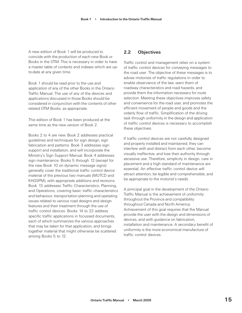A new edition of Book 1 will be produced to coincide with the production of each new Book or Books in the OTM. This is necessary in order to have a master table of contents and indexes which are upto-date at any given time.

Book 1 should be read prior to the use and application of any of the other Books in the Ontario Traffic Manual. The use of any of the devices and applications discussed in those Books should be considered in conjunction with the contents of other related OTM Books, as appropriate.

This edition of Book 1 has been produced at the same time as the new version of Book 2.

Books 2 to 4 are new. Book 2 addresses practical guidelines and techniques for sign design, sign fabrication and patterns. Book 3 addresses sign support and installation, and will incorporate the Ministry's Sign Support Manual. Book 4 addresses sign maintenance. Books 5 through 12 (except for the new Book 10 on dynamic message signs) generally cover the traditional traffic control device material of the previous two manuals (MUTCD and KHGSPM), with appropriate additions and revisions. Book 13 addresses Traffic Characteristics, Planning, and Operations, covering basic traffic characteristics and behaviour, transportation planning and operating issues related to various road designs and design features and their treatment through the use of traffic control devices. Books 14 to 22 address specific traffic applications in focussed documents, each of which summarizes the various approaches that may be taken for that application, and brings together material that might otherwise be scattered among Books 5 to 12.

### **2.2 Objectives**

Traffic control and management relies on a system of traffic control devices for conveying messages to the road user. The objective of these messages is to advise motorists of traffic regulations in order to enable observance of the law, warn them of roadway characteristics and road hazards, and provide them the information necessary for route selection. Meeting these objectives improves safety and convenience for the road user, and promotes the efficient movement of people and goods and the orderly flow of traffic. Simplification of the driving task through uniformity in the design and application of traffic control devices is necessary to accomplish these objectives.

If traffic control devices are not carefully designed and properly installed and maintained, they can interfere with and distract from each other, become visually ineffective, and lose their authority through excessive use. Therefore, simplicity in design, care in placement and a high standard of maintenance are essential. An effective traffic control device will attract attention, be legible and comprehensible, and be appropriate to the motorist's needs.

A principal goal in the development of the Ontario Traffic Manual is the achievement of uniformity throughout the Province and compatibility throughout Canada and North America. Achievement of this goal requires that the Manual provide the user with the design and dimensions of devices, and with guidance on fabrication, installation and maintenance. A secondary benefit of uniformity is the more economical manufacture of traffic control devices.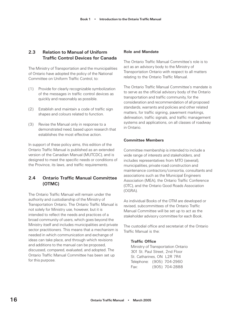### **2.3 Relation to Manual of Uniform Traffic Control Devices for Canada**

The Ministry of Transportation and the municipalities of Ontario have adopted the policy of the National Committee on Uniform Traffic Control, to:

- (1) Provide for clearly recognizable symbolization of the messages in traffic control devices as quickly and reasonably as possible.
- (2) Establish and maintain a code of traffic sign shapes and colours related to function.
- (3) Revise the Manual only in response to a demonstrated need, based upon research that establishes the most effective action.

In support of these policy aims, this edition of the Ontario Traffic Manual is published as an extended version of the Canadian Manual (MUTCDC), and is designed to meet the specific needs or conditions of the Province, its laws, and traffic requirements.

### **2.4 Ontario Traffic Manual Committee (OTMC)**

The Ontario Traffic Manual will remain under the authority and custodianship of the Ministry of Transportation Ontario. The Ontario Traffic Manual is not solely for Ministry use, however, but it is intended to reflect the needs and practices of a broad community of users, which goes beyond the Ministry itself and includes municipalities and private sector practitioners. This means that a mechanism is needed in which communication and exchange of ideas can take place, and through which revisions and additions to the manual can be proposed, discussed, compared, evaluated, and adopted. The Ontario Traffic Manual Committee has been set up for this purpose.

#### **Role and Mandate**

The Ontario Traffic Manual Committee's role is to act as an advisory body to the Ministry of Transportation Ontario with respect to all matters relating to the Ontario Traffic Manual.

The Ontario Traffic Manual Committee's mandate is to serve as the official advisory body of the Ontario transportation and traffic community, for the consideration and recommendation of all proposed standards, warrants and policies and other related matters, for traffic signing, pavement markings, delineation, traffic signals, and traffic management systems and applications, on all classes of roadway in Ontario.

### **Committee Members**

Committee membership is intended to include a wide range of interests and stakeholders, and includes representatives from MTO (several), municipalities, private road construction and maintenance contractors/consortia, consultants and associations such as the Municipal Engineers Association (MEA), the Ontario Traffic Conference (OTC), and the Ontario Good Roads Association (OGRA).

As individual Books of the OTM are developed or revised, subcommittees of the Ontario Traffic Manual Committee will be set up to act as the stakeholder advisory committee for each Book.

The custodial office and secretariat of the Ontario Traffic Manual is the:

#### **Traffic Office**

Ministry of Transportation Ontario 301 St. Paul Street, 2nd Floor St. Catharines, ON L2R 7R4 Telephone: (905) 704-2960 Fax: (905) 704-2888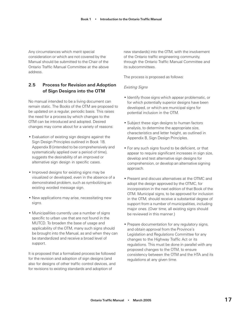Any circumstances which merit special consideration or which are not covered by the Manual should be submitted to the Chair of the Ontario Traffic Manual Committee at the above address.

### **2.5 Process for Revision and Adoption of Sign Designs into the OTM**

No manual intended to be a living document can remain static. The Books of the OTM are proposed to be updated on a regular, periodic basis. This raises the need for a process by which changes to the OTM can be introduced and adopted. Desired changes may come about for a variety of reasons:

- Evaluation of existing sign designs against the Sign Design Principles outlined in Book 1B, Appendix B (intended to be comprehensively and systematically applied over a period of time), suggests the desirability of an improved or alternative sign design in specific cases.
- Improved designs for existing signs may be visualized or developed, even in the absence of a demonstrated problem, such as symbolizing an existing worded message sign.
- New applications may arise, necessitating new signs.
- Municipalities currently use a number of signs specific to urban use that are not found in the MUTCD. To broaden the base of usage and applicability of the OTM, many such signs should be brought into the Manual, as and when they can be standardized and receive a broad level of support.

It is proposed that a formalized process be followed for the revision and adoption of sign designs (and also for designs of other traffic control devices, and for revisions to existing standards and adoption of

new standards) into the OTM, with the involvement of the Ontario traffic engineering community, through the Ontario Traffic Manual Committee and its subcommittees.

The process is proposed as follows:

### *Existing Signs*

- Identify those signs which appear problematic, or for which potentially superior designs have been developed, or which are municipal signs for potential inclusion in the OTM.
- Subject these sign designs to human factors analysis, to determine the appropriate size, characteristics and letter height, as outlined in Appendix B, Sign Design Principles.
- For any such signs found to be deficient, or that appear to require significant increases in sign size, develop and test alternative sign designs for comprehension, or develop an alternative signing approach.
- Present and discuss alternatives at the OTMC and adopt the design approved by the OTMC, for incorporation in the next edition of that Book of the OTM. Municipal signs, to be approved for inclusion in the OTM, should receive a substantial degree of support from a number of municipalities, including major ones. (Over time, all existing signs should be reviewed in this manner.)
- Prepare documentation for any regulatory signs, and obtain approval from the Province's Legislation and Regulations Committee for any changes to the Highway Traffic Act or its regulations. This must be done in parallel with any proposed changes to the OTM, to ensure consistency between the OTM and the HTA and its regulations at any given time.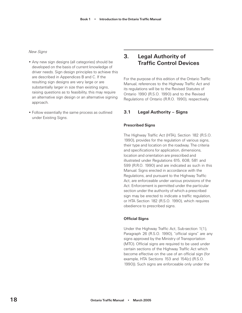### *New Signs*

- Any new sign designs (all categories) should be developed on the basis of current knowledge of driver needs. Sign design principles to achieve this are described in Appendices B and C. If the resulting sign designs are very large or are substantially larger in size than existing signs, raising questions as to feasibility, this may require an alternative sign design or an alternative signing approach.
- Follow essentially the same process as outlined under Existing Signs.

### **3. Legal Authority of Traffic Control Devices**

For the purpose of this edition of the Ontario Traffic Manual, references to the Highway Traffic Act and its regulations will be to the Revised Statutes of Ontario 1990 (R.S.O. 1990) and to the Revised Regulations of Ontario (R.R.O. 1990), respectively.

### **3.1 Legal Authority – Signs**

#### **Prescribed Signs**

The Highway Traffic Act (HTA), Section 182 (R.S.O. 1990), provides for the regulation of various signs, their type and location on the roadway. The criteria and specifications for application, dimensions, location and orientation are prescribed and illustrated under Regulations 615, 608, 581 and 599 (R.R.O. 1990) and are indicated as such in this Manual. Signs erected in accordance with the Regulations, and pursuant to the Highway Traffic Act, are enforceable under various provisions of the Act. Enforcement is permitted under the particular section under the authority of which a prescribed sign may be erected to indicate a traffic regulation, or HTA Section 182 (R.S.O. 1990), which requires obedience to prescribed signs.

### **Official Signs**

Under the Highway Traffic Act, Sub-section 1(1), Paragraph 26 (R.S.O. 1990), "official signs" are any signs approved by the Ministry of Transportation (MTO). Official signs are required to be used under certain sections of the Highway Traffic Act which become effective on the use of an official sign (for example, HTA Sections 153 and 154(c) (R.S.O. 1990)). Such signs are enforceable only under the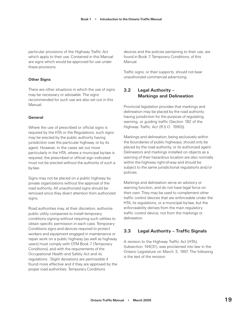particular provisions of the Highway Traffic Act which apply to their use. Contained in this Manual are signs which would be approved for use under these provisions.

### **Other Signs**

There are other situations in which the use of signs may be necessary or advisable. The signs recommended for such use are also set out in this Manual.

### **General**

Where the use of prescribed or official signs is required by the HTA or the Regulations, such signs may be erected by the public authority having jurisdiction over the particular highway, or by its agent. However, in the cases set out more particularly in the HTA, where a municipal by-law is required, the prescribed or official sign indicated must not be erected without the authority of such a by-law.

Signs may not be placed on a public highway by private organizations without the approval of the road authority. All unauthorized signs should be removed since they divert attention from authorized signs.

Road authorities may, at their discretion, authorize public utility companies to install temporary conditions signing without requiring such utilities to obtain specific permission in each case. Temporary Conditions signs and devices required to protect workers and equipment engaged in maintenance or repair work on a public highway (as well as highway users) must comply with OTM Book 7 (Temporary Conditions), and with the requirements of the Occupational Health and Safety Act and its regulations . Slight deviations are permissible if found more effective and if they are approved by the proper road authorities. Temporary Conditions

devices and the policies pertaining to their use, are found in Book 7, Temporary Conditions, of this Manual.

Traffic signs, or their supports, should not bear unauthorized commercial advertizing.

### **3.2 Legal Authority – Markings and Delineation**

Provincial legislation provides that markings and delineation may be placed by the road authority having jurisdiction for the purpose of regulating, warning, or guiding traffic (Section 182 of the Highway Traffic Act (R.S.O. 1990)).

Markings and delineation, being exclusively within the boundaries of public highways, should only be placed by the road authority, or its authorized agent. Delineators and markings installed on objects as a warning of their hazardous location are also normally within the highway right-of-way and should be subject to the same jurisdictional regulations and/or policies.

Markings and delineation serve an advisory or warning function, and do not have legal force on their own. They may be used to complement other traffic control devices that are enforceable under the HTA, its regulations, or a municipal by-law, but the enforceability derives from the main regulatory traffic control device, not from the markings or delineation.

### **3.3 Legal Authority – Traffic Signals**

A revision to the Highway Traffic Act (HTA), Subsection 144(31), was proclaimed into law in the Ontario Legislature on March 3, 1997. The following is the text of the revision: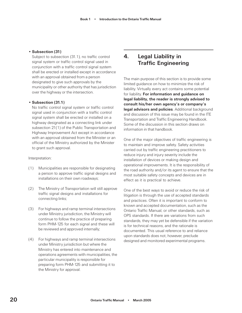### • **Subsection (31)**

Subject to subsection (31.1), no traffic control signal system or traffic control signal used in conjunction with a traffic control signal system shall be erected or installed except in accordance with an approval obtained from a person designated to give such approvals by the municipality or other authority that has jurisdiction over the highway or the intersection.

### • **Subsection (31.1)**

No traffic control signal system or traffic control signal used in conjunction with a traffic control signal system shall be erected or installed on a highway designated as a connecting link under subsection 21(1) of the Public Transportation and Highway Improvement Act except in accordance with an approval obtained from the Minister or an official of the Ministry authorized by the Minister to grant such approval.

#### Interpretation:

- (1) Municipalities are responsible for designating a person to approve traffic signal designs and installations on their own roadways;
- (2) The Ministry of Transportation will still approve traffic signal designs and installations for connecting links;
- (3) For highways and ramp terminal intersections under Ministry jurisdiction, the Ministry will continue to follow the practice of preparing form PHM-125 for each signal and these will be reviewed and approved internally;
- (4) For highways and ramp terminal intersections under Ministry jurisdiction but where the Ministry has entered into maintenance and operations agreements with municipalities, the particular municipality is responsible for preparing form PHM-125 and submitting it to the Ministry for approval.

### **4. Legal Liability in Traffic Engineering**

The main purpose of this section is to provide some limited guidance on how to minimize the risk of liability. Virtually every act contains some potential for liability. **For information and guidance on legal liability, the reader is strongly advised to consult his/her own agency's or company's legal advisors and policies**. Additional background and discussion of this issue may be found in the ITE Transportation and Traffic Engineering Handbook. Some of the discussion in this section draws on information in that handbook.

One of the major objectives of traffic engineering is to maintain and improve safety. Safety activities carried out by traffic engineering practitioners to reduce injury and injury severity include the installation of devices or making design and operational improvements. It is the responsibility of the road authority and/or its agent to ensure that the most suitable safety concepts and devices are in effect as it is practical to achieve.

One of the best ways to avoid or reduce the risk of litigation is through the use of accepted standards and practices. Often it is important to conform to known and accepted documentation, such as the Ontario Traffic Manual, or other standards, such as OPS standards. If there are variations from such standards, they may yet be defensible if the variation is for technical reasons, and the rationale is documented. This usual reference to and reliance upon standards does not, however, preclude designed and monitored experimental programs.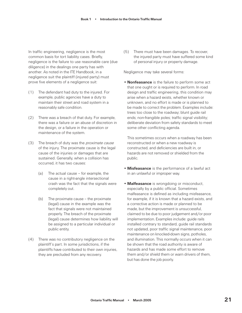In traffic engineering, negligence is the most common basis for tort liability cases. Briefly, negligence is the failure to use reasonable care (due diligence) in the dealings one party has with another. As noted in the ITE Handbook, in a negligence suit the plaintiff (injured party) must prove five elements of a negligence suit:

- (1) The defendant had duty to the injured. For example, public agencies have a duty to maintain their street and road system in a reasonably safe condition.
- (2) There was a breach of that duty. For example, there was a failure or an abuse of discretion in the design, or a failure in the operation or maintenance of the system.
- (3) The breach of duty was the *proximate cause* of the injury. The proximate cause is the legal cause of the injuries or damages that are sustained. Generally, when a collision has occurred, it has two causes:
	- (a) The actual cause for example, the cause in a right-angle intersectional crash was the fact that the signals were completely out.
	- (b) The proximate cause the proximate (legal) cause in the example was the fact that signals were not maintained properly. The breach of the proximate (legal) cause determines how liability will be assigned to a particular individual or public entity.
- (4) There was no contributory negligence on the plaintiff's part. In some jurisdictions, if the plaintiffs have contributed to their own injuries, they are precluded from any recovery.

(5) There must have been damages. To recover, the injured party must have suffered some kind of personal injury or property damage.

Negligence may take several forms:

• **Nonfeasance** is the failure to perform some act that one ought or is required to perform. In road design and traffic engineering, this condition may arise when a hazard exists, whether known or unknown, and no effort is made or is planned to be made to correct the problem. Examples include: trees too close to the roadway; blunt guide rail ends; non-frangible poles; traffic signal visibility; deliberate deviation from safety standards to meet some other conflicting agenda.

This sometimes occurs when a roadway has been reconstructed or when a new roadway is constructed, and deficiencies are built in, or hazards are not removed or shielded from the public.

- **Misfeasance** is the performance of a lawful act in an unlawful or improper way.
- **Malfeasance** is wrongdoing or misconduct, especially by a public official. Sometimes malfeasance is defined as including misfeasance, for example, if it is known that a hazard exists, and a corrective action is made or planned to be made, but the improvement is unsuccessful, claimed to be due to poor judgement and/or poor implementation. Examples include: guide rails installed contrary to standard, guide rail standards not updated, poor traffic signal maintenance, poor maintenance on knocked-down signs, potholes, and illumination. This normally occurs when it can be shown that the road authority is aware of hazards and has made some effort to remove them and/or shield them or warn drivers of them, but has done the job poorly.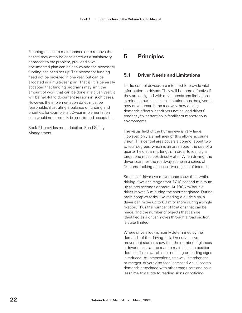Planning to initiate maintenance or to remove the hazard may often be considered as a satisfactory approach to the problem, provided a welldocumented plan can be shown and the necessary funding has been set up. The necessary funding need not be provided in one year, but can be allocated in a multi-year plan. That is, it is generally accepted that funding programs may limit the amount of work that can be done in a given year; it will be helpful to document reasons in such cases. However, the implementation dates must be reasonable, illustrating a balance of funding and priorities; for example, a 50-year implementation plan would not normally be considered acceptable.

Book 21 provides more detail on Road Safety Management.

### **5. Principles**

### **5.1 Driver Needs and Limitations**

Traffic control devices are intended to provide vital information to drivers. They will be more effective if they are designed with driver needs and limitations in mind. In particular, consideration must be given to how drivers search the roadway, how driving demands affect what drivers notice, and drivers' tendency to inattention in familiar or monotonous environments.

The visual field of the human eye is very large. However, only a small area of this allows accurate vision. This central area covers a cone of about two to four degrees, which is an area about the size of a quarter held at arm's length. In order to identify a target one must look directly at it. When driving, the driver searches the roadway scene in a series of fixations, looking at successive objects of interest.

Studies of driver eye movements show that, while driving, fixations range from 1/10 second minimum up to two seconds or more. At 100 km/hour, a driver moves 3 m during the shortest glance. During more complex tasks, like reading a guide sign, a driver can move up to 60 m or more during a single fixation. Thus the number of fixations that can be made, and the number of objects that can be identified as a driver moves through a road section, is quite limited.

Where drivers look is mainly determined by the demands of the driving task. On curves, eye movement studies show that the number of glances a driver makes at the road to maintain lane position doubles. Time available for noticing or reading signs is reduced. At intersections, freeway interchanges, or merges, drivers also face increased visual search demands associated with other road users and have less time to devote to reading signs or noticing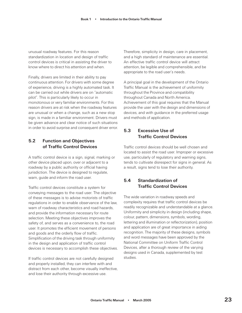unusual roadway features. For this reason standardization in location and design of traffic control devices is critical in assisting the driver to know where to direct his attention and when.

Finally, drivers are limited in their ability to pay continuous attention. For drivers with some degree of experience, driving is a highly automated task. It can be carried out while drivers are on "automatic pilot". This is particularly likely to occur in monotonous or very familiar environments. For this reason drivers are at risk when the roadway features are unusual or when a change, such as a new stop sign, is made in a familiar environment. Drivers must be given advance and clear notice of such situations in order to avoid surprise and consequent driver error.

### **5.2 Function and Objectives of Traffic Control Devices**

A traffic control device is a sign, signal, marking or other device placed upon, over or adjacent to a roadway by a public authority or official having jurisdiction. The device is designed to regulate, warn, guide and inform the road user.

Traffic control devices constitute a system for conveying messages to the road user. The objective of these messages is to advise motorists of traffic regulations in order to enable observance of the law, warn of roadway characteristics and road hazards, and provide the information necessary for route selection. Meeting these objectives improves the safety of, and serves as a convenience to, the road user. It promotes the efficient movement of persons and goods and the orderly flow of traffic. Simplification of the driving task through uniformity in the design and application of traffic control devices is necessary to accomplish these objectives.

If traffic control devices are not carefully designed and properly installed, they can interfere with and distract from each other, become visually ineffective, and lose their authority through excessive use.

Therefore, simplicity in design, care in placement, and a high standard of maintenance are essential. An effective traffic control device will attract attention, be legible and comprehensible, and be appropriate to the road user's needs.

A principal goal in the development of the Ontario Traffic Manual is the achievement of uniformity throughout the Province and compatibility throughout Canada and North America. Achievement of this goal requires that the Manual provide the user with the design and dimensions of devices, and with guidance in the preferred usage and methods of application.

### **5.3 Excessive Use of Traffic Control Devices**

Traffic control devices should be well chosen and located to assist the road user. Improper or excessive use, particularly of regulatory and warning signs, tends to cultivate disrespect for signs in general. As a result, signs tend to lose their authority.

### **5.4 Standardization of Traffic Control Devices**

The wide variation in roadway speeds and complexity requires that traffic control devices be readily recognizable and understandable at a glance. Uniformity and simplicity in design (including shape, colour, pattern, dimensions, symbols, wording, lettering and illumination or reflectorization), position and application are of great importance in aiding recognition. The majority of these designs, symbols and word messages have been approved by the National Committee on Uniform Traffic Control Devices, after a thorough review of the varying designs used in Canada, supplemented by test studies.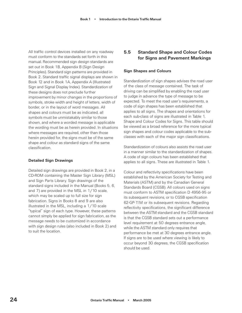All traffic control devices installed on any roadway must conform to the standards set forth in this manual. Recommended sign design standards are set out in Book 1B, Appendix B (Sign Design Principles). Standard sign patterns are provided in Book 2. Standard traffic signal displays are shown in Book 12 and in Book 1A, Appendix A (Illustrated Sign and Signal Display Index). Standardization of these designs does not preclude further improvement by minor changes in the proportions of symbols, stroke width and height of letters, width of border, or in the layout of word messages. All shapes and colours must be as indicated, all symbols must be unmistakably similar to those shown, and where a worded message is applicable the wording must be as herein provided. In situations where messages are required, other than those herein provided for, the signs must be of the same shape and colour as standard signs of the same classification.

#### **Detailed Sign Drawings**

Detailed sign drawings are provided in Book 2, in a CD-ROM containing the Master Sign Library (MSL) and Sign Parts Library. Sign drawings of the standard signs included in the Manual (Books 5, 6, and 7) are provided in the MSL in 1/10 scale, which may be scaled up to full size for sign fabrication. Signs in Books 8 and 9 are also illustrated in the MSL, including a 1/10 scale "typical" sign of each type. However, these patterns cannot simply be applied for sign fabrication, as the message needs to be customized in accordance with sign design rules (also included in Book 2) and to suit the location.

### **5.5 Standard Shape and Colour Codes for Signs and Pavement Markings**

#### **Sign Shapes and Colours**

Standardization of sign shapes advises the road user of the class of message contained. The task of driving can be simplified by enabling the road user to judge in advance the type of message to be expected. To meet the road user's requirements, a code of sign shapes has been established that applies to all signs. The shapes and orientations for each sub-class of signs are illustrated in Table 1, Shape and Colour Codes for Signs. This table should be viewed as a broad reference for the more typical sign shapes and colour codes applicable to the subclasses with each of the major sign classifications.

Standardization of colours also assists the road user in a manner similar to the standardization of shapes. A code of sign colours has been established that applies to all signs. These are illustrated in Table 1.

Colour and reflectivity specifications have been established by the American Society for Testing and Materials (ASTM) and by the Canadian General Standards Board (CGSB). All colours used on signs must conform to ASTM specification D 4956-95 or its subsequent revisions, or to CGSB specification 62-GP-11M or its subsequent revisions. Regarding reflectivity specifications, the significant difference between the ASTM standard and the CGSB standard is that the CGSB standard sets out a performance level requirement at 50 degrees entrance angle, while the ASTM standard only requires that performance be met at 30 degrees entrance angle. If signs are to be used where viewing is likely to occur beyond 30 degrees, the CGSB specification should be used.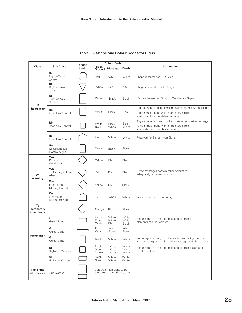|                                             |                                             | Shape |                                | <b>Colour Code</b>                                        |                         |                                                                                                                                                 |
|---------------------------------------------|---------------------------------------------|-------|--------------------------------|-----------------------------------------------------------|-------------------------|-------------------------------------------------------------------------------------------------------------------------------------------------|
| <b>Class</b>                                | Sub-Class                                   | Code  | Back-<br>Ground                | <b>Message</b>                                            | <b>Border</b>           | <b>Comments</b>                                                                                                                                 |
|                                             | Ra<br>Right of Way<br>Control               |       | Red                            | White                                                     | White                   | Shape reserved for STOP sign                                                                                                                    |
|                                             | Ra<br>Right of Way<br>Control               |       | White                          | Red                                                       | Red                     | Shape reserved for YIELD sign                                                                                                                   |
| R                                           | Ra<br>Right of Way<br>Control               |       | White                          | <b>Black</b>                                              | <b>Black</b>            | Various Pedestrian Right of Way Control Signs                                                                                                   |
| Regulatory                                  | <b>Rb</b><br>Road Use Control               |       | White                          | Black                                                     | <b>Black</b>            | A green annular band shall indicate a permissive message<br>A red annular band with interdictory stroke<br>shall indicate a prohibitive message |
|                                             | Rb<br>Road Use Control                      |       | White<br><b>Black</b>          | <b>Black</b><br>White                                     | Black<br>White          | A green annular band shall indicate a permissive message<br>A red annular band with interdictory stroke<br>shall indicate a prohibitive message |
|                                             | Rb<br>Road Use Control                      |       | Blue                           | White                                                     | White                   | Reserved for School Area Signs                                                                                                                  |
|                                             | Rc<br>Miscellaneous<br>Control Signs        |       | White                          | Black                                                     | <b>Black</b>            |                                                                                                                                                 |
|                                             | Wa<br>Physical<br>Conditions                |       | Yellow                         | <b>Black</b>                                              | <b>Black</b>            |                                                                                                                                                 |
| W<br>Warning                                | Wb<br><b>Traffic Regulations</b><br>Ahead   |       | Yellow                         | <b>Black</b>                                              | <b>Black</b>            | Some messages contain other colours to<br>adequately represent symbols                                                                          |
|                                             | <b>Wc</b><br>Intermittent<br>Moving Hazards |       | Yellow                         | <b>Black</b>                                              | <b>Black</b>            |                                                                                                                                                 |
|                                             | <b>Wc</b><br>Intermittent<br>Moving Hazards |       | Blue                           | White                                                     | White                   | Reserved for School Area Signs                                                                                                                  |
| Tc<br><b>Temporary</b><br><b>Conditions</b> |                                             |       | Orange                         | <b>Black</b>                                              | <b>Black</b>            |                                                                                                                                                 |
|                                             | G<br>Guide Signs                            |       | Green<br>Blue<br>White         | White<br>White<br>Black                                   | White<br>White<br>Black | Some signs in this group may contain minor<br>elements of other colours                                                                         |
| <b>Information</b>                          | G<br>Guide Signs                            |       | Green<br>White                 | White<br>Black                                            | White<br>Black          |                                                                                                                                                 |
|                                             | G<br>Guide Signs                            |       | Black                          | White                                                     | White                   | Some signs in this group have a brown background; or<br>a white background with a blue message and blue border                                  |
|                                             | М<br>Highway Markers                        |       | <b>Black</b><br>Green<br>Brown | White<br>White<br>White                                   | White<br>White<br>White | Some signs in this group may contain minor elements<br>of other colours                                                                         |
|                                             | м<br>Highway Markers                        |       | Black<br>Green                 | White<br>White                                            | White<br>White          |                                                                                                                                                 |
| <b>Tab Signs</b><br><b>ALL Classes</b>      | ALL<br>Sub-Classes                          |       |                                | Colours on tab signs to be<br>the same as on primary sign |                         |                                                                                                                                                 |

### **Table 1 – Shape and Colour Codes for Signs**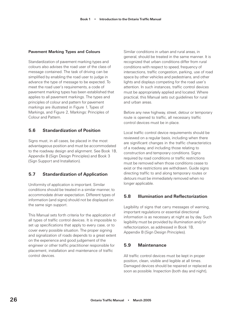#### **Pavement Marking Types and Colours**

Standardization of pavement marking types and colours also advises the road user of the class of message contained. The task of driving can be simplified by enabling the road user to judge in advance the type of message to be expected. To meet the road user's requirements, a code of pavement marking types has been established that applies to all pavement markings. The types and principles of colour and pattern for pavement markings are illustrated in Figure 1, Types of Markings, and Figure 2, Markings: Principles of Colour and Pattern.

### **5.6 Standardization of Position**

Signs must, in all cases, be placed in the most advantageous position and must be accommodated to the roadway design and alignment. See Book 1B, Appendix B (Sign Design Principles) and Book 3 (Sign Support and Installation).

### **5.7 Standardization of Application**

Uniformity of application is important. Similar conditions should be treated in a similar manner, to accommodate driver expectation. Different types of information (and signs) should not be displayed on the same sign support.

This Manual sets forth criteria for the application of all types of traffic control devices. It is impossible to set up specifications that apply to every case, or to cover every possible situation. The proper signing and signalization of roads depends to a great extent on the experience and good judgement of the engineer or other traffic practitioner responsible for placement, installation and maintenance of traffic control devices.

Similar conditions in urban and rural areas, in general, should be treated in the same manner. It is recognized that urban conditions differ from rural conditions with respect to speed, frequency of intersections, traffic congestion, parking, use of road space by other vehicles and pedestrians, and other lights and displays competing for the road user's attention. In such instances, traffic control devices must be appropriately applied and located. Where practical, this Manual sets out guidelines for rural and urban areas.

Before any new highway, street, detour or temporary route is opened to traffic, all necessary traffic control devices must be in place.

Local traffic control device requirements should be reviewed on a regular basis, including when there are significant changes in the traffic characteristics of a roadway, and including those relating to construction and temporary conditions. Signs required by road conditions or traffic restrictions must be removed when those conditions cease to exist or the restrictions are withdrawn. Guide signs directing traffic to and along temporary routes or detours must be immediately removed when no longer applicable.

### **5.8 Illumination and Reflectorization**

Legibility of signs that carry messages of warning, important regulations or essential directional information is as necessary at night as by day. Such legibility must be provided by illumination and/or reflectorization, as addressed in Book 1B, Appendix B (Sign Design Principles).

### **5.9 Maintenance**

All traffic control devices must be kept in proper position, clean, visible and legible at all times. Damaged devices should be repaired or replaced as soon as possible. Inspection (both day and night),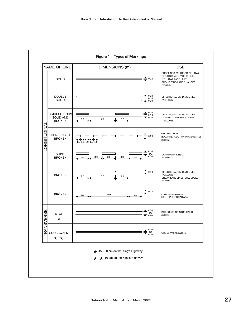| NAME OF LINE                                             | DIMENSIONS (m)                                                                              | <b>USE</b><br>EDGELINES (WHITE OR YELLOW),<br>DIRECTIONAL DIVIDING LINES         |
|----------------------------------------------------------|---------------------------------------------------------------------------------------------|----------------------------------------------------------------------------------|
| <b>SOLID</b>                                             | 0.10                                                                                        | (YELLOW), LANE LINES<br>PROHIBITING LANE CHANGES<br>(WHITE)                      |
| <b>DOUBLE</b><br><b>SOLID</b>                            | 0.10<br>丰<br>0.10<br>0.10                                                                   | DIRECTIONAL DIVIDING LINES<br>(YELLOW)                                           |
| <b>SIMULTANEOUS</b><br><b>SOLID AND</b><br><b>BROKEN</b> | 0.10<br>≢<br>0.10<br>0.10<br>6.0<br>$3.0\,$<br>3.0                                          | DIRECTIONAL DIVIDING LINES<br>TWO-WAY LEFT TURN LANES<br>(YELLOW)                |
| <b>ONGITUDINA</b><br>CONDENSED<br><b>BROKEN</b>          | $\overline{\bullet}$ 0.20<br><del>€ D ≤ D ≤ D ≤ D ≤ D</del><br>1.0  1.0  1.0  1.0  1.0<br>2 | <b>GUIDING LINES</b><br>(E.G. INTERSECTION MOVEMENTS)<br>(WHITE)                 |
| <b>WIDE</b><br><b>BROKEN</b>                             | 0.10<br>≛<br><b>TO</b><br>0.30<br>3.0<br>3.0<br>3.0<br>3.0<br>3.0                           | <b>CONTINUITY LINES</b><br>(WHITE)                                               |
| <b>BROKEN</b>                                            | Ÿ,<br>0.10<br>6.0<br>3.0<br>3.0                                                             | DIRECTIONAL DIVIDING LINES<br>(YELLOW)<br>URBAN LANE LINES, LOW SPEED<br>(WHITE) |
| <b>BROKEN</b>                                            | 0.10<br>9.0<br>3.0<br>3.0                                                                   | LANE LINES (WHITE)<br>HIGH SPEED ROADWAY                                         |
| <b>JSVERSE</b><br><b>STOP</b><br>$\star$                 | 0.30<br>TO<br>0.60                                                                          | <b>INTERSECTION STOP LINES</b><br>(WHITE)                                        |
| TRAI<br>CROSSWALK                                        | $0.10$<br>TO<br>$0.20$                                                                      | CROSSWALKS (WHITE)                                                               |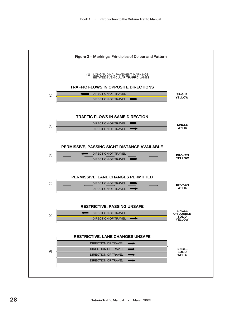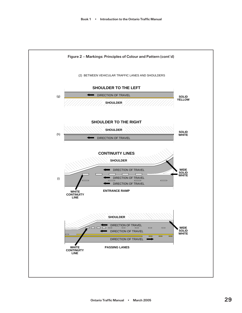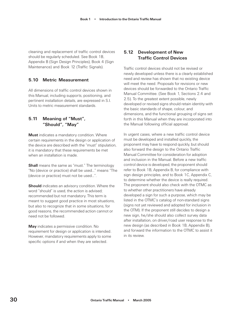cleaning and replacement of traffic control devices should be regularly scheduled. See Book 1B, Appendix B (Sign Design Principles), Book 4 (Sign Maintenance) and Book 12 (Traffic Signals).

### **5.10 Metric Measurement**

All dimensions of traffic control devices shown in this Manual, including supports, positioning, and pertinent installation details, are expressed in S.I. Units to metric measurement standards.

### **5.11 Meaning of "Must", "Should", "May"**

**Must** indicates a mandatory condition. Where certain requirements in the design or application of the device are described with the "must" stipulation, it is mandatory that these requirements be met when an installation is made.

**Shall** means the same as "must." The terminology "No (device or practice) shall be used…" means "The (device or practice) must not be used…".

**Should** indicates an advisory condition. Where the word "should" is used, the action is advised; recommended but not mandatory. This term is meant to suggest good practice in most situations, but also to recognize that in some situations, for good reasons, the recommended action cannot or need not be followed.

**May** indicates a permissive condition. No requirement for design or application is intended. However, mandatory requirements apply to some specific options if and when they are selected.

### **5.12 Development of New Traffic Control Devices**

Traffic control devices should not be revised or newly developed unless there is a clearly established need and review has shown that no existing device will meet the need. Proposals for revisions or new devices should be forwarded to the Ontario Traffic Manual Committee. (See Book 1, Sections 2.4 and 2.5). To the greatest extent possible, newly developed or revised signs should retain identity with the basic standards of shape, colour, and dimensions, and the functional grouping of signs set forth in this Manual when they are incorporated into the Manual following official approval.

In urgent cases, where a new traffic control device must be developed and installed quickly, the proponent may have to respond quickly, but should also forward the design to the Ontario Traffic Manual Committee for consideration for adoption and inclusion in the Manual. Before a new traffic control device is developed, the proponent should refer to Book 1B, Appendix B, for compliance with sign design principles, and to Book 1C, Appendix C, to determine whether the device is really required. The proponent should also check with the OTMC as to whether other practitioners have already developed a sign for such a purpose, which may be listed in the OTMC's catalog of non-standard signs (signs not yet reviewed and adopted for inclusion in the OTM). If the proponent still decides to design a new sign, he/she should also collect survey data after installation, on driver/road user response to the new design (as described in Book 1B, Appendix B), and forward the information to the OTMC to assist it in its review.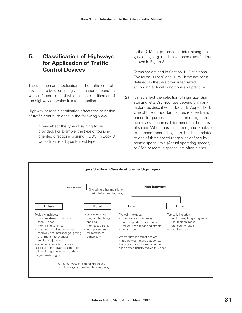### **6. Classification of Highways for Application of Traffic Control Devices**

The selection and application of the traffic control device(s) to be used in a given situation depend on various factors, one of which is the classification of the highway on which it is to be applied.

Highway or road classification affects the selection of traffic control devices in the following ways:

(1) It may affect the type of signing to be provided. For example, the type of tourismoriented directional signing (TODS) in Book 9 varies from road type to road type.

In the OTM, for purposes of determining the *type* of signing, roads have been classified as shown in Figure 3.

Terms are defined in Section 11, Definitions. The terms "urban" and "rural" have not been defined, as they are often interpreted according to local conditions and practice.

(2) It may affect the selection of sign size. Sign size and letter/symbol size depend on many factors, as described in Book 1B, Appendix B. One of those important factors is speed, and hence, for purposes of selection of sign size, road classification is determined on the basis of speed. Where possible, throughout Books 5 to 9, recommended sign size has been related to one of three speed ranges, as defined by posted speed limit. (Actual operating speeds, or 85th percentile speeds, are often higher

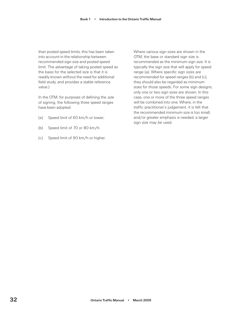than posted speed limits; this has been taken into account in the relationship between recommended sign size and posted speed limit. The advantage of taking posted speed as the basis for the selected size is that it is readily known without the need for additional field study, and provides a stable reference value.)

In the OTM, for purposes of defining the *size* of signing, the following three speed ranges have been adopted:

- (a) Speed limit of 60 km/h or lower;
- (b) Speed limit of 70 or 80 km/h;
- (c) Speed limit of 90 km/h or higher.

Where various sign sizes are shown in the OTM, the base or standard sign size is recommended as the minimum sign size. It is typically the sign size that will apply for speed range (a). Where specific sign sizes are recommended for speed ranges (b) and (c), they should also be regarded as minimum sizes for those speeds. For some sign designs, only one or two sign sizes are shown. In this case, one or more of the three speed ranges will be combined into one. Where, in the traffic practitioner's judgement, it is felt that the recommended minimum size is too small, and/or greater emphasis is needed, a larger sign size may be used.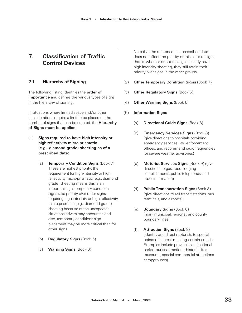### **7. Classification of Traffic Control Devices**

### **7.1 Hierarchy of Signing**

The following listing identifies the **order of importance** and defines the various types of signs in the hierarchy of signing.

In situations where limited space and/or other considerations require a limit to be placed on the number of signs that can be erected, the **Hierarchy of Signs must be applied**.

- (1) **Signs required to have high-intensity or high reflectivity micro-prismatic (e.g., diamond grade) sheeting as of a prescribed date:**
	- (a) **Temporary Condition Signs** (Book 7) These are highest priority; the requirement for high-intensity or high reflectivity micro-prismatic (e.g., diamond grade) sheeting means this is an important sign; temporary condition signs take priority over other signs requiring high-intensity or high reflectivity micro-prismatic (e.g., diamond grade) sheeting because of the unexpected situations drivers may encounter, and also, temporary conditions sign placement may be more critical than for other signs.
	- (b) **Regulatory Signs** (Book 5)
	- (c) **Warning Signs** (Book 6)

Note that the reference to a prescribed date does not affect the priority of this class of signs; that is, whether or not the signs already have high-intensity sheeting, they still retain their priority over signs in the other groups.

- (2) **Other Temporary Condition Signs** (Book 7)
- (3) **Other Regulatory Signs** (Book 5)
- (4) **Other Warning Signs** (Book 6)
- (5) **Information Signs**
	- (a) **Directional Guide Signs** (Book 8)
	- (b) **Emergency Services Signs** (Book 8) (give directions to hospitals providing emergency services, law enforcement offices, and recommend radio frequencies for severe weather advisories)
	- (c) **Motorist Services Signs** (Book 9) (give directions to gas, food, lodging establishments, public telephones, and travel information)
	- (d) **Public Transportation Signs** (Book 8) (give directions to rail transit stations, bus terminals, and airports)
	- (e) **Boundary Signs** (Book 8) (mark municipal, regional, and county boundary lines)
	- (f) **Attraction Signs** (Book 9) (identify and direct motorists to special points of interest meeting certain criteria. Examples include provincial and national parks, tourist attractions, historic sites, museums, special commercial attractions, campgrounds)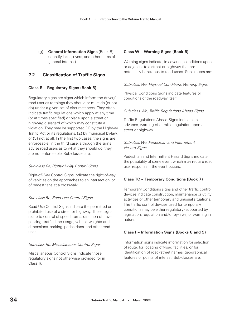(g) **General Information Signs** (Book 8) (identify lakes, rivers, and other items of general interest)

### **7.2 Classification of Traffic Signs**

#### **Class R – Regulatory Signs (Book 5)**

Regulatory signs are signs which inform the driver/ road user as to things they should or must do (or not do) under a given set of circumstances. They often indicate traffic regulations which apply at any time (or at times specified) or place upon a street or highway, disregard of which may constitute a violation. They may be supported (1) by the Highway Traffic Act or its regulations, (2) by municipal by-law, or (3) not at all. In the first two cases, the signs are enforceable; in the third case, although the signs advise road users as to what they should do, they are not enforceable. Sub-classes are:

#### *Sub-class Ra, Right-of-Way Control Signs*

Right-of-Way Control Signs indicate the right-of-way of vehicles on the approaches to an intersection, or of pedestrians at a crosswalk.

#### *Sub-class Rb, Road Use Control Signs*

Road Use Control Signs indicate the permitted or prohibited use of a street or highway. These signs relate to control of speed, turns, direction of travel, passing, traffic lane usage, vehicle weights and dimensions, parking, pedestrians, and other road uses.

#### *Sub-class Rc, Miscellaneous Control Signs*

Miscellaneous Control Signs indicate those regulatory signs not otherwise provided for in Class R.

#### **Class W – Warning Signs (Book 6)**

Warning signs indicate, in advance, conditions upon or adjacent to a street or highway that are potentially hazardous to road users. Sub-classes are:

#### *Sub-class Wa, Physical Conditions Warning Signs*

Physical Conditions Signs indicate features or conditions of the roadway itself.

#### *Sub-class Wb, Traffic Regulations Ahead Signs*

Traffic Regulations Ahead Signs indicate, in advance, warning of a traffic regulation upon a street or highway.

### *Sub-class Wc, Pedestrian and Intermittent Hazard Signs*

Pedestrian and Intermittent Hazard Signs indicate the possibility of some event which may require road user response if the event occurs.

#### **Class TC – Temporary Conditions (Book 7)**

Temporary Conditions signs and other traffic control devices indicate construction, maintenance or utility activities or other temporary and unusual situations. The traffic control devices used for temporary conditions may be either regulatory (supported by legislation, regulation and/or by-laws) or warning in nature.

#### **Class I – Information Signs (Books 8 and 9)**

Information signs indicate information for selection of route, for locating off-road facilities, or for identification of road/street names, geographical features or points of interest. Sub-classes are: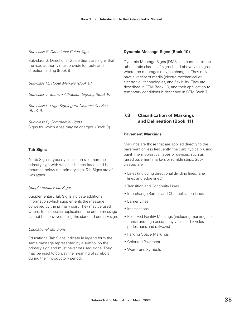*Sub-class G, Directional Guide Signs*

Sub-class G, Directional Guide Signs are signs that the road authority must provide for route and direction finding (Book 8)

*Sub-class M, Route Markers (Book 8)*

*Sub-class T, Tourism Attraction Signing (Book 9)*

*Sub-class L, Logo Signing for Motorist Services (Book 9)*

*Sub-class C, Commercial Signs* Signs for which a fee may be charged. (Book 9)

#### **Tab Signs**

A Tab Sign is typically smaller in size than the primary sign with which it is associated, and is mounted below the primary sign. Tab Signs are of two types:

#### *Supplementary Tab Signs*

Supplementary Tab Signs indicate additional information which supplements the message conveyed by the primary sign. They may be used where, for a specific application, the entire message cannot be conveyed using the standard primary sign.

#### *Educational Tab Signs*

Educational Tab Signs indicate in legend form the same message represented by a symbol on the primary sign and must never be used alone. They may be used to convey the meaning of symbols during their introductory period.

#### **Dynamic Message Signs (Book 10)**

Dynamic Message Signs (DMSs), in contrast to the other static classes of signs listed above, are signs where the messages may be changed. They may have a variety of media (electro-mechanical or electronic), technologies, and flexibility. They are described in OTM Book 10, and their application to temporary conditions is described in OTM Book 7.

### **7.3 Classification of Markings and Delineation (Book 11)**

#### **Pavement Markings**

Markings are those that are applied directly to the pavement or, less frequently, the curb, typically using paint, thermoplastics, tapes or devices, such as raised pavement markers or rumble strips. Subclasses are:

- Lines (including directional dividing lines, lane lines and edge lines)
- Transition and Continuity Lines
- Interchange Ramps and Channelization Lines
- Barrier Lines
- Intersections
- Reserved Facility Markings (including markings for transit and high occupancy vehicles, bicycles, pedestrians and railways)
- Parking Space Markings
- Coloured Pavement
- Words and Symbols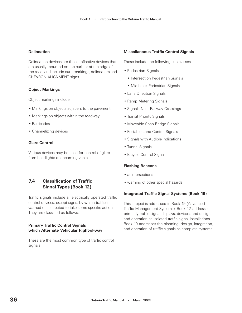### **Delineation**

Delineation devices are those reflective devices that are usually mounted on the curb or at the edge of the road, and include curb markings, delineators and CHEVRON ALIGNMENT signs.

### **Object Markings**

Object markings include:

- Markings on objects adjacent to the pavement
- Markings on objects within the roadway
- Barricades
- Channelizing devices

### **Glare Control**

Various devices may be used for control of glare from headlights of oncoming vehicles.

## **7.4 Classification of Traffic Signal Types (Book 12)**

Traffic signals include all electrically operated traffic control devices, except signs, by which traffic is warned or is directed to take some specific action. They are classified as follows:

### **Primary Traffic Control Signals which Alternate Vehicular Right-of-way**

These are the most common type of traffic control signals.

### **Miscellaneous Traffic Control Signals**

These include the following sub-classes:

- Pedestrian Signals
	- Intersection Pedestrian Signals
	- Mid-block Pedestrian Signals
- Lane Direction Signals
- Ramp Metering Signals
- Signals Near Railway Crossings
- Transit Priority Signals
- Moveable Span Bridge Signals
- Portable Lane Control Signals
- Signals with Audible Indications
- Tunnel Signals
- Bicycle Control Signals

### **Flashing Beacons**

- at intersections
- warning of other special hazards

### **Integrated Traffic Signal Systems (Book 19)**

This subject is addressed in Book 19 (Advanced Traffic Management Systems). Book 12 addresses primarily traffic signal displays, devices, and design, and operation as isolated traffic signal installations. Book 19 addresses the planning, design, integration, and operation of traffic signals as complete systems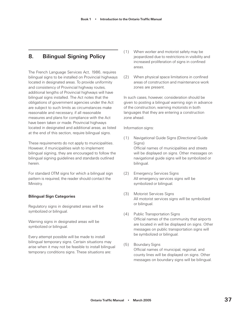## **8. Bilingual Signing Policy**

The French Language Services Act, 1986, requires bilingual signs to be installed on Provincial highways located in designated areas. To provide uniformity and consistency of Provincial highway routes, additional lengths of Provincial highways will have bilingual signs installed. The Act notes that the obligations of government agencies under the Act are subject to such limits as circumstances make reasonable and necessary, if all reasonable measures and plans for compliance with the Act have been taken or made. Provincial highways located in designated and additional areas, as listed at the end of this section, require bilingual signs.

These requirements do not apply to municipalities. However, if municipalities wish to implement bilingual signing, they are encouraged to follow the bilingual signing guidelines and standards outlined herein.

For standard OTM signs for which a bilingual sign pattern is required, the reader should contact the Ministry.

### **Bilingual Sign Categories**

Regulatory signs in designated areas will be symbolized or bilingual.

Warning signs in designated areas will be symbolized or bilingual.

Every attempt possible will be made to install bilingual temporary signs. Certain situations may arise when it may not be feasible to install bilingual temporary conditions signs. These situations are:

- (1) When worker and motorist safety may be jeopardized due to restrictions in visibility and increased proliferation of signs in confined areas.
- (2) When physical space limitations in confined areas of construction and maintenance work zones are present.

In such cases, however, consideration should be given to posting a bilingual warning sign in advance of the construction, warning motorists in both languages that they are entering a construction zone ahead.

Information signs:

- (1) Navigational Guide Signs (Directional Guide Sians) Official names of municipalities and streets will be displayed on signs. Other messages on navigational guide signs will be symbolized or bilingual.
- (2) Emergency Services Signs All emergency services signs will be symbolized or bilingual.
- (3) Motorist Services Signs All motorist services signs will be symbolized or bilingual.
- (4) Public Transportation Signs Official names of the community that airports are located in will be displayed on signs. Other messages on public transportation signs will be symbolized or bilingual.
- (5) Boundary Signs Official names of municipal, regional, and county lines will be displayed on signs. Other messages on boundary signs will be bilingual.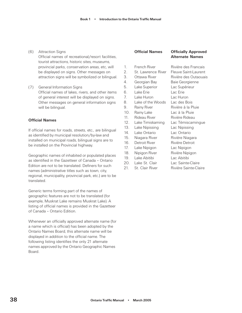- (6) Attraction Signs Official names of recreational/resort facilities, tourist attractions, historic sites, museums, provincial parks, conservation areas, etc, will be displayed on signs. Other messages on attraction signs will be symbolized or bilingual.
- (7) General Information Signs Official names of lakes, rivers, and other items of general interest will be displayed on signs. Other messages on general information signs will be bilingual.

### **Official Names**

If official names for roads, streets, etc., are bilingual as identified by municipal resolution/by-law and installed on municipal roads, bilingual signs are to be installed on the Provincial highway.

Geographic names of inhabited or populated places as identified in the Gazetteer of Canada – Ontario Edition are not to be translated. Definers for such names (administrative titles such as town, city, regional, municipality, provincial park, etc.) are to be translated.

Generic terms forming part of the names of geographic features are not to be translated (for example, Muskrat Lake remains Muskrat Lake). A listing of official names is provided in the Gazetteer of Canada – Ontario Edition.

Whenever an officially approved alternate name (for a name which is official) has been adopted by the Ontario Names Board, this alternate name will be displayed in addition to the official name. The following listing identifies the only 21 alternate names approved by the Ontario Geographic Names Board.

### **Official Names Officially Approved Alternate Names**

1. French River Rivière des Francais 2. St. Lawrence River Fleuve Saint-Laurent 3. Ottawa River Rivière des Outaouais 4. Georgian Bay Baie Georgienne 5. Lake Superior Lac Supérieur 6. Lake Erie Lac Erie 7. Lake Huron Lac Huron 8. Lake of the Woods Lac des Bois 9. Rainy River Rivière à la Pluie 10. Rainy Lake Lac à la Pluie 11. Rideau River Rivière Rideau 12. Lake Timiskaming Lac Témiscamingue 13. Lake Nipissing Lac Nipissing 14. Lake Ontario Lac Ontario 15. Niagara River Rivière Niagara 16. Detroit River Rivière Detroit 17. Lake Nipigon Lac Nipigon 18. Nipigon River Rivière Nipigon 19. Lake Abitibi Lac Abitibi 20. Lake St. Clair Lac Sainte-Claire 21. St. Clair River Rivière Sainte-Claire

**38 Ontario Traffic Manual • March 2005**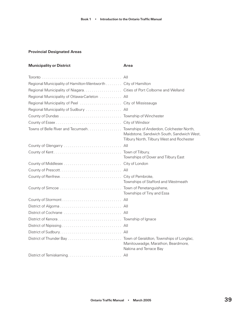### **Provincial Designated Areas**

| <b>Municipality or District</b>                                      | Area                                                                                   |
|----------------------------------------------------------------------|----------------------------------------------------------------------------------------|
|                                                                      |                                                                                        |
| Regional Municipality of Hamilton-Wentworth City of Hamilton         |                                                                                        |
| Regional Municipality of Niagara Cities of Port Colborne and Welland |                                                                                        |
| Regional Municipality of Ottawa-Carleton  All                        |                                                                                        |
|                                                                      |                                                                                        |
| Regional Municipality of Sudbury  All                                |                                                                                        |
|                                                                      |                                                                                        |
|                                                                      |                                                                                        |
|                                                                      | Maidstone, Sandwich South, Sandwich West,<br>Tilbury North, Tilbury West and Rochester |
|                                                                      |                                                                                        |
|                                                                      | Townships of Dover and Tilbury East                                                    |
|                                                                      |                                                                                        |
|                                                                      |                                                                                        |
|                                                                      | Townships of Stafford and Westmeath                                                    |
|                                                                      | Townships of Tiny and Essa                                                             |
|                                                                      |                                                                                        |
|                                                                      |                                                                                        |
| District of Cochrane  All                                            |                                                                                        |
|                                                                      |                                                                                        |
|                                                                      |                                                                                        |
|                                                                      |                                                                                        |
|                                                                      | Manitouwadge, Marathon, Beardmore,<br>Nakina and Terrace Bay                           |
|                                                                      |                                                                                        |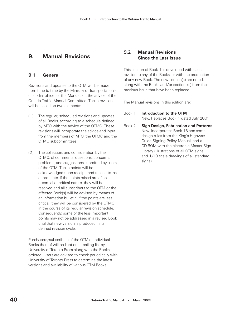## **9. Manual Revisions**

### **9.1 General**

Revisions and updates to the OTM will be made from time to time by the Ministry of Transportation's custodial office for the Manual, on the advice of the Ontario Traffic Manual Committee. These revisions will be based on two elements:

- (1) The regular, scheduled revisions and updates of all Books, according to a schedule defined by MTO with the advice of the OTMC. These revisions will incorporate the advice and input from the members of MTO, the OTMC and the OTMC subcommittees.
- (2) The collection, and consideration by the OTMC, of comments, questions, concerns, problems, and suggestions submitted by users of the OTM. These points will be acknowledged upon receipt, and replied to, as appropriate. If the points raised are of an essential or critical nature, they will be resolved and all subscribers to the OTM or the affected Book(s) will be advised by means of an information bulletin. If the points are less critical, they will be considered by the OTMC in the course of its regular revision schedule. Consequently, some of the less important points may not be addressed in a revised Book until that new version is produced in its defined revision cycle.

Purchasers/subscribers of the OTM or individual Books thereof will be kept on a mailing list by University of Toronto Press along with the Books ordered. Users are advised to check periodically with University of Toronto Press to determine the latest versions and availability of various OTM Books.

## **9.2 Manual Revisions Since the Last Issue**

This section of Book 1 is developed with each revision to any of the Books, or with the production of any new Book. The new section(s) are noted, along with the Books and/or sections(s) from the previous issue that have been replaced.

The Manual revisions in this edition are:

- Book 1 **Introduction to the OTM** New, Replaces Book 1 dated July 2001
- Book 2 **Sign Design, Fabrication and Patterns** New; incorporates Book 1B and some design rules from the King's Highway Guide Signing Policy Manual, and a CD-ROM with the electronic Master Sign Library (illustrations of all OTM signs and 1/10 scale drawings of all standard signs).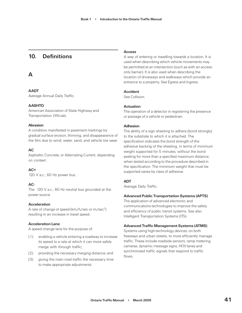## **10. Definitions**

## **A**

### **AADT**

Average Annual Daily Traffic.

### **AASHTO**

American Association of State Highway and Transportation Officials.

### **Abrasion**

A condition manifested in pavement markings by gradual surface erosion, thinning, and disappearance of the film due to wind, water, sand, and vehicle tire wear.

### **AC**

Asphaltic Concrete, or Alternating Current, depending on context.

### **AC+**

120 V a.c., 60 Hz power bus.

### **AC-**

The 120 V a.c., 60 Hz neutral bus grounded at the power source

### **Acceleration**

A rate of change of speed (km/h/sec or m/sec2) resulting in an increase in travel speed.

### **Acceleration Lane**

A speed change lane for the purpose of:

- (1) enabling a vehicle entering a roadway to increase its speed to a rate at which it can more safely merge with through traffic;
- (2) providing the necessary merging distance; and
- (3) giving the main road traffic the necessary time to make appropriate adjustments.

### **Access**

A way of entering or travelling towards a location. It is used when describing which vehicle movements may be permitted at an intersection (such as with an accessonly barrier). It is also used when describing the location of driveways and walkways which provide an entrance to a property. See Egress and Ingress.

### **Accident**

See Collision.

### **Actuation**

The operation of a detector in registering the presence or passage of a vehicle or pedestrian.

### **Adhesion**

The ability of a sign sheeting to adhere (bond strongly) to the substrate to which it is attached. The specification indicates the bond strength of the adhesive backing of the sheeting, in terms of minimum weight supported for 5 minutes, without the bond peeling for more than a specified maximum distance, when tested according to the procedure described in the specification. The minimum weight that must be supported varies by class of adhesive.

### **ADT**

Average Daily Traffic.

### **Advanced Public Transportation Systems (APTS)**

The application of advanced electronic and communications technologies to improve the safety and efficiency of public transit systems. See also Intelligent Transportation Systems (ITS).

### **Advanced Traffic Management Systems (ATMS)**

Systems using high-technology devices, on both freeways and urban streets, to more efficiently manage traffic. These include roadside sensors, ramp metering, cameras, dynamic message signs, HOV lanes and synchronized traffic signals that respond to traffic flows.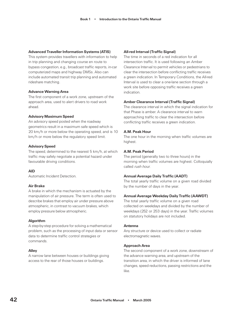### **Advanced Traveller Information Systems (ATIS)**

This system provides travellers with information to help in trip planning and changing course en route to bypass congestion, e.g., broadcast traffic reports, in-car computerized maps and highway DMSs. Also can include automated transit trip planning and automated rideshare matching.

### **Advance Warning Area**

The first component of a work zone, upstream of the approach area, used to alert drivers to road work ahead.

#### **Advisory Maximum Speed**

An advisory speed posted when the roadway geometrics result in a maximum safe speed which is 20 km/h or more below the operating speed, and is 10 km/h or more below the regulatory speed limit.

#### **Advisory Speed**

The speed, determined to the nearest 5 km/h, at which traffic may safely negotiate a potential hazard under favourable driving conditions.

#### **AID**

Automatic Incident Detection.

### **Air Brake**

A brake in which the mechanism is actuated by the manipulation of air pressure. The term is often used to describe brakes that employ air under pressure above atmospheric, in contrast to vacuum brakes, which employ pressure below atmospheric.

#### **Algorithm**

A step-by-step procedure for solving a mathematical problem, such as the processing of input data or sensor data to determine traffic control strategies or commands.

### **Alley**

A narrow lane between houses or buildings giving access to the rear of those houses or buildings.

### **All-red Interval (Traffic Signal)**

The time in seconds of a red indication for all intersection traffic. It is used following an Amber Clearance Interval to permit vehicles or pedestrians to clear the intersection before conflicting traffic receives a green indication. In Temporary Conditions, the All-red Interval is used to clear a one-lane section through a work site before opposing traffic receives a green indication.

### **Amber Clearance Interval (Traffic Signal)**

The clearance interval in which the signal indication for that Phase is amber. A clearance interval to warn approaching traffic to clear the intersection before conflicting traffic receives a green indication.

### **A.M. Peak Hour**

The one hour in the morning when traffic volumes are highest.

### **A.M. Peak Period**

The period (generally two to three hours) in the morning when traffic volumes are highest. Colloquially called *rush hour*.

### **Annual Average Daily Traffic (AADT)**

The total yearly traffic volume on a given road divided by the number of days in the year.

### **Annual Average Weekday Daily Traffic (AAWDT)**

The total yearly traffic volume on a given road collected on weekdays and divided by the number of weekdays (252 or 253 days) in the year. Traffic volumes on statutory holidays are not included.

### **Antenna**

Any structure or device used to collect or radiate electromagnetic waves.

#### **Approach Area**

The second component of a work zone, downstream of the advance warning area, and upstream of the transition area, in which the driver is informed of lane changes, speed reductions, passing restrictions and the like.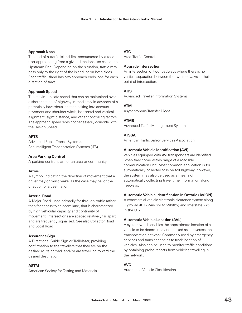#### **Approach Nose**

The end of a traffic island first encountered by a road user approaching from a given direction; also called the Upstream End. Depending on the situation, traffic may pass only to the right of the island, or on both sides. Each traffic island has two approach ends, one for each direction of travel.

### **Approach Speed**

The maximum safe speed that can be maintained over a short section of highway immediately in advance of a potentially hazardous location, taking into account pavement and shoulder width, horizontal and vertical alignment, sight distance, and other controlling factors. The approach speed does not necessarily coincide with the Design Speed.

### **APTS**

Advanced Public Transit Systems. See Intelligent Transportation Systems (ITS).

### **Area Parking Control**

A parking control plan for an area or community.

#### **Arrow**

A symbol indicating the direction of movement that a driver may or must make, as the case may be, or the direction of a destination.

### **Arterial Road**

A Major Road, used primarily for through traffic rather than for access to adjacent land, that is characterized by high vehicular capacity and continuity of movement. Intersections are spaced relatively far apart and are frequently signalized. See also Collector Road and Local Road.

### **Assurance Sign**

A Directional Guide Sign or Trailblazer, providing confirmation to the travellers that they are on the desired route or road, and/or are travelling toward the desired destination.

### **ASTM**

American Society for Testing and Materials.

### **ATC**

Area Traffic Control.

#### **At-grade Intersection**

An intersection of two roadways where there is no vertical separation between the two roadways at their point of intersection.

### **ATIS**

Advanced Traveller information Systems.

#### **ATM**

Asynchronous Transfer Mode.

#### **ATMS**

Advanced Traffic Management Systems.

### **ATSSA**

American Traffic Safety Services Association.

#### **Automatic Vehicle Identification (AVI)**

Vehicles equipped with AVI transponders are identified when they come within range of a roadside communication unit. Most common application is for automatically collected tolls on toll highway; however, the system may also be used as a means of automatically collecting travel time information along freeways.

#### **Automatic Vehicle Identification in Ontario (AVION)**

A commercial vehicle electronic clearance system along Highway 401 (Windsor to Whitby) and Interstate I-75 in the U.S.

#### **Automatic Vehicle Location (AVL)**

A system which enables the approximate location of a vehicle to be determined and tracked as it traverses the transportation network. Commonly used by emergency services and transit agencies to track location of vehicles. Also can be used to monitor traffic conditions by obtaining probe reports from vehicles travelling in the network.

### **AVC**

Automated Vehicle Classification.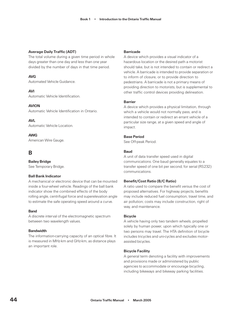### **Average Daily Traffic (ADT)**

The total volume during a given time period in whole days greater than one day and less than one year divided by the number of days in that time period.

### **AVG**

Automated Vehicle Guidance.

### **AVI**

Automatic Vehicle Identification.

**AVION** Automatic Vehicle Identification in Ontario.

**AVL** Automatic Vehicle Location.

**AWG** American Wire Gauge.

## **B**

**Bailey Bridge** See Temporary Bridge.

#### **Ball Bank Indicator**

A mechanical or electronic device that can be mounted inside a four-wheel vehicle. Readings of the ball bank indicator show the combined effects of the body rolling angle, centrifugal force and superelevation angle to estimate the safe operating speed around a curve.

### **Band**

A discrete interval of the electromagnetic spectrum between two wavelength values.

#### **Bandwidth**

The information-carrying capacity of an optical fibre. It is measured in MHz-km and GHz-km, as distance plays an important role.

#### **Barricade**

A device which provides a visual indicator of a hazardous location or the desired path a motorist should take, but is not intended to contain or redirect a vehicle. A barricade is intended to provide separation or to inform of closure, or to provide direction to pedestrians. A barricade is not a primary means of providing direction to motorists, but is supplemental to other traffic control devices providing delineation.

#### **Barrier**

A device which provides a physical limitation, through which a vehicle would not normally pass, and is intended to contain or redirect an errant vehicle of a particular size range, at a given speed and angle of impact.

### **Base Period**

See Off-peak Period.

#### **Baud**

A unit of data transfer speed used in digital communications. One baud generally equates to a transfer speed of one bit per second, for serial (RS232) communications.

#### **Benefit/Cost Ratio (B/C Ratio)**

A ratio used to compare the benefit versus the cost of proposed alternatives. For highway projects, benefits may include reduced fuel consumption, travel time, and air pollution; costs may include construction, right of way, and maintenance.

#### **Bicycle**

A vehicle having only two tandem wheels, propelled solely by human power, upon which typically one or two persons may travel. The HTA definition of bicycle includes tricycles and uni-cycles and excludes motorassisted bicycles.

#### **Bicycle Facility**

A general term denoting a facility with improvements and provisions made or administered by public agencies to accommodate or encourage bicycling, including bikeways and bikeway parking facilities.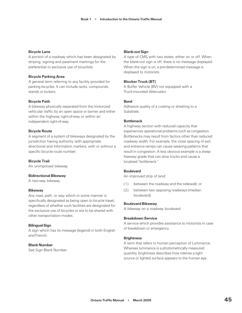#### **Bicycle Lane**

A portion of a roadway which has been designated by striping, signing and pavement markings for the preferential or exclusive use of bicyclists.

#### **Bicycle Parking Area**

A general term referring to any facility provided for parking bicycles. It can include racks, compounds, stands or lockers.

#### **Bicycle Path**

A bikeway physically separated from the motorized vehicular traffic by an open space or barrier and either within the highway right-of-way or within an independent right-of-way.

#### **Bicycle Route**

A segment of a system of bikeways designated by the jurisdiction having authority, with appropriate directional and information markers, with or without a specific bicycle route number.

### **Bicycle Trail**

An unimproved bikeway.

#### **Bidirectional Bikeway**

A two-way bikeway.

#### **Bikeway**

Any road, path, or way which in some manner is specifically designated as being open to bicycle travel, regardless of whether such facilities are designated for the exclusive use of bicycles or are to be shared with other transportation modes.

### **Bilingual Sign**

A sign which has its message (legend) in both English and French.

### **Blank Number**

See Sign Blank Number.

#### **Blank-out Sign**

A type of CMS with two states, either on or off. When the blank-out sign is off, there is no message displayed. When the sign is on, a pre-determined message is displayed to motorists.

#### **Blocker Truck (BT)**

A Buffer Vehicle (BV) not equipped with a Truck-mounted Attenuator.

#### **Bond**

Adhesive quality of a coating or sheeting to a Substrate.

#### **Bottleneck**

A highway section with reduced capacity that experiences operational problems such as congestion. Bottlenecks may result from factors other than reduced roadway width. For example, the close spacing of exit and entrance ramps can cause weaving patterns that result in congestion. A less obvious example is a steep freeway grade that can slow trucks and cause a localized "bottleneck."

#### **Boulevard**

An improved strip of land:

- (1) between the roadway and the sidewalk; or
- (2) between two opposing roadways (median boulevard).

### **Boulevard Bikeway**

A bikeway on a roadway boulevard.

#### **Breakdown Service**

A service which provides assistance to motorists in case of breakdown or emergency.

#### **Brightness**

A term that refers to human perception of Luminance. Whereas luminance is a photometrically measured quantity, brightness describes how intense a light source or lighted surface appears to the human eye.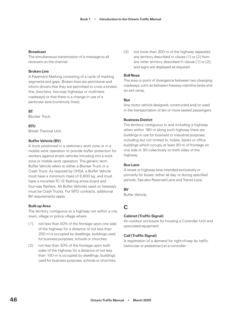### **Broadcast**

The simultaneous transmission of a message to all receivers on the channel.

### **Broken Line**

A Pavement Marking consisting of a cycle of marking segments and gaps. Broken lines are permissive and inform drivers that they are permitted to cross a broken line, (two-lane, two-way highways or multi-lane roadways) or that there is a change in use of a particular lane (continuity lines).

#### **BT**

Blocker Truck.

### **BTU**

British Thermal Unit.

### **Buffer Vehicle (BV)**

A truck positioned in a stationary work zone or in a mobile work operation to provide buffer protection for workers against errant vehicles intruding into a work zone or mobile work operation. The generic term Buffer Vehicle refers to either a Blocker Truck or a Crash Truck. As required by OHSA, a Buffer Vehicle must have a minimum mass of 6,800 kg, and must have a mounted TC-12 flashing arrow board and four-way flashers. All Buffer Vehicles used on freeways must be Crash Trucks. For MTO contracts, additional BV requirements apply.

#### **Built-up Area**

The territory contiguous to a highway not within a city, town, village or police village where:

- (1) not less than 50% of the frontage upon one side of the highway for a distance of not less than 200 m is occupied by dwellings, buildings used for business purposes, schools or churches;
- (2) not less than 50% of the frontage upon both sides of the highway for a distance of not less than 100 m is occupied by dwellings, buildings used for business purposes, schools or churches;

(3) not more than 200 m of the highway separates any territory described in clause (1) or (2) from any other territory described in clause (1) or (2); and signs are displayed as required.

#### **Bull Nose**

The area or point of divergence between two diverging roadways, such as between freeway mainline lanes and an exit ramp.

### **Bus**

Any motor vehicle designed, constructed and/or used in the transportation of ten or more seated passengers.

### **Business District**

The territory contiguous to and including a highway when within 180 m along such highway there are buildings in use for business or industrial purposes, including but not limited to, hotels, banks or office buildings which occupy at least 90 m of frontage on one side or 90 collectively on both sides of the highway.

### **Bus Lane**

A street or highway lane intended exclusively or primarily for buses, either all day, or during specified periods. See also Reserved Lane and Transit Lane.

### **BV**

Buffer Vehicle.

# **C**

### **Cabinet (Traffic Signal)**

An outdoor enclosure for housing a Controller Unit and associated equipment.

### **Call (Traffic Signal)**

A registration of a demand for right-of-way by traffic (vehicular or pedestrian) at a controller.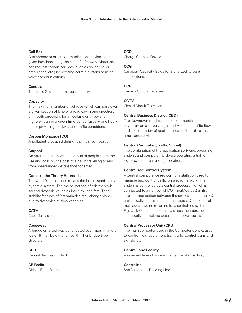### **Call Box**

A telephone or other communications device located at given locations along the side of a freeway. Motorists can request various services (such as police fire, or ambulance, etc.) by pressing certain buttons or using voice communications.

### **Candela**

The basic SI unit of luminous intensity.

#### **Capacity**

The maximum number of vehicles which can pass over a given section of lane or a roadway in one direction, or in both directions for a two-lane or three-lane highway, during a given time period (usually one hour) under prevailing roadway and traffic conditions.

#### **Carbon Monoxide (CO)**

A pollutant produced during fossil fuel combustion.

#### **Carpool**

An arrangement in which a group of people share the use and possibly the cost of a car in travelling to and from pre-arranged destinations together.

#### **Catastrophe Theory Approach**

The word "Catastrophe" means the loss of stability in a dynamic system. The major method of this theory is sorting dynamic variables into slow and fast. Then stability features of fast variables may change slowly due to dynamics of slow variables.

### **CATV**

Cable Television.

### **Causeway**

A bridge or raised way constructed over marshy land or water. It may be either an earth fill or bridge type structure.

**CBD** Central Business District.

### **CB Radio**

Citizen Band Radio.

### **CCD**

Charge-Coupled Device.

### **CCG**

Canadian Capacity Guide for Signalized (Urban) Intersections.

### **CCR**

Camera Control Receivers.

### **CCTV**

Closed Circuit Television.

#### **Central Business District (CBD)**

The downtown retail trade and commercial area of a city or an area of very high land valuation, traffic flow, and concentration of retail business offices, theatres, hotels and services.

#### **Central Computer (Traffic Signal)**

The combination of the application software, operating system, and computer hardware operating a traffic signal system from a single location.

#### **Centralized Control System**

A central computer-based control installation used to manage and control traffic on a road network. The system is controlled by a central processor, which is connected to a number of I/O (input/output) units. The communication between the processor and the I/O units usually consists of data messages. Other kinds of messages have no meaning for a centralized system. E.g., an I/O-unit cannot send a status message, because it is usually not able to determine its own status.

#### **Central Processor Unit (CPU)**

The main computer used in the Computer Centre, used to control field equipment (i.e., traffic control signs and signals, etc.).

### **Centre Lane Facility**

A reserved lane at or near the centre of a roadway.

#### **Centreline**

See Directional Dividing Line.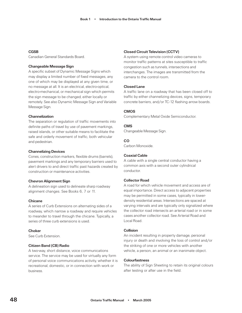### **CGSB**

Canadian General Standards Board.

### **Changeable Message Sign**

A specific subset of Dynamic Message Signs which may display a limited number of fixed messages, any one of which may be displayed at any given time, or no message at all. It is an electrical, electro-optical, electro-mechanical, or mechanical sign which permits the sign message to be changed, either locally or remotely. See also Dynamic Message Sign and Variable Message Sign.

#### **Channelization**

The separation or regulation of traffic movements into definite paths of travel by use of pavement markings, raised islands, or other suitable means to facilitate the safe and orderly movement of traffic, both vehicular and pedestrian.

#### **Channelizing Devices**

Cones, construction markers, flexible drums (barrels), pavement markings and any temporary barriers used to alert drivers to and direct traffic past hazards created by construction or maintenance activities.

#### **Chevron Alignment Sign**

A delineation sign used to delineate sharp roadway alignment changes. See Books 6, 7 or 11.

#### **Chicane**

A series of Curb Extensions on alternating sides of a roadway, which narrow a roadway and require vehicles to meander to travel through the chicane. Typically, a series of three curb extensions is used.

#### **Choker**

See Curb Extension.

### **Citizen Band (CB) Radio**

A two-way, short distance, voice communications service. The service may be used for virtually any form of personal voice communications activity, whether it is recreational, domestic, or in connection with work or business.

### **Closed Circuit Television (CCTV)**

A system using remote control video cameras to monitor traffic patterns at sites susceptible to traffic congestion such as tunnels, intersections and interchanges. The images are transmitted from the camera to the control room.

### **Closed Lane**

A traffic lane on a roadway that has been closed off to traffic by either channelizing devices, signs, temporary concrete barriers, and/or TC-12 flashing arrow boards.

#### **CMOS**

Complementary Metal Oxide Semiconductor.

#### **CMS**

Changeable Message Sign.

#### **CO**

Carbon Monoxide.

#### **Coaxial Cable**

A cable with a single central conductor having a common axis with a second outer cylindrical conductor.

#### **Collector Road**

A road for which vehicle movement and access are of equal importance. Direct access to adjacent properties may be permitted in some cases, typically in lowerdensity residential areas. Intersections are spaced at varying intervals and are typically only signalized where the collector road intersects an arterial road or in some cases another collector road. See Arterial Road and Local Road.

#### **Collision**

An incident resulting in property damage, personal injury or death and involving the loss of control and/or the striking of one or more vehicles with another vehicle, a person, an animal or an inanimate object.

### **Colourfastness**

The ability of Sign Sheeting to retain its original colours after testing or after use in the field.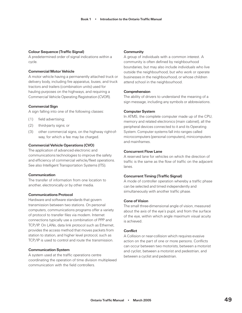#### **Colour Sequence (Traffic Signal)**

A predetermined order of signal indications within a cycle.

### **Commercial Motor Vehicle**

A motor vehicle having a permanently attached truck or delivery body, including fire apparatus, buses, and truck tractors and trailers (combination units) used for hauling purposes on the highways, and requiring a Commercial Vehicle Operating Registration (CVOR).

#### **Commercial Sign**

A sign falling into one of the following classes:

- (1) field advertising;
- (2) third-party signs; or
- (3) other commercial signs, on the highway right-ofway, for which a fee may be charged.

### **Commercial Vehicle Operations (CVO)**

The application of advanced electronic and communications technologies to improve the safety and efficiency of commercial vehicle/fleet operations. See also Intelligent Transportation Systems (ITS).

#### **Communication**

The transfer of information from one location to another, electronically or by other media.

#### **Communications Protocol**

Hardware and software standards that govern transmission between two stations. On personal computers, communications programs offer a variety of protocol to transfer files via modem. Internet connections typically use a combination of PPP and TCP/IP. On LANs, data link protocol such as Ethernet, provides the access method that moves packets from station to station, and higher level protocol, such as TCP/IP is used to control and route the transmission.

#### **Communication System**

A system used at the traffic operations centre coordinating the operation of time division multiplexed communication with the field controllers.

#### **Community**

A group of individuals with a common interest. A community is often defined by neighbourhood boundaries, but may also include individuals who live outside the neighbourhood, but who work or operate businesses in the neighbourhood, or whose children attend school in the neighbourhood.

#### **Comprehension**

The ability of drivers to understand the meaning of a sign message, including any symbols or abbreviations.

#### **Computer System**

In ATMS, the complete computer made up of the CPU, memory and related electronics (main cabinet), all the peripheral devices connected to it and its Operating System. Computer systems fall into ranges called microcomputers (personal computers), minicomputers and mainframes.

### **Concurrent Flow Lane**

A reserved lane for vehicles on which the direction of traffic is the same as the flow of traffic on the adjacent lanes.

### **Concurrent Timing (Traffic Signal)**

A mode of controller operation whereby a traffic phase can be selected and timed independently and simultaneously with another traffic phase.

### **Cone of Vision**

The small three-dimensional angle of vision, measured about the axis of the eye's pupil, and from the surface of the eye, within which angle maximum visual acuity is achieved.

### **Conflict**

A Collision or near-collision which requires evasive action on the part of one or more persons. Conflicts can occur between two motorists, between a motorist and cyclist, between a motorist and pedestrian, and between a cyclist and pedestrian.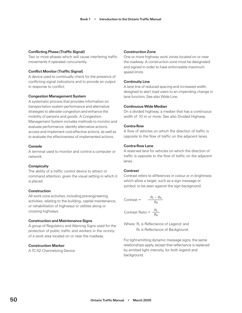#### **Conflicting Phase (Traffic Signal)**

Two or more phases which will cause interfering traffic movements if operated concurrently.

#### **Conflict Monitor (Traffic Signal)**

A device used to continually check for the presence of conflicting signal indications and to provide an output in response to conflict.

#### **Congestion Management System**

A systematic process that provides information on transportation system performance and alternative strategies to alleviate congestion and enhance the mobility of persons and goods. A Congestion Management System includes methods to monitor and evaluate performance, identify alternative actions, access and implement cost-effective actions, as well as to evaluate the effectiveness of implemented actions.

#### **Console**

A terminal used to monitor and control a computer or network.

#### **Conspicuity**

The ability of a traffic control device to attract or command attention, given the visual setting in which it is placed.

#### **Construction**

All work zone activities, including pre-engineering activities, relating to the building, capital maintenance, or rehabilitation of highways or utilities along or crossing highways.

#### **Construction and Maintenance Signs**

A group of Regulatory and Warning Signs used for the protection of public traffic and workers in the vicinity of a work area located on or near the roadway.

### **Construction Marker**

A TC-52 Channelizing Device.

#### **Construction Zone**

One or more highway work zones located on or near the roadway. A construction zone must be designated and signed in order to have enforceable maximum speed limits.

#### **Continuity Line**

A lane line of reduced spacing and increased width, designed to alert road users to an impending change in lane function. See also Wide Line.

#### **Continuous Wide Median**

On a divided highway, a median that has a continuous width of 10 m or more. See also Divided Highway.

#### **Contra-flow**

A flow of vehicles on which the direction of traffic is opposite to the flow of traffic on the adjacent lanes.

### **Contra-flow Lane**

A reserved lane for vehicles on which the direction of traffic is opposite to the flow of traffic on the adjacent lanes.

#### **Contrast**

Contrast refers to differences in colour or in brightness which allow a target, such as a sign message or symbol, to be seen against the sign background.

$$
Contrast = \frac{R_L - R_B}{R_B}
$$

Contrast Ratio =  $\frac{R_L}{R_B}$ 

Where: RL is Reflectance of Legend; and R<sub>B</sub> is Reflectance of Background.

For light-emitting dynamic message signs, the same relationships apply, except that reflectance is replaced by emitted light intensity, for both legend and background.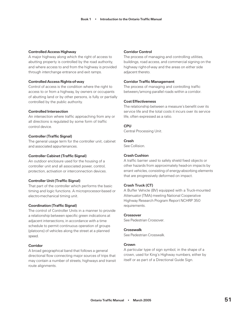#### **Controlled Access Highway**

A major highway along which the right of access to abutting property is controlled by the road authority, and where access to and from the highway is provided through interchange entrance and exit ramps.

### **Controlled Access Rights-of-way**

Control of access is the condition where the right to access to or from a highway, by owners or occupants of abutting land or by other persons, is fully or partially controlled by the public authority.

### **Controlled Intersection**

An intersection where traffic approaching from any or all directions is regulated by some form of traffic control device.

#### **Controller (Traffic Signal)**

The general usage term for the controller unit, cabinet and associated appurtenances.

#### **Controller Cabinet (Traffic Signal)**

An outdoor enclosure used for the housing of a controller unit and all associated power, control, protection, activation or interconnection devices.

### **Controller Unit (Traffic Signal)**

That part of the controller which performs the basic timing and logic functions. A microprocessor-based or electro-mechanical timing unit.

#### **Coordination (Traffic Signal)**

The control of Controller Units in a manner to provide a relationship between specific green indications at adjacent intersections, in accordance with a time schedule to permit continuous operation of groups (platoons) of vehicles along the street at a planned speed.

### **Corridor**

A broad geographical band that follows a general directional flow connecting major sources of trips that may contain a number of streets, highways and transit route alignments.

### **Corridor Control**

The process of managing and controlling utilities, buildings, road access, and commercial signing on the highway right-of-way and the areas on either side adjacent thereto.

#### **Corridor Traffic Management**

The process of managing and controlling traffic between/among parallel roads within a corridor.

#### **Cost Effectiveness**

The relationship between a measure's benefit over its service life and the total costs it incurs over its service life, often expressed as a ratio.

### **CPU**

Central Processing Unit.

#### **Crash**

See Collision.

#### **Crash Cushion**

A traffic barrier used to safely shield fixed objects or other hazards from approximately head-on impacts by errant vehicles, consisting of energy-absorbing elements that are progressively deformed on impact.

#### **Crash Truck (CT)**

A Buffer Vehicle (BV) equipped with a Truck-mounted Attenuator (TMA) meeting National Cooperative Highway Research Program Report NCHRP 350 requirements.

#### **Crossover**

See Pedestrian Crossover.

#### **Crosswalk**

See Pedestrian Crosswalk.

#### **Crown**

A particular type of sign symbol, in the shape of a crown, used for King's Highway numbers, either by itself or as part of a Directional Guide Sign.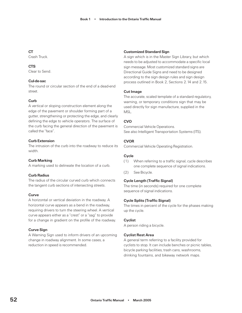## **CT**

Crash Truck.

### **CTS**

Clear to Send.

### **Cul-de-sac**

The round or circular section of the end of a dead-end street.

### **Curb**

A vertical or sloping construction element along the edge of the pavement or shoulder forming part of a gutter, strengthening or protecting the edge, and clearly defining the edge to vehicle operators. The surface of the curb facing the general direction of the pavement is called the "face".

### **Curb Extension**

The intrusion of the curb into the roadway to reduce its width.

### **Curb Marking**

A marking used to delineate the location of a curb.

### **Curb Radius**

The radius of the circular curved curb which connects the tangent curb sections of intersecting streets.

### **Curve**

A horizontal or vertical deviation in the roadway. A horizontal curve appears as a bend in the roadway, requiring drivers to turn the steering wheel. A vertical curve appears either as a "crest" or a "sag" to provide for a change in gradient on the profile of the roadway.

### **Curve Sign**

A Warning Sign used to inform drivers of an upcoming change in roadway alignment. In some cases, a reduction in speed is recommended.

#### **Customized Standard Sign**

A sign which is in the Master Sign Library, but which needs to be adjusted to accommodate a specific local sign message. Most customized standard signs are Directional Guide Signs and need to be designed according to the sign design rules and sign design process outlined in Book 2, Sections 2.14 and 2.15.

#### **Cut Image**

The accurate, scaled template of a standard regulatory, warning, or temporary conditions sign that may be used directly for sign manufacture, supplied in the MSL.

### **CVO**

Commercial Vehicle Operations. See also Intelligent Transportation Systems (ITS).

### **CVOR**

Commercial Vehicle Operating Registration.

#### **Cycle**

- (1) When referring to a traffic signal, cycle describes one complete sequence of signal indications.
- (2) See Bicycle.

#### **Cycle Length (Traffic Signal)**

The time (in seconds) required for one complete sequence of signal indications.

### **Cycle Splits (Traffic Signal)**

The times in percent of the cycle for the phases making up the cycle.

#### **Cyclist**

A person riding a bicycle.

### **Cyclist Rest Area**

A general term referring to a facility provided for cyclists to stop. It can include benches or picnic tables, bicycle parking facilities, trash cans, washrooms, drinking fountains, and bikeway network maps.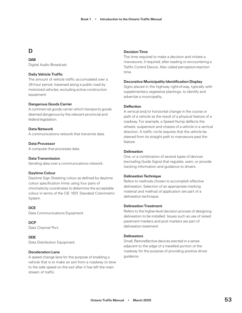## **D**

**DAB**

Digital Audio Broadcast.

### **Daily Vehicle Traffic**

The amount of vehicle traffic accumulated over a 24-hour period, traversed along a public road by motorized vehicles, excluding active construction equipment.

### **Dangerous Goods Carrier**

A commercial goods carrier which transports goods deemed dangerous by the relevant provincial and federal legislation.

### **Data Network**

A communications network that transmits data.

### **Data Processor**

A computer that processes data.

#### **Data Transmission**

Sending data over a communications network.

### **Daytime Colour**

Daytime Sign Sheeting colour as defined by daytime colour specification limits using four pairs of chromaticity coordinates to determine the acceptable colour in terms of the CIE 1931 Standard Colorimetric System.

**DCE** Data Communications Equipment.

**DCP** Data Channel Port.

### **DDE**

Data Distribution Equipment.

### **Deceleration Lane**

A speed change lane for the purpose of enabling a vehicle that is to make an exit from a roadway to slow to the safe speed on the exit after it has left the main stream of traffic.

### **Decision Time**

The time required to make a decision and initiate a manoeuvre, if required, after reading or encountering a Traffic Control Device. Also called perception-reaction time.

#### **Decorative Municipality Identification Display**

Signs placed in the highway right-of-way, typically with supplementary vegetative plantings, to identify and advertize a municipality.

#### **Deflection**

A vertical and/or horizontal change in the course or path of a vehicle as the result of a physical feature of a roadway. For example, a Speed Hump deflects the wheels, suspension and chassis of a vehicle in a vertical direction. A traffic circle requires that the vehicle be steered from its straight path to manoeuvre past the feature.

### **Delineation**

One, or a combination of several types of devices (excluding Guide Signs) that regulate, warn, or provide tracking information and guidance to drivers.

#### **Delineation Technique**

Refers to methods chosen to accomplish effective delineation. Selection of an appropriate marking material and method of application are part of a delineation technique.

### **Delineation Treatment**

Refers to the higher-level decision process of designing delineation to be installed. Issues such as use of raised pavement markers and post markers are part of delineation treatment.

#### **Delineators**

Small, Retroreflective devices erected in a series adjacent to the edge of a travelled portion of the roadway for the purpose of providing positive driver guidance.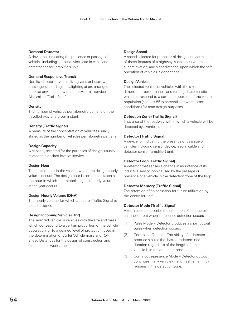#### **Demand Detector**

A device for indicating the presence or passage of vehicles including sensor device, lead-in cable and detector sensor (amplifier) unit.

#### **Demand Responsive Transit**

Non-fixed-route service utilizing vans or buses with passengers boarding and alighting at pre-arranged times at any location within the system's service area. Also called "Dial-a-Ride".

#### **Density**

The number of vehicles per kilometre per lane on the travelled way at a given instant.

### **Density (Traffic Signal)**

A measure of the concentration of vehicles usually stated as the number of vehicles per kilometre per lane.

#### **Design Capacity**

A capacity selected for the purposes of design, usually related to a desired level of service.

#### **Design Hour**

The ranked hour in the year, in which the design hourly volume occurs. The design hour is sometimes taken as the hour in which the thirtieth highest hourly volume in the year occurs.

#### **Design Hourly Volume (DHV)**

The hourly volume for which a road or Traffic Signal is to be designed.

#### **Design Incoming Vehicle (DIV)**

The selected vehicle or vehicles with the size and mass which correspond to a certain proportion of the vehicle population, or to a defined level of protection, used in the determination of Buffer Vehicle mass and Rollahead Distances for the design of construction and maintenance work zones.

#### **Design Speed**

A speed selected for purposes of design and correlation of those features of a highway, such as curvature, superelevation, and sight distance, upon which the safe operation of vehicles is dependent.

#### **Design Vehicle**

The selected vehicle or vehicles with the size, dimensions, performance, and turning characteristics which correspond to a certain proportion of the vehicle population (such as 85th percentile or worst-case conditions) for road design purposes.

#### **Detection Zone (Traffic Signal)**

That area of the roadway within which a vehicle will be detected by a vehicle detector.

### **Detector (Traffic Signal)**

A device for indicating the presence or passage of vehicles including sensor device, lead-in cable and detector sensor (amplifier) unit.

### **Detector Loop (Traffic Signal)**

A detector that senses a change in inductance of its inductive sensor loop caused by the passage or presence of a vehicle in the detection zone of the loop.

### **Detector Memory (Traffic Signal)**

The retention of an actuation for future utilization by the controller unit.

#### **Detector Mode (Traffic Signal)**

A term used to describe the operation of a detector channel output when a presence detection occurs:

- (1) Pulse Mode Detector produces a short output pulse when detection occurs.
- (2) Controlled Output The ability of a detector to produce a pulse that has a predetermined duration regardless of the length of time a vehicle is in the detection zone.
- (3) Continuous-presence Mode Detector output continues if any vehicle (first or last remaining) remains in the detection zone.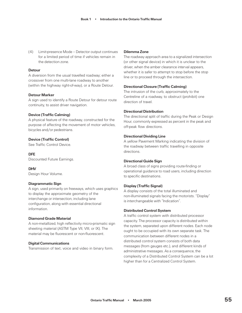(4) Limit-presence Mode – Detector output continues for a limited period of time if vehicles remain in the detection zone.

#### **Detour**

A diversion from the usual travelled roadway; either a crossover from one multi-lane roadway to another (within the highway right-of-way), or a Route Detour.

#### **Detour Marker**

A sign used to identify a Route Detour for detour route continuity, to assist driver navigation.

#### **Device (Traffic Calming)**

A physical feature of the roadway, constructed for the purpose of affecting the movement of motor vehicles, bicycles and/or pedestrians.

#### **Device (Traffic Control)**

See Traffic Control Device.

**DFE** Discounted Future Earnings.

**DHV** Design Hour Volume.

#### **Diagrammatic Sign**

A sign, used primarily on freeways, which uses graphics to display the approximate geometry of the interchange or intersection, including lane configuration, along with essential directional information.

### **Diamond Grade Material**

A non-metallized, high reflectivity micro-prismatic sign sheeting material (ASTM Type VII, VIII, or IX). The material may be fluorescent or non-fluorescent.

### **Digital Communications**

Transmission of text, voice and video in binary form.

#### **Dilemma Zone**

The roadway approach area to a signalized intersection (or other signal device) in which it is unclear to the driver, when the amber clearance interval appears, whether it is safer to attempt to stop before the stop line or to proceed through the intersection.

### **Directional Closure (Traffic Calming)**

The intrusion of the curb, approximately to the Centreline of a roadway, to obstruct (prohibit) one direction of travel.

### **Directional Distribution**

The directional split of traffic during the Peak or Design Hour, commonly expressed as percent in the peak and off-peak flow directions.

#### **Directional Dividing Line**

A yellow Pavement Marking indicating the division of the roadway between traffic travelling in opposite directions.

#### **Directional Guide Sign**

A broad class of signs providing route-finding or operational guidance to road users, including direction to specific destinations.

### **Display (Traffic Signal)**

A display consists of the total illuminated and non-illuminated signals facing the motorists. "Display" is interchangeable with "Indication".

#### **Distributed Control System**

A traffic control system with distributed processor capacity. The processor capacity is distributed within the system, separated upon different nodes. Each node ought to be occupied with its own separate task. The communication between different nodes in a distributed control system consists of both data messages (from gauges etc.), and different kinds of administrative messages. As a consequence, the complexity of a Distributed Control System can be a lot higher than for a Centralized Control System.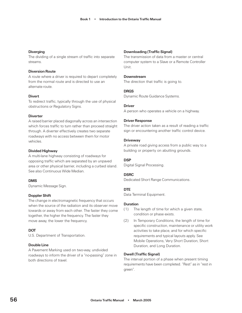#### **Diverging**

The dividing of a single stream of traffic into separate streams.

### **Diversion Route**

A route where a driver is required to depart completely from the normal route and is directed to use an alternate route.

### **Divert**

To redirect traffic, typically through the use of physical obstructions or Regulatory Signs.

#### **Diverter**

A raised barrier placed diagonally across an intersection which forces traffic to turn rather than proceed straight through. A diverter effectively creates two separate roadways with no access between them for motor vehicles.

#### **Divided Highway**

A multi-lane highway consisting of roadways for opposing traffic which are separated by an unpaved area or other physical barrier, including a curbed island. See also Continuous Wide Median.

#### **DMS**

Dynamic Message Sign.

### **Doppler Shift**

The change in electromagnetic frequency that occurs when the source of the radiation and its observer move towards or away from each other. The faster they come together, the higher the frequency. The faster they move away, the lower the frequency.

### **DOT**

U.S. Department of Transportation.

#### **Double Line**

A Pavement Marking used on two-way, undivided roadways to inform the driver of a "no-passing" zone in both directions of travel.

### **Downloading (Traffic Signal)**

The transmission of data from a master or central computer system to a Slave or a Remote Controller Unit.

#### **Downstream**

The direction that traffic is going to.

### **DRGS**

Dynamic Route Guidance Systems.

#### **Driver**

A person who operates a vehicle on a highway.

#### **Driver Response**

The driver action taken as a result of reading a traffic sign or encountering another traffic control device.

#### **Driveway**

A private road giving access from a public way to a building or property on abutting grounds.

#### **DSP**

Digital Signal Processing.

#### **DSRC**

Dedicated Short Range Communications.

#### **DTE**

Data Terminal Equipment.

### **Duration**

- (1) The length of time for which a given state, condition or phase exists.
- (2) In Temporary Conditions, the length of time for specific construction, maintenance or utility work activities to take place, and for which specific requirements and typical layouts apply. See Mobile Operations, Very Short Duration, Short Duration, and Long Duration.

#### **Dwell (Traffic Signal)**

The interval portion of a phase when present timing requirements have been completed. "Rest" as in "rest in green".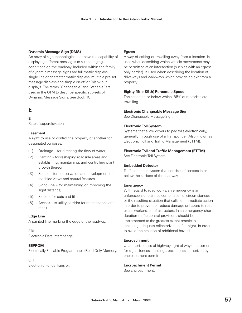### **Dynamic Message Sign (DMS)**

An array of sign technologies that have the capability of displaying different messages to suit changing conditions on the roadway. Included within the family of dynamic message signs are full matrix displays, single line or character matrix displays, multiple pre-set message displays and simple on-off or "blank-out" displays. The terms "Changeable" and "Variable" are used in the OTM to describe specific sub-sets of Dynamic Message Signs. See Book 10.

## **E**

**E**

Rate of superelevation.

### **Easement**

A right to use or control the property of another for designated purposes:

- (1) Drainage for directing the flow of water;
- (2) Planting for reshaping roadside areas and establishing, maintaining, and controlling plant growth thereon;
- (3) Scenic for conservation and development of roadside views and natural features;
- (4) Sight Line for maintaining or improving the sight distance;
- (5) Slope for cuts and fills;
- (6) Access to utility corridor for maintenance and repair.

### **Edge Line**

A painted line marking the edge of the roadway.

### **EDI**

Electronic Data Interchange.

### **EEPROM**

Electrically Erasable Programmable Read Only Memory.

### **EFT**

Electronic Funds Transfer.

### **Egress**

A way of exiting or travelling away from a location. Is used when describing which vehicle movements may be permitted at an intersection (such as with an egressonly barrier). Is used when describing the location of driveways and walkways which provide an exit from a property.

### **Eighty-fifth (85th) Percentile Speed**

The speed at, or below which, 85% of motorists are travelling.

### **Electronic Changeable Message Sign**

See Changeable Message Sign.

### **Electronic Toll System**

Systems that allow drivers to pay tolls electronically, generally through use of a Transponder. Also known as Electronic Toll and Traffic Management (ETTM).

### **Electronic Toll and Traffic Management (ETTM)**

See Electronic Toll System.

### **Embedded Detector**

Traffic detector system that consists of sensors in or below the surface of the roadway.

### **Emergency**

With regard to road works, an emergency is an unforeseen, unplanned combination of circumstances or the resulting situation that calls for immediate action in order to prevent or reduce damage or hazard to road users, workers, or infrastructure. In an emergency, short duration traffic control provisions should be implemented to the greatest extent practicable, including adequate reflectorization if at night, in order to avoid the creation of additional hazard.

### **Encroachment**

Unauthorized use of highway right-of-way or easements for signs, fences, buildings, etc., unless authorized by encroachment permit.

### **Encroachment Permit**

See Encroachment.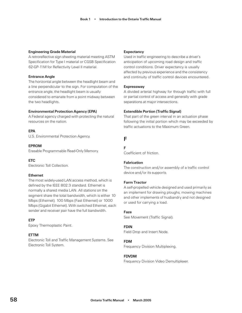#### **Engineering Grade Material**

A retroreflective sign sheeting material meeting ASTM Specification for Type I material or CGSB Specification 62-GP-11M for Reflectivity Level II material.

#### **Entrance Angle**

The horizontal angle between the headlight beam and a line perpendicular to the sign. For computation of the entrance angle, the headlight beam is usually considered to emanate from a point midway between the two headlights.

#### **Environmental Protection Agency (EPA)**

A Federal agency charged with protecting the natural resources on the nation.

#### **EPA**

U.S. Environmental Protection Agency.

**EPROM** Erasable Programmable Read-Only Memory.

**ETC**

Electronic Toll Collection.

#### **Ethernet**

The most widely-used LAN access method, which is defined by the IEEE 802.3 standard. Ethernet is normally a shared media LAN. All stations on the segment share the total bandwidth, which is either 10 Mbps (Ethernet), 100 Mbps (Fast Ethernet) or 1000 Mbps (Gigabit Ethernet). With switched Ethernet, each sender and receiver pair have the full bandwidth.

### **ETP**

Epoxy Thermoplastic Paint.

### **ETTM**

Electronic Toll and Traffic Management Systems. See Electronic Toll System.

#### **Expectancy**

Used in traffic engineering to describe a driver's anticipation of upcoming road design and traffic control conditions. Driver expectancy is usually affected by previous experience and the consistency and continuity of traffic control devices encountered.

### **Expressway**

A divided arterial highway for through traffic with full or partial control of access and generally with grade separations at major intersections.

#### **Extendible Portion (Traffic Signal)**

That part of the green interval in an actuation phase following the initial portion which may be exceeded by traffic actuations to the Maximum Green.

### **F**

**F** Coefficient of friction.

### **Fabrication**

The construction and/or assembly of a traffic control device and/or its supports.

#### **Farm Tractor**

A self-propelled vehicle designed and used primarily as an implement for drawing ploughs, mowing machines and other implements of husbandry and not designed or used for carrying a load.

#### **Faze**

See Movement (Traffic Signal).

#### **FDIN**

Field Drop and Insert Node.

### **FDM**

Frequency Division Multiplexing.

#### **FDVDM**

Frequency Division Video Demultiplexer.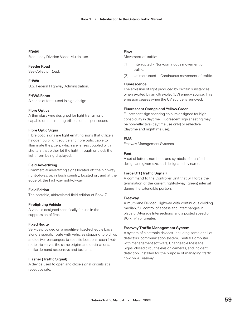### **FDVM**

Frequency Division Video Multiplexer.

### **Feeder Road**

See Collector Road.

### **FHWA**

U.S. Federal Highway Administration.

### **FHWA Fonts**

A series of fonts used in sign design.

### **Fibre Optics**

A thin glass wire designed for light transmission, capable of transmitting trillions of bits per second.

### **Fibre Optic Signs**

Fibre optic signs are light emitting signs that utilize a halogen bulb light source and fibre optic cable to illuminate the pixels, which are lenses coupled with shutters that either let the light through or block the light from being displayed.

### **Field Advertizing**

Commercial advertizing signs located off the highway right-of-way, or, in bush country, located on, and at the edge of, the highway right-of-way.

### **Field Edition**

The portable, abbreviated field edition of Book 7.

### **Firefighting Vehicle**

A vehicle designed specifically for use in the suppression of fires.

### **Fixed Route**

Service provided on a repetitive, fixed-schedule basis along a specific route with vehicles stopping to pick up and deliver passengers to specific locations; each fixedroute trip serves the same origins and destinations, unlike demand responsive and taxicabs.

### **Flasher (Traffic Signal)**

A device used to open and close signal circuits at a repetitive rate.

### **Flow**

Movement of traffic:

- (1) Interrupted Non-continuous movement of traffic;
- (2) Uninterrupted Continuous movement of traffic.

### **Fluorescence**

The emission of light produced by certain substances when excited by an ultraviolet (UV) energy source. This emission ceases when the UV source is removed.

### **Fluorescent Orange and Yellow-Green**

Fluorescent sign sheeting colours designed for high conspicuity in daytime. Fluorescent sign sheeting may be non-reflective (daytime use only) or reflective (daytime and nighttime use).

### **FMS**

Freeway Management Systems.

### **Font**

A set of letters, numbers, and symbols of a unified design and given size, and designated by name.

### **Force Off (Traffic Signal)**

A command to the Controller Unit that will force the termination of the current right-of-way (green) interval during the extendible portion.

### **Freeway**

A multi-lane Divided Highway with continuous dividing median, full control of access and interchanges in place of At-grade Intersections, and a posted speed of 90 km/h or greater.

### **Freeway Traffic Management System**

A system of electronic devices, including some or all of detectors, communication system, Central Computer with management software, Changeable Message Signs, closed circuit television cameras, and incident detection, installed for the purpose of managing traffic flow on a Freeway.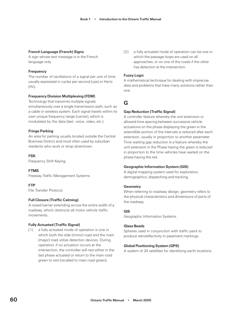### **French Language (French) Signs**

A sign whose text message is in the French language only.

### **Frequency**

The number of oscillations of a signal per unit of time; usually expressed in cycles per second (cps) or Hertz  $(Hz)$ .

#### **Frequency Division Multiplexing (FDM)**

Technology that transmits multiple signals simultaneously over a single transmission path, such as a cable or wireless system. Each signal travels within its own unique frequency range (carrier), which is modulated by the data (text, voice, video, etc.)

#### **Fringe Parking**

An area for parking usually located outside the Central Business District and most often used by suburban residents who work or shop downtown.

### **FSK**

Frequency Shift Keying.

#### **FTMS**

Freeway Traffic Management Systems.

### **FTP**

File Transfer Protocol.

#### **Full Closure (Traffic Calming)**

A raised barrier extending across the entire width of a roadway, which obstructs all motor vehicle traffic movements.

### **Fully Actuated (Traffic Signal)**

(1) a fully actuated mode of operation is one in which both the side (minor) road and the main (major) road utilize detection devices. During operation, if no actuation occurs at the intersection, the controller will rest either in the last phase actuated or return to the main road green to rest (recalled to main road green);

(2) a fully actuated mode of operation can be one in which the passage loops are used on all approaches, or on one of the roads if the other has detection at the intersection.

#### **Fuzzy Logic**

A mathematical technique for dealing with imprecise data and problems that have many solutions rather than one.

## **G**

### **Gap Reduction (Traffic Signal)**

A controller feature whereby the unit extension or allowed time spacing between successive vehicle actuations on the phase displaying the green in the extendible portion of the intervals is reduced after each extension, usually in proportion to another parameter. Time waiting gap reduction is a feature whereby the unit extension in the Phase having the green is reduced in proportion to the time vehicles have waited on the phase having the red.

#### **Geographic Information System (GIS)**

A digital mapping system used for exploration, demographics, dispatching and tracking.

### **Geometry**

When referring to roadway design, geometry refers to the physical characteristics and dimensions of parts of the roadway.

#### **GIS**

Geographic Information Systems.

#### **Glass Beads**

Spheres used in conjunction with traffic paint to produce retroreflectivity in pavement markings.

### **Global Positioning System (GPS)**

A system of 24 satellites for identifying earth locations.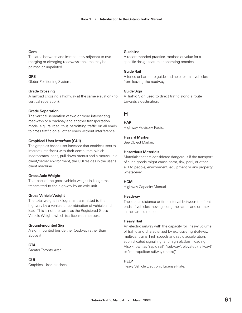### **Gore**

The area between and immediately adjacent to two merging or diverging roadways; the area may be painted or unpainted.

### **GPS**

Global Positioning System.

#### **Grade Crossing**

A railroad crossing a highway at the same elevation (no vertical separation).

#### **Grade Separation**

The vertical separation of two or more intersecting roadways or a roadway and another transportation mode, e.g., railroad, thus permitting traffic on all roads to cross traffic on all other roads without interference.

#### **Graphical User Interface (GUI)**

The graphics-based user interface that enables users to interact (interface) with their computers, which incorporates icons, pull-down menus and a mouse. In a client/server environment, the GUI resides in the user's client machine.

### **Gross Axle Weight**

That part of the gross vehicle weight in kilograms transmitted to the highway by an axle unit.

### **Gross Vehicle Weight**

The total weight in kilograms transmitted to the highway by a vehicle or combination of vehicle and load. This is not the same as the Registered Gross Vehicle Weight, which is a licensed measure.

### **Ground-mounted Sign**

A sign mounted beside the Roadway rather than above it.

**GTA**

Greater Toronto Area.

### **GUI**

Graphical User Interface.

#### **Guideline**

A recommended practice, method or value for a specific design feature or operating practice.

### **Guide Rail**

A fence or barrier to guide and help restrain vehicles from leaving the roadway.

### **Guide Sign**

A Traffic Sign used to direct traffic along a route towards a destination.

## **H**

### **HAR**

Highway Advisory Radio.

#### **Hazard Marker**

See Object Marker.

#### **Hazardous Materials**

Materials that are considered dangerous if the transport of such goods might cause harm, risk, peril, or other evil to people, environment, equipment or any property whatsoever.

### **HCM**

Highway Capacity Manual.

### **Headway**

The spatial distance or time interval between the front ends of vehicles moving along the same lane or track in the same direction.

### **Heavy Rail**

An electric railway with the capacity for "heavy volume" of traffic and characterized by exclusive right-of-way, multi-car trains, high speeds and rapid acceleration, sophisticated signalling, and high platform loading. Also known as "rapid rail", "subway", elevated (railway)" or "metropolitan railway (metro)".

### **HELP**

Heavy Vehicle Electronic License Plate.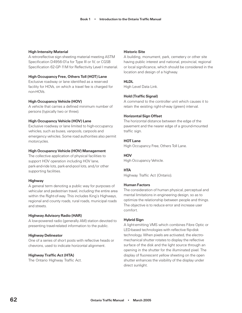### **High Intensity Material**

A retroreflective sign sheeting material meeting ASTM Specification D4956-01a for Type III or IV, or CGSB Specification 62-GP-11M for Reflectivity Level I material.

### **High Occupancy Free, Others Toll (HOT) Lane**

Exclusive roadway or lane identified as a reserved facility for HOVs, on which a travel fee is charged for non-HOVs.

#### **High Occupancy Vehicle (HOV)**

A vehicle that carries a defined minimum number of persons (typically two or three).

#### **High Occupancy Vehicle (HOV) Lane**

Exclusive roadway or lane limited to high-occupancy vehicles, such as buses, vanpools, carpools and emergency vehicles. Some road authorities also permit motorcycles.

#### **High Occupancy Vehicle (HOV) Management**

The collective application of physical facilities to support HOV operation including HOV lane, park-and-ride lots, park-and-pool lots, and/or other supporting facilities.

### **Highway**

A general term denoting a public way for purposes of vehicular and pedestrian travel, including the entire area within the Right-of-way. This includes King's Highways, regional and county roads, rural roads, municipal roads and streets.

### **Highway Advisory Radio (HAR)**

A low-powered radio (generally AM) station devoted to presenting travel-related information to the public.

#### **Highway Delineator**

One of a series of short posts with reflective heads or chevrons, used to indicate horizontal alignment.

#### **Highway Traffic Act (HTA)**

The Ontario Highway Traffic Act.

#### **Historic Site**

A building, monument, park, cemetery or other site having public interest and national, provincial, regional or local significance, which should be considered in the location and design of a highway.

#### **HLDL**

High Level Data Link.

#### **Hold (Traffic Signal)**

A command to the controller unit which causes it to retain the existing right-of-way (green) interval.

#### **Horizontal Sign Offset**

The horizontal distance between the edge of the pavement and the nearer edge of a ground-mounted traffic sign.

#### **HOT Lane**

High Occupancy Free, Others Toll Lane.

#### **HOV**

High Occupancy Vehicle.

#### **HTA**

Highway Traffic Act (Ontario).

#### **Human Factors**

The consideration of human physical, perceptual and mental limitations in engineering design, so as to optimize the relationship between people and things. The objective is to reduce error and increase user comfort.

#### **Hybrid Sign**

A light-emitting VMS which combines Fibre Optic or LED-based technologies with reflective flip-disk technology. When pixels are activated, the electromechanical shutter rotates to display the reflective surface of the disk and the light source through an opening in the shutter for the illuminated pixel. The display of fluorescent yellow sheeting on the open shutter enhances the visibility of the display under direct sunlight.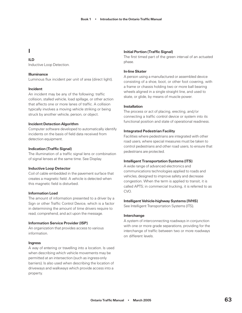## **I**

**ILD**

Inductive Loop Detection.

### **Illuminance**

Luminous flux incident per unit of area (direct light).

### **Incident**

An incident may be any of the following: traffic collision, stalled vehicle, load spillage, or other action that affects one or more lanes of traffic. A collision typically involves a moving vehicle striking or being struck by another vehicle, person, or object.

### **Incident Detection Algorithm**

Computer software developed to automatically identify incidents on the basis of field data received from detection equipment.

### **Indication (Traffic Signal)**

The illumination of a traffic signal lens or combination of signal lenses at the same time. See Display.

### **Inductive Loop Detector**

Coil of cable embedded in the pavement surface that creates a magnetic field. A vehicle is detected when this magnetic field is disturbed.

### **Information Load**

The amount of information presented to a driver by a Sign or other Traffic Control Device, which is a factor in determining the amount of time drivers require to read, comprehend, and act upon the message.

#### **Information Service Provider (ISP)**

An organization that provides access to various information.

### **Ingress**

A way of entering or travelling into a location. Is used when describing which vehicle movements may be permitted at an intersection (such as ingress-only barriers). Is also used when describing the location of driveways and walkways which provide access into a property.

### **Initial Portion (Traffic Signal)**

The first timed part of the green interval of an actuated phase.

### **In-line Skater**

A person using a manufactured or assembled device consisting of a shoe, boot, or other foot covering, with a frame or chassis holding two or more ball bearing wheels aligned in a single straight line, and used to skate, or glide, by means of muscle power.

#### **Installation**

The process or act of placing, erecting, and/or connecting a traffic control device or system into its functional position and state of operational readiness.

#### **Integrated Pedestrian Facility**

Facilities where pedestrians are integrated with other road users, where special measures must be taken to control pedestrians and other road users, to ensure that pedestrians are protected.

### **Intelligent Transportation Systems (ITS)**

A wide range of advanced electronics and communications technologies applied to roads and vehicles, designed to improve safety and decrease congestion. When the term is applied to transit, it is called APTS; in commercial trucking, it is referred to as CVO.

#### **Intelligent Vehicle-highway Systems (IVHS)**

See Intelligent Transportation Systems (ITS).

#### **Interchange**

A system of interconnecting roadways in conjunction with one or more grade separations, providing for the interchange of traffic between two or more roadways on different levels.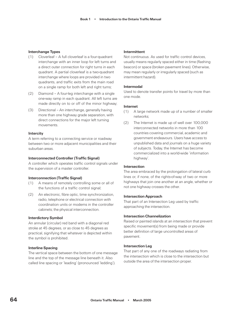### **Interchange Types**

- (1) Cloverleaf A full cloverleaf is a four-quadrant interchange with an inner loop for left turns and a direct outer connection for right turns in each quadrant. A partial cloverleaf is a two-quadrant interchange where loops are provided in two quadrants, and traffic exits from the main road on a single ramp for both left and right turns;
- (2) Diamond A four-leg interchange with a single one-way ramp in each quadrant. All left turns are made directly on to or off of the minor highway;
- (3) Directional An interchange, generally having more than one highway grade separation, with direct connections for the major left turning movements.

#### **Intercity**

A term referring to a connecting service or roadway between two or more adjacent municipalities and their suburban areas.

### **Interconnected Controller (Traffic Signal)**

A controller which operates traffic control signals under the supervision of a master controller.

### **Interconnection (Traffic Signal)**

- (1) A means of remotely controlling some or all of the functions of a traffic control signal;
- (2) An electronic, fibre optic, time synchronization, radio, telephone or electrical connection with coordination units or modems in the controller cabinets; the physical interconnection.

### **Interdictory Symbol**

An annular (circular) red band with a diagonal red stroke at 45 degrees, or as close to 45 degrees as practical, signifying that whatever is depicted within the symbol is prohibited.

### **Interline Spacing**

The vertical space between the bottom of one message line and the top of the message line beneath it. Also called line spacing or 'leading' (pronounced 'ledding').

### **Intermittent**

Not continuous. As used for traffic control devices, usually means regularly spaced either in time (flashing beacon) or space (broken pavement lines). Otherwise, may mean regularly or irregularly spaced (such as intermittent hazard).

### **Intermodal**

Used to denote transfer points for travel by more than one mode.

#### **Internet**

- (1) A large network made up of a number of smaller networks;
- (2) The Internet is made up of well over 100,000 interconnected networks in more than 100 countries covering commercial, academic and government endeavours. Users have access to unpublished data and journals on a huge variety of subjects. Today, the Internet has become commercialized into a world-wide 'information highway'.

### **Intersection**

The area embraced by the prolongation of lateral curb lines or, if none, of the rights-of-way of two or more highways that join one another at an angle, whether or not one highway crosses the other.

#### **Intersection Approach**

That part of an Intersection Leg used by traffic approaching the intersection.

### **Intersection Channelization**

Raised or painted islands at an intersection that prevent specific movement(s) from being made or provide better definition of large uncontrolled areas of pavement.

#### **Intersection Leg**

That part of any one of the roadways radiating from the intersection which is close to the intersection but outside the area of the intersection proper.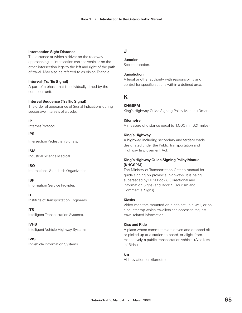#### **Intersection Sight Distance**

The distance at which a driver on the roadway approaching an intersection can see vehicles on the other intersection legs to the left and right of the path of travel. May also be referred to as Vision Triangle.

### **Interval (Traffic Signal)**

A part of a phase that is individually timed by the controller unit.

#### **Interval Sequence (Traffic Signal)**

The order of appearance of Signal Indications during successive intervals of a cycle.

#### **IP**

Internet Protocol.

### **IPS**

Intersection Pedestrian Signals.

**ISM** Industrial Science Medical.

**ISO** International Standards Organization.

### **ISP**

Information Service Provider.

### **ITE**

Institute of Transportation Engineers.

**ITS** Intelligent Transportation Systems.

**IVHS** Intelligent Vehicle Highway Systems.

**IVIS** In-Vehicle Information Systems.

## **J**

### **Junction**

See Intersection.

### **Jurisdiction**

A legal or other authority with responsibility and control for specific actions within a defined area.

## **K**

### **KHGSPM**

King's Highway Guide Signing Policy Manual (Ontario).

### **Kilometre**

A measure of distance equal to 1,000 m (.621 miles).

### **King's Highway**

A highway, including secondary and tertiary roads designated under the Public Transportation and Highway Improvement Act.

### **King's Highway Guide Signing Policy Manual (KHGSPM)**

The Ministry of Transportation Ontario manual for guide signing on provincial highways. It is being superseded by OTM Book 8 (Directional and Information Signs) and Book 9 (Tourism and Commercial Signs).

#### **Kiosks**

Video monitors mounted on a cabinet, in a wall, or on a counter top which travellers can access to request travel-related information.

#### **Kiss and Ride**

A place where commuters are driven and dropped off or picked up at a station to board, or alight from, respectively, a public transportation vehicle. (Also Kiss 'n' Ride.)

### **km**

Abbreviation for kilometre.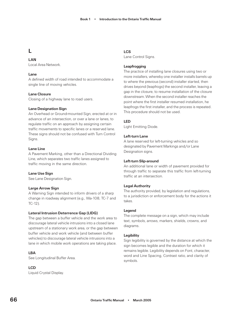## **L**

**LAN**

Local Area Network.

### **Lane**

A defined width of road intended to accommodate a single line of moving vehicles.

### **Lane Closure**

Closing of a highway lane to road users.

### **Lane Designation Sign**

An Overhead or Ground-mounted Sign, erected at or in advance of an intersection, or over a lane or lanes, to regulate traffic on an approach by assigning certain traffic movements to specific lanes or a reserved lane. These signs should not be confused with Turn Control Signs.

### **Lane Line**

A Pavement Marking, other than a Directional Dividing Line, which separates two traffic lanes assigned to traffic moving in the same direction.

### **Lane Use Sign**

See Lane Designation Sign.

### **Large Arrow Sign**

A Warning Sign intended to inform drivers of a sharp change in roadway alignment (e.g., Wa-108, TC-7 and TC-12).

### **Lateral Intrusion Deterrence Gap (LIDG)**

The gap between a buffer vehicle and the work area to discourage lateral vehicle intrusions into a closed lane upstream of a stationary work area, or the gap between buffer vehicle and work vehicle (and between buffer vehicles) to discourage lateral vehicle intrusions into a lane in which mobile work operations are taking place.

### **LBA**

See Longitudinal Buffer Area.

### **LCD**

Liquid Crystal Display.

### **LCS**

Lane Control Signs.

### **Leapfrogging**

The practice of installing lane closures using two or more installers, whereby one installer installs barrels up to where the previous (second) installer started, then drives beyond (leapfrogs) the second installer, leaving a gap in the closure, to resume installation of the closure downstream. When the second installer reaches the point where the first installer resumed installation, he leapfrogs the first installer, and the process is repeated. This procedure should not be used.

### **LED**

Light Emitting Diode.

### **Left-turn Lane**

A lane reserved for left-turning vehicles and so designated by Pavement Markings and/or Lane Designation signs.

### **Left-turn Slip-around**

An additional lane or width of pavement provided for through traffic to separate this traffic from left-turning traffic at an intersection.

### **Legal Authority**

The authority provided, by legislation and regulations, to a jurisdiction or enforcement body for the actions it takes.

### **Legend**

The complete message on a sign, which may include text, symbols, arrows, markers, shields, crowns, and diagrams.

### **Legibility**

Sign legibility is governed by the distance at which the sign becomes legible and the duration for which it remains legible. Legibility depends on Font, character, word and Line Spacing, Contrast ratio, and clarity of symbols.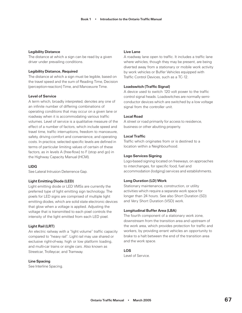#### **Legibility Distance**

The distance at which a sign can be read by a given driver under prevailing conditions.

#### **Legibility Distance, Required**

The distance at which a sign must be legible, based on the travel speed and the sum of Reading Time, Decision (perception-reaction) Time, and Manoeuvre Time.

### **Level of Service**

A term which, broadly interpreted, denotes any one of an infinite number of differing combinations of operating conditions that may occur on a given lane or roadway when it is accommodating various traffic volumes. Level of service is a qualitative measure of the effect of a number of factors, which include speed and travel time, traffic interruptions, freedom to manoeuvre, safety, driving comfort and convenience, and operating costs. In practice, selected specific levels are defined in terms of particular limiting values of certain of these factors, as in levels A (free-flow) to F (stop and go) in the Highway Capacity Manual (HCM).

#### **LIDG**

See Lateral Intrusion Deterrence Gap.

#### **Light Emitting Diode (LED)**

Light emitting diode or LED VMSs are currently the preferred type of light emitting sign technology. The pixels for LED signs are comprised of multiple light emitting diodes, which are solid state electronic devices that glow when a voltage is applied. Adjusting the voltage that is transmitted to each pixel controls the intensity of the light emitted from each LED pixel.

### **Light Rail (LRT)**

An electric railway with a "light volume" traffic capacity compared to "heavy rail". Light rail may use shared or exclusive right-of-way, high or low platform loading, and multi-car trains or single cars. Also known as Streetcar, Trolleycar, and Tramway.

#### **Line Spacing**

See Interline Spacing.

### **Live Lane**

A roadway lane open to traffic. It includes a traffic lane where vehicles, though they may be present, are being diverted away from a stationary or mobile work activity by work vehicles or Buffer Vehicles equipped with Traffic Control Devices, such as a TC-12.

### **Loadswitch (Traffic Signal)**

A device used to switch 120 volt power to the traffic control signal heads. Loadswitches are normally semiconductor devices which are switched by a low voltage signal from the controller unit.

#### **Local Road**

A street or road primarily for access to residence, business or other abutting property.

### **Local Traffic**

Traffic which originates from or is destined to a location within a Neighbourhood.

#### **Logo Services Signing**

Logo-based signing located on freeways, on approaches to interchanges, for specific food, fuel and accommodation (lodging) services and establishments.

### **Long Duration (LD) Work**

Stationary maintenance, construction, or utility activities which require a separate work space for longer than 24 hours. See also Short Duration (SD) and Very Short Duration (VSD) work.

### **Longitudinal Buffer Area (LBA)**

The fourth component of a stationary work zone, downstream from the transition area and upstream of the work area, which provides protection for traffic and workers, by providing errant vehicles an opportunity to brake to a halt between the end of the transition area and the work space.

### **LOS**

Level of Service.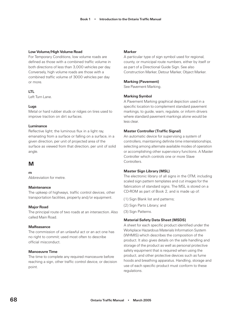### **Low Volume/High Volume Road**

For Temporary Conditions, low volume roads are defined as those with a combined traffic volume in both directions of less than 3,000 vehicles per day. Conversely, high volume roads are those with a combined traffic volume of 3000 vehicles per day or more.

### **LTL**

Left Turn Lane.

### **Lugs**

Metal or hard rubber studs or ridges on tires used to improve traction on dirt surfaces.

### **Luminance**

Reflective light; the luminous flux in a light ray, emanating from a surface or falling on a surface, in a given direction, per unit of projected area of the surface as viewed from that direction, per unit of solid angle.

## **M**

**m** Abbreviation for metre.

### **Maintenance**

The upkeep of highways, traffic control devices, other transportation facilities, property and/or equipment.

### **Major Road**

The principal route of two roads at an intersection. Also called Main Road.

### **Malfeasance**

The commission of an unlawful act or an act one has no right to commit; used most often to describe official misconduct.

### **Manoeuvre Time**

The time to complete any required manoeuvre before reaching a sign, other traffic control device, or decision point.

### **Marker**

A particular type of sign symbol used for regional, county, or municipal route numbers, either by itself or as part of a Directional Guide Sign. See also Construction Marker, Detour Marker, Object Marker.

### **Marking (Pavement)**

See Pavement Marking.

### **Marking Symbol**

A Pavement Marking graphical depiction used in a specific location to complement standard pavement markings, to guide, warn, regulate, or inform drivers where standard pavement markings alone would be less clear.

### **Master Controller (Traffic Signal)**

An automatic device for supervising a system of controllers, maintaining definite time interrelationships, selecting among alternate available modes of operation or accomplishing other supervisory functions. A Master Controller which controls one or more Slave Controllers.

### **Master Sign Library (MSL)**

The electronic library of all signs in the OTM, including scaled sign pattern templates and cut images for the fabrication of standard signs. The MSL is stored on a CD-ROM as part of Book 2, and is made up of:

- (1) Sign Blank list and patterns;
- (2) Sign Parts Library; and
- (3) Sign Patterns.

### **Material Safety Data Sheet (MSDS)**

A sheet for each specific product identified under the Workplace Hazardous Materials Information System (WHMIS) which describes the composition of the product. It also gives details on the safe handling and storage of the product as well as personal protective safety equipment that is required when using the product, and other protective devices such as fume hoods and breathing apparatus. Handling, storage and use of each specific product must conform to these regulations.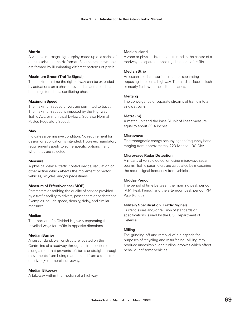#### **Matrix**

A variable message sign display, made up of a series of dots (pixels) in a matrix format. Parameters or symbols are formed by illuminating different patterns of pixels.

#### **Maximum Green (Traffic Signal)**

The maximum time the right-of-way can be extended by actuations on a phase provided an actuation has been registered on a conflicting phase.

#### **Maximum Speed**

The maximum speed drivers are permitted to travel. The maximum speed is imposed by the Highway Traffic Act, or municipal by-laws. See also Normal Posted Regulatory Speed.

#### **May**

Indicates a permissive condition. No requirement for design or application is intended. However, mandatory requirements apply to some specific options if and when they are selected.

#### **Measure**

A physical device, traffic control device, regulation or other action which affects the movement of motor vehicles, bicycles, and/or pedestrians.

#### **Measure of Effectiveness (MOE)**

Parameters describing the quality of service provided by a traffic facility to drivers, passengers or pedestrians. Examples include speed, density, delay, and similar measures.

#### **Median**

That portion of a Divided Highway separating the travelled ways for traffic in opposite directions.

### **Median Barrier**

A raised island, wall or structure located on the Centreline of a roadway through an intersection or along a road that prevents left turns or straight through movements from being made to and from a side street or private/commercial driveway.

#### **Median Bikeway**

A bikeway within the median of a highway.

#### **Median Island**

A zone or physical island constructed in the centre of a roadway to separate opposing directions of traffic.

#### **Median Strip**

An expanse of hard surface material separating opposing lanes on a highway. The hard surface is flush or nearly flush with the adjacent lanes.

### **Merging**

The convergence of separate streams of traffic into a single stream.

#### **Metre (m)**

A metric unit and the base SI unit of linear measure, equal to about 39.4 inches.

#### **Microwave**

Electromagnetic energy occupying the frequency band ranging from approximately 223 Mhz to 100 Ghz.

#### **Microwave Radar Detection**

A means of vehicle detection using microwave radar beams. Traffic parameters are calculated by measuring the return signal frequency from vehicles.

#### **Midday Period**

The period of time between the morning peak period (A.M. Peak Period) and the afternoon peak period (P.M. Peak Period).

#### **Military Specification (Traffic Signal)**

Current issues and/or revision of standards or specifications issued by the U.S. Department of Defense.

#### **Milling**

The grinding off and removal of old asphalt for purposes of recycling and resurfacing. Milling may produce undesirable longitudinal grooves which affect behaviour of some vehicles.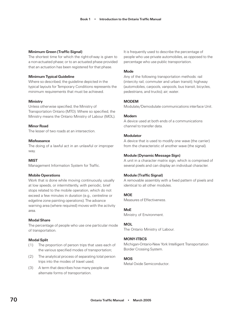### **Minimum Green (Traffic Signal)**

The shortest time for which the right-of-way is given to a non-actuated phase; or to an actuated phase provided that an actuation has been registered for that phase.

#### **Minimum Typical Guideline**

Where so described, the guideline depicted in the typical layouts for Temporary Conditions represents the minimum requirements that must be achieved.

#### **Ministry**

Unless otherwise specified, the Ministry of Transportation Ontario (MTO). Where so specified, the Ministry means the Ontario Ministry of Labour (MOL).

### **Minor Road**

The lesser of two roads at an intersection.

#### **Misfeasance**

The doing of a lawful act in an unlawful or improper way.

#### **MIST**

Management Information System for Traffic.

#### **Mobile Operations**

Work that is done while moving continuously, usually at low speeds, or intermittently, with periodic, brief stops related to the mobile operation, which do not exceed a few minutes in duration (e.g., centreline or edgeline zone painting operations). The advance warning area (where required) moves with the activity area.

#### **Modal Share**

The percentage of people who use one particular mode of transportation.

#### **Modal Split**

- (1) The proportion of person trips that uses each of the various specified modes of transportation;
- (2) The analytical process of separating total person trips into the modes of travel used;
- (3) A term that describes how many people use alternate forms of transportation.

It is frequently used to describe the percentage of people who use private automobiles, as opposed to the percentage who use public transportation.

#### **Mode**

Any of the following transportation methods: rail (intercity rail, commuter and urban transit); highway (automobiles, carpools, vanpools, bus transit, bicycles, pedestrians, and trucks); air; water.

### **MODEM**

Modulate/Demodulate communications interface Unit.

#### **Modem**

A device used at both ends of a communications channel to transfer data.

#### **Modulator**

A device that is used to modify one wave (the carrier) from the characteristic of another wave (the signal).

#### **Module (Dynamic Message Sign)**

A unit in a character matrix sign, which is comprised of several pixels and can display an individual character.

### **Module (Traffic Signal)**

A removable assembly with a fixed pattern of pixels and identical to all other modules.

#### **MOE**

Measures of Effectiveness.

### **MoE**

Ministry of Environment.

#### **MOL**

The Ontario Ministry of Labour.

### **MONY-ITBCS**

Michigan-Ontario-New York Intelligent Transportation Border Crossing System.

#### **MOS**

Metal Oxide Semiconductor.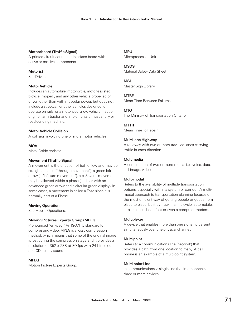#### **Motherboard (Traffic Signal)**

A printed circuit connector interface board with no active or passive components.

#### **Motorist**

See Driver.

### **Motor Vehicle**

Includes an automobile, motorcycle, motor-assisted bicycle (moped), and any other vehicle propelled or driven other than with muscular power, but does not include a streetcar, or other vehicles designed to operate on rails, or a motorized snow vehicle, traction engine, farm tractor and implements of husbandry or road-building machine.

#### **Motor Vehicle Collision**

A collision involving one or more motor vehicles.

#### **MOV**

Metal Oxide Varistor.

#### **Movement (Traffic Signal)**

A movement is the direction of traffic flow and may be straight ahead (a "through movement"), a green left arrow (a "left-turn movement"), etc. Several movements may be allowed within a phase (such as with an advanced green arrow and a circular green display). In some cases, a movement is called a Faze since it is normally part of a Phase.

#### **Moving Operation**

See Mobile Operations.

### **Moving Pictures Experts Group (MPEG)**

Pronounced "em-peg." An ISO/ITU standard for compressing video. MPEG is a lossy compression method, which means that some of the original image is lost during the compression stage and it provides a resolution of 352 x 288 at 30 fps with 24-bit colour and CD-quality sound.

#### **MPEG**

Motion Picture Experts Group.

#### **MPU**

Microprocessor Unit.

### **MSDS**

Material Safety Data Sheet.

#### **MSL**

Master Sign Library.

### **MTBF**

Mean Time Between Failures.

### **MTO**

The Ministry of Transportation Ontario.

### **MTTR**

Mean Time To Repair.

#### **Multi-lane Highway**

A roadway with two or more travelled lanes carrying traffic in each direction.

#### **Multimedia**

A combination of two or more media, i.e., voice, data, still image, video.

#### **Multi-modal**

Refers to the availability of multiple transportation options, especially within a system or corridor. A multimodal approach to transportation planning focuses on the most efficient way of getting people or goods from place to place, be it by truck, train, bicycle, automobile, airplane, bus, boat, foot or even a computer modem.

#### **Multiplexer**

A device that enables more than one signal to be sent simultaneously over one physical channel.

#### **Multi-point**

Refers to a communications line (network) that provides a path from one location to many. A cell phone is an example of a multi-point system.

#### **Multi-point Line**

In communications, a single line that interconnects three or more devices.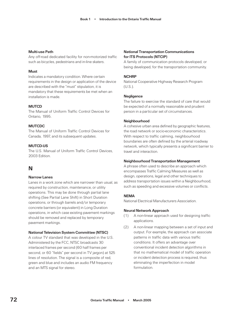## **Multi-use Path**

Any off-road dedicated facility for non-motorized traffic such as bicycles, pedestrians and in-line skaters.

## **Must**

Indicates a mandatory condition. Where certain requirements in the design or application of the device are described with the "must" stipulation, it is mandatory that these requirements be met when an installation is made.

## **MUTCD**

The Manual of Uniform Traffic Control Devices for Ontario, 1995.

## **MUTCDC**

The Manual of Uniform Traffic Control Devices for Canada, 1997, and its subsequent updates.

## **MUTCD-US**

The U.S. Manual of Uniform Traffic Control Devices, 2003 Edition.

## **N**

## **Narrow Lanes**

Lanes in a work zone which are narrower than usual, as required by construction, maintenance, or utility operations. This may be done through partial lane shifting (See Partial Lane Shift) in Short Duration operations, or through barrels and/or temporary concrete barriers (or equivalent) in Long Duration operations, in which case existing pavement markings should be removed and replaced by temporary pavement markings.

## **National Television System Committee (NTSC)**

A colour TV standard that was developed in the U.S. Administered by the FCC, NTSC broadcasts 30 interlaced frames per second (60 half frames per second, or 60 "fields" per second in TV jargon) at 525 lines of resolution. The signal is a composite of red, green and blue and includes an audio FM frequency and an MTS signal for stereo.

## **National Transportation Communications for ITS Protocols (NTCIP)**

A family of communication protocols developed, or being developed, for the transportation community.

## **NCHRP**

National Cooperative Highway Research Program (U.S.).

## **Negligence**

The failure to exercise the standard of care that would be expected of a normally reasonable and prudent person in a particular set of circumstances.

#### **Neighbourhood**

A cohesive urban area defined by geographic features, the road network or socio-economic characteristics. With respect to traffic calming, neighbourhood boundaries are often defined by the arterial roadway network, which typically presents a significant barrier to travel and interaction.

## **Neighbourhood Transportation Management**

A phrase often used to describe an approach which encompasses Traffic Calming Measures as well as design, operations, legal and other techniques to address transportation issues within a Neighbourhood, such as speeding and excessive volumes or conflicts.

## **NEMA**

National Electrical Manufacturers Association.

#### **Neural Network Approach**

- (1) A non-linear approach used for designing traffic applications.
- (2) A non-linear mapping between a set of input and output. For example, the approach can associate patterns in traffic data with various traffic conditions. It offers an advantage over conventional incident detection algorithms in that no mathematical model of traffic operation or incident detection process is required, thus eliminating the imperfection in model formulation.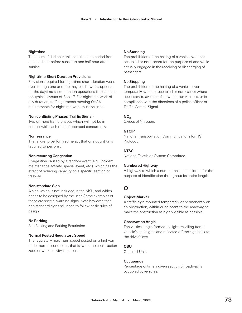#### **Nighttime**

The hours of darkness, taken as the time period from one-half hour before sunset to one-half hour after sunrise.

## **Nighttime Short Duration Provisions**

Provisions required for nighttime short duration work, even though one or more may be shown as optional for the daytime short duration operations illustrated in the typical layouts of Book 7. For nighttime work of any duration, traffic garments meeting OHSA requirements for nighttime work must be used.

#### **Non-conflicting Phases (Traffic Signal)**

Two or more traffic phases which will not be in conflict with each other if operated concurrently.

## **Nonfeasance**

The failure to perform some act that one ought or is required to perform.

#### **Non-recurring Congestion**

Congestion caused by a random event (e.g., incident, maintenance activity, special event, etc.), which has the effect of reducing capacity on a specific section of freeway.

## **Non-standard Sign**

A sign which is not included in the MSL, and which needs to be designed by the user. Some examples of these are special warning signs. Note however, that non-standard signs still need to follow basic rules of design.

#### **No Parking**

See Parking and Parking Restriction.

#### **Normal Posted Regulatory Speed**

The regulatory maximum speed posted on a highway under normal conditions, that is, when no construction zone or work activity is present.

### **No Standing**

The prohibition of the halting of a vehicle whether occupied or not, except for the purpose of and while actually engaged in the receiving or discharging of passengers.

#### **No Stopping**

The prohibition of the halting of a vehicle, even temporarily, whether occupied or not, except where necessary to avoid conflict with other vehicles, or in compliance with the directions of a police officer or Traffic Control Signal.

#### **NOx**

Oxides of Nitrogen.

#### **NTCIP**

National Transportation Communications for ITS Protocol.

#### **NTSC**

National Television System Committee.

#### **Numbered Highway**

A highway to which a number has been allotted for the purpose of identification throughout its entire length.

## **O**

#### **Object Marker**

A traffic sign mounted temporarily or permanently on an obstruction, within or adjacent to the roadway, to make the obstruction as highly visible as possible.

#### **Observation Angle**

The vertical angle formed by light travelling from a vehicle's headlights and reflected off the sign back to the driver's eye.

## **OBU**

Onboard Unit.

#### **Occupancy**

Percentage of time a given section of roadway is occupied by vehicles.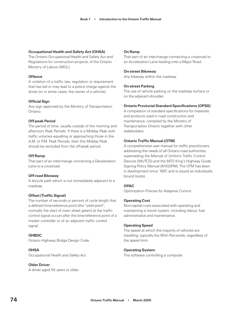## **Occupational Health and Safety Act (OHSA)**

The Ontario Occupational Health and Safety Act and Regulations for construction projects, of the Ontario Ministry of Labour (MOL).

## **Offence**

A violation of a traffic law, regulation or requirement that has led or may lead to a police charge against the driver (or in some cases, the owner of a vehicle).

#### **Official Sign**

Any sign approved by the Ministry of Transportation Ontario.

## **Off-peak Period**

The period of time, usually outside of the morning and afternoon Peak Periods. If there is a Midday Peak with traffic volumes equalling or approaching those in the A.M. or P.M. Peak Periods, then this Midday Peak should be excluded from the off-peak period.

#### **Off Ramp**

That part of an interchange connecting a Deceleration Lane to a crossroad.

#### **Off-road Bikeway**

A bicycle path which is not immediately adjacent to a roadway.

#### **Offset (Traffic Signal)**

The number of seconds or percent of cycle length that a defined time-reference point (the "yield point", normally the start of main street green) at the traffic control signal occurs after the time-reference point of a master controller or of an adjacent traffic control signal.

#### **OHBDC**

Ontario Highway Bridge Design Code.

## **OHSA**

Occupational Health and Safety Act.

#### **Older Driver**

A driver aged 55 years or older.

## **On Ramp**

That part of an interchange connecting a crossroad to an Acceleration Lane leading onto a Major Road.

#### **On-street Bikeway**

Any bikeway within the roadway.

#### **On-street Parking**

The use of vehicle parking on the roadway surface or on the adjacent shoulder.

## **Ontario Provincial Standard Specifications (OPSS)**

A compilation of standard specifications for materials and products used in road construction and maintenance, compiled by the Ministry of Transportation Ontario together with other stakeholders.

#### **Ontario Traffic Manual (OTM)**

A comprehensive user manual for traffic practitioners, addressing the needs of all Ontario road authorities, superseding the Manual of Uniform Traffic Control Devices (MUTCD) and the MTO King's Highway Guide Signing Policy Manual (KHGSPM). The OTM has been in development since 1997, and is issued as individually bound books.

#### **OPAC**

Optimization Policies for Adaptive Control.

## **Operating Cost**

Non-capital costs associated with operating and maintaining a transit system, including labour, fuel, administrative and maintenance.

## **Operating Speed**

The speed at which the majority of vehicles are travelling, typically the 85th Percentile, regardless of the speed limit.

#### **Operating System**

The software controlling a computer.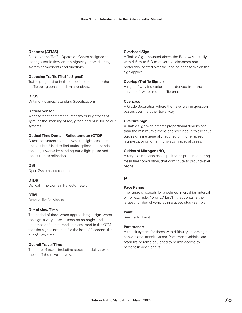## **Operator (ATMS)**

Person at the Traffic Operation Centre assigned to manage traffic flow on the highway network using system components and functions.

## **Opposing Traffic (Traffic Signal)**

Traffic progressing in the opposite direction to the traffic being considered on a roadway.

## **OPSS**

Ontario Provincial Standard Specifications.

#### **Optical Sensor**

A sensor that detects the intensity or brightness of light, or the intensity of red, green and blue for colour systems.

#### **Optical Time Domain Reflectometer (OTDR)**

A test instrument that analyzes the light loss in an optical fibre. Used to find faults, splices and bends in the line, it works by sending out a light pulse and measuring its reflection.

## **OSI**

Open Systems Interconnect.

#### **OTDR**

Optical Time Domain Reflectometer.

## **OTM**

Ontario Traffic Manual.

## **Out-of-view Time**

The period of time, when approaching a sign, when the sign is very close, is seen on an angle, and becomes difficult to read. It is assumed in the OTM that the sign is not read for the last 1/2 second, the out-of-view time.

## **Overall Travel Time**

The time of travel, including stops and delays except those off the travelled way.

#### **Overhead Sign**

A Traffic Sign mounted above the Roadway, usually with 4.5 m to 5.3 m of vertical clearance and preferably located over the lane or lanes to which the sign applies.

#### **Overlap (Traffic Signal)**

A right-of-way indication that is derived from the service of two or more traffic phases.

#### **Overpass**

A Grade Separation where the travel way in question passes over the other travel way.

#### **Oversize Sign**

A Traffic Sign with greater proportional dimensions than the minimum dimensions specified in this Manual. Such signs are generally required on higher speed highways, or on other highways in special cases.

#### **Oxides of Nitrogen (NO<sub>x</sub>)**

A range of nitrogen-based pollutants produced during fossil fuel combustion, that contribute to ground-level ozone.

## **P**

## **Pace Range**

The range of speeds for a defined interval (an interval of, for example, 15 or 20 km/h) that contains the largest number of vehicles in a speed study sample.

#### **Paint**

See Traffic Paint.

#### **Para-transit**

A transit system for those with difficulty accessing a conventional transit system. Para-transit vehicles are often lift- or ramp-equipped to permit access by persons in wheelchairs.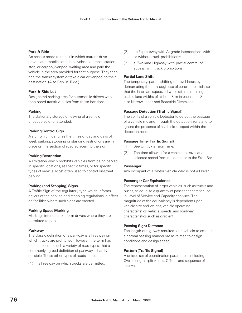## **Park & Ride**

An access mode to transit in which patrons drive private automobiles or ride bicycles to a transit station, stop, or carpool/vanpool waiting area and park the vehicle in the area provided for that purpose. They then ride the transit system or take a car or vanpool to their destination. (Also Park 'n' Ride.)

## **Park & Ride Lot**

Designated parking area for automobile drivers who then board transit vehicles from these locations.

#### **Parking**

The stationary storage or leaving of a vehicle unoccupied or unattended.

#### **Parking Control Sign**

A sign which identifies the times of day and days of week parking, stopping or standing restrictions are in place on the section of road adjacent to the sign.

## **Parking Restriction**

A limitation which prohibits vehicles from being parked in specific locations, at specific times, or for specific types of vehicle. Most often used to control on-street parking.

## **Parking (and Stopping) Signs**

A Traffic Sign of the regulatory type which informs drivers of the parking and stopping regulations in effect on facilities where such signs are erected.

## **Parking Space Marking**

Markings intended to inform drivers where they are permitted to park.

#### **Parkway**

The classic definition of a parkway is a Freeway on which trucks are prohibited. However, the term has been applied to such a variety of road types, that a commonly agreed definition of parkway is hardly possible. These other types of roads include:

(1) a Freeway on which trucks are permitted;

- (2) an Expressway with At-grade Intersections, with or without truck prohibitions;
- (3) a Two-lane Highway with partial control of access, with truck prohibitions.

## **Partial Lane Shift**

The temporary, partial shifting of travel lanes by demarcating them through use of cones or barrels, so that the lanes are squeezed while still maintaining usable lane widths of at least 3 m in each lane. See also Narrow Lanes and Roadside Diversions.

## **Passage Detection (Traffic Signal)**

The ability of a vehicle Detector to detect the passage of a vehicle moving through the detection zone and to ignore the presence of a vehicle stopped within the detection zone.

## **Passage Time (Traffic Signal)**

- (1) See Unit Extension Time.
- (2) The time allowed for a vehicle to travel at a selected speed from the detector to the Stop Bar.

#### **Passenger**

Any occupant of a Motor Vehicle who is not a Driver.

#### **Passenger Car Equivalence**

The representation of larger vehicles, such as trucks and buses, as equal to a quantity of passenger cars for use in Level of Service and Capacity analyses. The magnitude of the equivalency is dependent upon vehicle size and weight, vehicle operating characteristics, vehicle speeds, and roadway characteristics such as gradient.

#### **Passing Sight Distance**

The length of highway required for a vehicle to execute a normal passing manoeuvre as related to design conditions and design speed.

## **Pattern (Traffic Signal)**

A unique set of coordination parameters including Cycle Length, split values, Offsets and sequence of Intervals.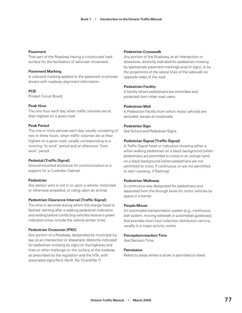## **Pavement**

That part of the Roadway having a constructed hard surface for the facilitation of vehicular movement.

## **Pavement Marking**

A coloured marking applied to the pavement to provide drivers with roadway alignment information.

## **PCB**

Printed Circuit Board.

## **Peak Hour**

The one hour each day when traffic volumes are at their highest on a given road.

## **Peak Period**

The one or more periods each day, usually consisting of two or three hours, when traffic volumes are at their highest on a given road, usually corresponding to a morning "to work" period and an afternoon "from work" period.

#### **Pedestal (Traffic Signal)**

Ground-mounted enclosure for communication or a support for a Controller Cabinet.

#### **Pedestrian**

Any person who is not in or upon a vehicle, motorized or otherwise propelled, or riding upon an animal.

## **Pedestrian Clearance Interval (Traffic Signal)**

The time in seconds during which the orange hand is flashed, starting after a walking pedestrian indication and ending before conflicting vehicles receive a green indication (may include the vehicle amber time).

#### **Pedestrian Crossover (PXO)**

Any portion of a Roadway, designated by municipal bylaw, at an intersection or elsewhere, distinctly indicated for pedestrian crossing by signs on the highway and lines or other markings on the surface of the roadway as prescribed by the regulation and the HTA, with associated signs Ra-4, Ra-4t, Ra-10 and Ra-11.

#### **Pedestrian Crosswalk**

Any portion of the Roadway, at an Intersection or elsewhere, distinctly indicated for pedestrian crossing by appropriate pavement markings and/or signs, or by the projections of the lateral lines of the sidewalk on opposite sides of the road.

## **Pedestrian Facility**

A facility where pedestrians are controlled and protected from other road users.

#### **Pedestrian Mall**

A Pedestrian Facility from which motor vehicles are excluded, except at crossroads.

## **Pedestrian Sign**

See School and Pedestrian Signs.

## **Pedestrian Signal (Traffic Signal)**

A Traffic Signal head or indication showing either a white walking pedestrian on a black background (when pedestrians are permitted to cross) or an orange hand on a black background (when pedestrians are not permitted to cross, if continuous, or are not permitted to start crossing, if flashing).

#### **Pedestrian Walkway**

A continuous way designated for pedestrians and separated from the through lanes for motor vehicles by space or a barrier.

#### **People Mover**

An automated transportation system (e.g., continuous belt system, moving sidewalk or automated guideway) that provides short haul collection distribution service, usually in a major activity centre.

#### **Perception-reaction Time**

See Decision Time.

## **Permissive**

Refers to areas where a driver is permitted to travel.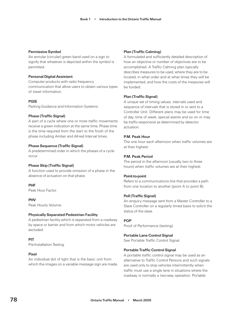#### **Permissive Symbol**

An annular (circular) green band used on a sign to signify that whatever is depicted within the symbol is permitted.

#### **Personal Digital Assistant**

Computer products with radio frequency communication that allow users to obtain various types of travel information.

#### **PGIS**

Parking Guidance and Information Systems.

#### **Phase (Traffic Signal)**

A part of a cycle where one or more traffic movements receive a green indication at the same time. Phase time is the time required from the start to the finish of the phase including Amber and All-red Interval times.

## **Phase Sequence (Traffic Signal)**

A predetermined order in which the phases of a cycle occur.

#### **Phase Skip (Traffic Signal)**

A function used to provide omission of a phase in the absence of actuation on that phase.

## **PHF**

Peak Hour Factor.

## **PHV**

Peak Hourly Volume.

#### **Physically Separated Pedestrian Facility**

A pedestrian facility which is separated from a roadway by space or barrier and from which motor vehicles are excluded.

## **PIT**

Pre-Installation Testing.

## **Pixel**

An individual dot of light that is the basic unit from which the images on a variable message sign are made.

#### **Plan (Traffic Calming)**

A formulated and sufficiently detailed description of how an objective or number of objectives are to be accomplished. A Traffic Calming plan typically describes measures to be used, where they are to be located, in what order and at what times they will be implemented, and how the costs of the measures will be funded.

#### **Plan (Traffic Signal)**

A unique set of timing values, intervals used and sequence of intervals that is stored in or sent to a Controller Unit. Different plans may be used for time of day, time of week, special events and so on or may be traffic-responsive as determined by detector actuation.

## **P.M. Peak Hour**

The one hour each afternoon when traffic volumes are at their highest.

## **P.M. Peak Period**

The period in the afternoon (usually two to three hours) when traffic volumes are at their highest.

#### **Point-to-point**

Refers to a communications line that provides a path from one location to another (point A to point B).

## **Poll (Traffic Signal)**

An enquiry message sent from a Master Controller to a Slave Controller on a regularly timed basis to solicit the status of the slave.

#### **POP**

Proof of Performance (testing).

#### **Portable Lane Control Signal**

See Portable Traffic Control Signal.

## **Portable Traffic Control Signal**

A portable traffic control signal may be used as an alternative to Traffic Control Persons and such signals are used only to stop vehicles intermittently when traffic must use a single lane in situations where the roadway is normally a two-way operation. Portable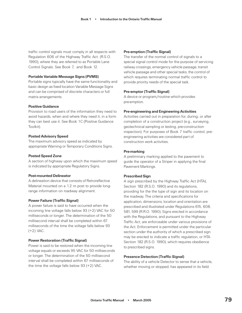traffic control signals must comply in all respects with Regulation 606 of the Highway Traffic Act. (R.S.O. 1990), where they are referred to as Portable Lane Control Signals. See Book 7, and Book 12.

#### **Portable Variable Message Signs (PVMS)**

Portable signs typically have the same functionality and basic design as fixed location Variable Message Signs and can be comprised of discrete characters or full matrix arrangements.

#### **Positive Guidance**

Provision to road users of the information they need to avoid hazards, when and where they need it, in a form they can best use it. See Book 1C (Positive Guidance Toolkit).

## **Posted Advisory Speed**

The maximum advisory speed as indicated by appropriate Warning or Temporary Conditions Signs.

#### **Posted Speed Zone**

A section of highway upon which the maximum speed is indicated by appropriate Regulatory Signs.

## **Post-mounted Delineator**

A delineation device that consists of Retroreflective Material mounted on a 1.2 m post to provide longrange information on roadway alignment.

## **Power Failure (Traffic Signal)**

A power failure is said to have occurred when the incoming line voltage falls below 93 (+2) VAC for 50 milliseconds or longer. The determination of the 50 millisecond interval shall be completed within 67 milliseconds of the time the voltage falls below 93 (+2) VAC.

#### **Power Restoration (Traffic Signal)**

Power is said to be restored when the incoming line voltage equals or exceeds 95 VAC for 50 milliseconds or longer. The determination of the 50 millisecond interval shall be completed within 67 milliseconds of the time the voltage falls below 93 (+2) VAC.

## **Pre-emption (Traffic Signal)**

The transfer of the normal control of signals to a special signal control mode for the purpose of servicing railway crossings, emergency vehicle passage, transit vehicle passage and other special tasks, the control of which requires terminating normal traffic control to provide priority needs of the special task.

## **Pre-emptor (Traffic Signal)**

A device or program/routine which provides pre-emption.

#### **Pre-engineering and Engineering Activities**

Activities carried out in preparation for, during, or after completion of a construction project (e.g., surveying, geotechnical sampling or testing, pre-construction inspection). For purposes of Book 7 traffic control, preengineering activities are considered part of construction work activities.

#### **Pre-marking**

A preliminary marking applied to the pavement to guide the operator of a Striper in applying the final Pavement Markings.

#### **Prescribed Sign**

A sign prescribed by the Highway Traffic Act (HTA), Section 182 (R.S.O. 1990) and its regulations, providing for the the type of sign and its location on the roadway. The criteria and specifications for application, dimensions, location and orientation are prescribed and illustrated under Regulations 615, 608, 581, 599 (R.R.O. 1990). Signs erected in accordance with the Regulations, and pursuant to the Highway Traffic Act, are enforceable under various provisions of the Act. Enforcement is permitted under the particular section under the authority of which a prescribed sign may be erected to indicate a traffic regulation, or HTA Section 182 (R.S.O. 1990), which requires obedience to prescribed signs.

#### **Presence Detection (Traffic Signal)**

The ability of a vehicle Detector to sense that a vehicle, whether moving or stopped, has appeared in its field.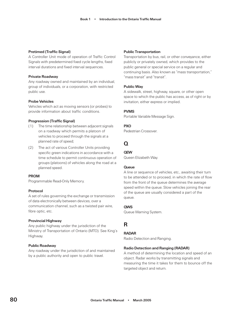#### **Pretimed (Traffic Signal)**

A Controller Unit mode of operation of Traffic Control Signals with predetermined fixed cycle lengths, fixed interval durations and fixed interval sequences.

#### **Private Roadway**

Any roadway owned and maintained by an individual, group of individuals, or a corporation, with restricted public use.

## **Probe Vehicles**

Vehicles which act as moving sensors (or probes) to provide information about traffic conditions.

## **Progression (Traffic Signal)**

- (1) The time relationship between adjacent signals on a roadway which permits a platoon of vehicles to proceed through the signals at a planned rate of speed;
- (2) The act of various Controller Units providing specific green indications in accordance with a time schedule to permit continuous operation of groups (platoons) of vehicles along the road at a planned speed.

## **PROM**

Programmable Read-Only Memory.

## **Protocol**

A set of rules governing the exchange or transmission of data electronically between devices, over a communication channel, such as a twisted pair wire, fibre optic, etc.

#### **Provincial Highway**

Any public highway under the jurisdiction of the Ministry of Transportation of Ontario (MTO). See King's Highway.

## **Public Roadway**

Any roadway under the jurisdiction of and maintained by a public authority and open to public travel.

#### **Public Transportation**

Transportation by bus, rail, or other conveyance, either publicly or privately owned, which provides to the public general or special service on a regular and continuing basis. Also known as "mass transportation," "mass transit" and "transit".

## **Public Way**

A sidewalk, street, highway, square, or other open space to which the public has access, as of right or by invitation, either express or implied.

#### **PVMS**

Portable Variable Message Sign.

## **PXO**

Pedestrian Crossover.

## **Q**

## **QEW**

Queen Elizabeth Way.

## **Queue**

A line or sequence of vehicles, etc., awaiting their turn to be attended or to proceed, in which the rate of flow from the front of the queue determines the average speed within the queue. Slow vehicles joining the rear of the queue are usually considered a part of the queue.

#### **QWS**

Queue Warning System.

## **R**

## **RADAR**

Radio Detection and Ranging.

## **Radio Detection and Ranging (RADAR)**

A method of determining the location and speed of an object. Radar works by transmitting signals and measuring the time it takes for them to bounce off the targeted object and return.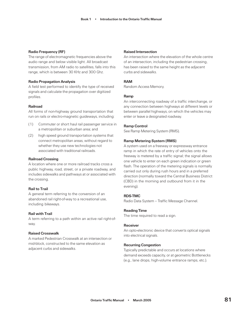## **Radio Frequency (RF)**

The range of electromagnetic frequencies above the audio range and below visible light. All broadcast transmission, from AM radio to satellites, falls into this range, which is between 30 KHz and 300 Ghz.

#### **Radio Propagation Analysis**

A field test performed to identify the type of received signals and calculate the propagation over digitized profiles.

#### **Railroad**

All forms of non-highway ground transportation that run on rails or electro-magnetic guideways, including:

- (1) Commuter or short haul rail passenger service in a metropolitan or suburban area; and
- (2) high speed ground transportation systems that connect metropolitan areas, without regard to whether they use new technologies not associated with traditional railroads.

#### **Railroad Crossing**

A location where one or more railroad tracks cross a public highway, road, street, or a private roadway, and includes sidewalks and pathways at or associated with the crossing.

## **Rail to Trail**

A general term referring to the conversion of an abandoned rail right-of-way to a recreational use, including bikeways.

## **Rail with Trail**

A term referring to a path within an active rail right-ofway.

#### **Raised Crosswalk**

A marked Pedestrian Crosswalk at an intersection or mid-block, constructed to the same elevation as adjacent curbs and sidewalks.

#### **Raised Intersection**

An intersection where the elevation of the whole centre of an intersection, including the pedestrian crossing, has been raised to the same height as the adjacent curbs and sidewalks.

#### **RAM**

Random Access Memory.

## **Ramp**

An interconnecting roadway of a traffic interchange, or any connection between highways at different levels or between parallel highways, on which the vehicles may enter or leave a designated roadway.

#### **Ramp Control**

See Ramp Metering System (RMS).

#### **Ramp Metering System (RMS)**

A system used on a freeway or expressway entrance ramp in which the rate of entry of vehicles onto the freeway is metered by a traffic signal; the signal allows one vehicle to enter on each green indication or green flash. The operation of the metering signals is normally carried out only during rush hours and in a preferred direction (normally toward the Central Business District (CBD) in the morning and outbound from it in the evening).

#### **RDS-TMC**

Radio Data System – Traffic Message Channel.

#### **Reading Time**

The time required to read a sign.

#### **Receiver**

An opto-electronic device that converts optical signals into electrical signals.

#### **Recurring Congestion**

Typically predictable and occurs at locations where demand exceeds capacity, or at geometric Bottlenecks (e.g., lane drops, high-volume entrance ramps, etc.).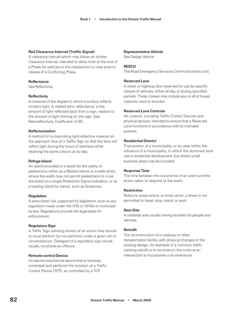## **Red Clearance Interval (Traffic Signal)**

A clearance interval which may follow an Amber Clearance Interval, intended to allow time at the end of a Phase for vehicles in the intersection to clear prior to release of a Conflicting Phase.

## **Reflectance**

See Reflectivity.

## **Reflectivity**

A measure of the degree to which a surface reflects incident light. A related term, reflectance, is the amount of light reflected back from a sign, relative to the amount of light shining on the sign. See Retroreflectivity, Coefficient of (R).

## **Reflectorization**

A method of incorporating light-reflective material on the approach face of a Traffic Sign so that the face will reflect light during the hours of darkness while retaining the same colours as by day.

## **Refuge Island**

An island provided in a street for the safety of pedestrians, either as a Median Island on a wide street, where the width may not permit pedestrians to cross the street on a single Pedestrian Signal indication, or as a loading island for transit, such as Streetcars.

## **Regulation**

A prescribed rule, supported by legislation, such as any regulation made under the HTA or OHSA or municipal by-law. Regulations provide the legal basis for enforcement.

## **Regulatory Sign**

A Traffic Sign advising drivers of an action they should or must perform (or not perform) under a given set of circumstances. Disregard of a regulatory sign would usually constitute an offence.

## **Remote-control Device**

An electro-mechanical device that is remotely controlled and performs the function of a Traffic Control Person (TCP), as controlled by a TCP.

## **Representative Vehicle**

See Design Vehicle.

## **RESCU**

The Road Emergency Services Communications Unit.

## **Reserved Lane**

A street or highway lane reserved for use by specific classes of vehicles, either all day, or during specified periods. These classes may include any or all of buses, carpools, taxis or bicycles.

## **Reserved Lane Controls**

All controls, including Traffic Control Devices and physical devices, intended to ensure that a Reserved Lane functions in accordance with its intended purpose.

## **Residential District**

That portion of a municipality, or an area within the influence of a municipality, in which the dominant land use is residential development, but where small business areas may be included.

## **Response Time**

The time between the occurrence of an event and the action taken to respond to the event.

## **Restrictive**

Refers to areas where, or times when, a driver is not permitted to travel, stop, stand, or park.

## **Rest Site**

A roadside area usually having facilities for people and vehicles.

## **Retrofit**

The reconstruction of a roadway or other transportation facility with physical changes to the existing design. An example of a common traffic calming retrofit is to reconstruct the curbs at an intersection to incorporate curb extensions.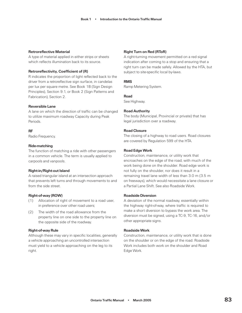#### **Retroreflective Material**

A type of material applied in either strips or sheets which reflects illumination back to its source.

## **Retroreflectivity, Coefficient of (R)**

R indicates the proportion of light reflected back to the driver from a retroreflective sign surface, in candelas per lux per square metre. See Book 1B (Sign Design Principles), Section 9.1, or Book 2 (Sign Patterns and Fabrication), Section 2.

## **Reversible Lane**

A lane on which the direction of traffic can be changed to utilize maximum roadway Capacity during Peak Periods.

## **RF**

Radio Frequency.

## **Ride-matching**

The function of matching a ride with other passengers in a common vehicle. The term is usually applied to carpools and vanpools.

#### **Right-in/Right-out Island**

A raised triangular island at an intersection approach that prevents left turns and through movements to and from the side street.

#### **Right-of-way (ROW)**

- (1) Allocation of right of movement to a road user, in preference over other road users;
- (2) The width of the road allowance from the property line on one side to the property line on the opposite side of the roadway.

## **Right-of-way Rule**

Although these may vary in specific localities, generally a vehicle approaching an uncontrolled intersection must yield to a vehicle approaching on the leg to its right.

#### **Right Turn on Red (RToR)**

A right-turning movement permitted on a red signal indication after coming to a stop and ensuring that a right turn can be made safely. Allowed by the HTA, but subject to site-specific local by-laws.

#### **RMS**

Ramp Metering System.

## **Road**

See Highway.

#### **Road Authority**

The body (Municipal, Provincial or private) that has legal jurisdiction over a roadway.

## **Road Closure**

The closing of a highway to road users. Road closures are covered by Regulation 599 of the HTA.

## **Road Edge Work**

Construction, maintenance, or utility work that encroaches on the edge of the road, with much of the work being done on the shoulder. Road edge work is not fully on the shoulder, nor does it result in a remaining travel lane width of less than 3.0 m (3.5 m on freeways), which would necessitate a lane closure or a Partial Lane Shift. See also Roadside Work.

## **Roadside Diversion**

A deviation of the normal roadway, essentially within the highway right-of-way, where traffic is required to make a short diversion to bypass the work area. The diversion must be signed, using a TC-9, TC-16, and/or other appropriate signs.

## **Roadside Work**

Construction, maintenance, or utility work that is done on the shoulder or on the edge of the road. Roadside Work includes both work on the shoulder and Road Edge Work.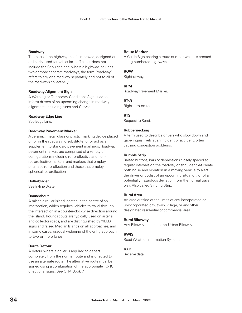## **Roadway**

The part of the highway that is improved, designed or ordinarily used for vehicular traffic, but does not include the Shoulder, and, where a highway includes two or more separate roadways, the term "roadway" refers to any one roadway separately and not to all of the roadways collectively.

## **Roadway Alignment Sign**

A Warning or Temporary Conditions Sign used to inform drivers of an upcoming change in roadway alignment, including turns and Curves.

#### **Roadway Edge Line**

See Edge Line.

#### **Roadway Pavement Marker**

A ceramic, metal, glass or plastic marking device placed on or in the roadway to substitute for or act as a supplement to standard pavement markings. Roadway pavement markers are comprised of a variety of configurations including retroreflective and nonretroreflective markers, and markers that employ prismatic retroreflection and those that employ spherical retroreflection.

#### **Rollerblader**

See In-line Skater.

## **Roundabout**

A raised circular island located in the centre of an intersection, which requires vehicles to travel through the intersection in a counter-clockwise direction around the island. Roundabouts are typically used on arterial and collector roads, and are distinguished by YIELD signs and raised Median Islands on all approaches, and in some cases, gradual widening of the entry approach to two or more lanes.

#### **Route Detour**

A detour where a driver is required to depart completely from the normal route and is directed to use an alternate route. The alternative route must be signed using a combination of the appropriate TC-10 directional signs. See OTM Book 7.

## **Route Marker**

A Guide Sign bearing a route number which is erected along numbered highways.

#### **ROW**

Right-of-way.

## **RPM**

Roadway Pavement Marker.

#### **RToR**

Right turn on red.

#### **RTS**

Request to Send.

## **Rubbernecking**

A term used to describe drivers who slow down and gape inquisitively at an incident or accident, often causing congestion problems.

#### **Rumble Strip**

Raised buttons, bars or depressions closely spaced at regular intervals on the roadway or shoulder that create both noise and vibration in a moving vehicle to alert the driver or cyclist of an upcoming situation, or of a potentially hazardous deviation from the normal travel way. Also called Singing Strip.

## **Rural Area**

An area outside of the limits of any incorporated or unincorporated city, town, village, or any other designated residential or commercial area.

#### **Rural Bikeway**

Any Bikeway that is not an Urban Bikeway.

#### **RWIS**

Road Weather Information Systems.

## **RXD**

Receive data.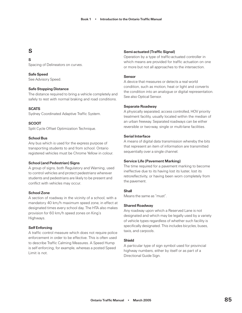# **S**

**S**

Spacing of Delineators on curves.

## **Safe Speed**

See Advisory Speed.

## **Safe Stopping Distance**

The distance required to bring a vehicle completely and safely to rest with normal braking and road conditions.

## **SCATS**

Sydney Coordinated Adaptive Traffic System.

## **SCOOT**

Split Cycle Offset Optimization Technique.

## **School Bus**

Any bus which is used for the express purpose of transporting students to and from school. Ontario registered vehicles must be Chrome Yellow in colour.

## **School (and Pedestrian) Signs**

A group of signs, both Regulatory and Warning, used to control vehicles and protect pedestrians wherever students and pedestrians are likely to be present and conflict with vehicles may occur.

## **School Zone**

A section of roadway in the vicinity of a school, with a mandatory 40 km/h maximum speed zone, in effect at designated times every school day. The HTA also makes provision for 60 km/h speed zones on King's Highways.

## **Self Enforcing**

A traffic control measure which does not require police enforcement in order to be effective. This is often used to describe Traffic Calming Measures. A Speed Hump is self enforcing, for example, whereas a posted Speed Limit is not.

## **Semi-actuated (Traffic Signal)**

Operation by a type of traffic-actuated controller in which means are provided for traffic actuation on one or more but not all approaches to the intersection.

## **Sensor**

A device that measures or detects a real world condition, such as motion, heat or light and converts the condition into an analogue or digital representation. See also Optical Sensor.

#### **Separate Roadway**

A physically separated, access controlled, HOV priority treatment facility, usually located within the median of an urban freeway. Separated roadways can be either reversible or two-way, single or multi-lane facilities.

## **Serial Interface**

A means of digital data transmission whereby the bits that represent an item of information are transmitted sequentially over a single channel.

## **Service Life (Pavement Marking)**

The time required for a pavement marking to become ineffective due to its having lost its luster, lost its retroreflectivity, or having been worn completely from the pavement.

#### **Shall**

Means the same as "must".

#### **Shared Roadway**

Any roadway upon which a Reserved Lane is not designated and which may be legally used by a variety of vehicle types regardless of whether such facility is specifically designated. This includes bicycles, buses, taxis, and carpools.

#### **Shield**

A particular type of sign symbol used for provincial highway numbers, either by itself or as part of a Directional Guide Sign.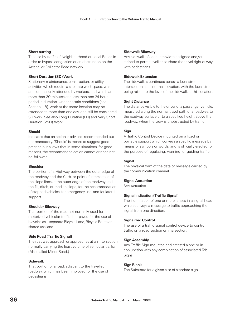#### **Short-cutting**

The use by traffic of Neighbourhood or Local Roads in order to bypass congestion or an obstruction on the Arterial or Collector Road network.

## **Short Duration (SD) Work**

Stationary maintenance, construction, or utility activities which require a separate work space, which are continuously attended by workers, and which are more than 30 minutes and less than one 24-hour period in duration. Under certain conditions (see Section 1.8), work at the same location may be extended to more than one day, and still be considered SD work. See also Long Duration (LD) and Very Short Duration (VSD) Work.

#### **Should**

Indicates that an action is advised; recommended but not mandatory. 'Should' is meant to suggest good practice but allows that in some situations, for good reasons, the recommended action cannot or need not be followed.

#### **Shoulder**

The portion of a Highway between the outer edge of the roadway and the Curb, or point of intersection of the slope lines at the outer edge of the roadway and the fill, ditch, or median slope, for the accommodation of stopped vehicles, for emergency use, and for lateral support.

#### **Shoulder Bikeway**

That portion of the road not normally used for motorized vehicular traffic, but paved for the use of bicycles as a separate Bicycle Lane, Bicycle Route or shared use lane.

## **Side Road (Traffic Signal)**

The roadway approach or approaches at an intersection normally carrying the least volume of vehicular traffic. (Also called Minor Road.)

## **Sidewalk**

That portion of a road, adjacent to the travelled roadway, which has been improved for the use of pedestrians.

## **Sidewalk Bikeway**

Any sidewalk of adequate width designed and/or striped to permit cyclists to share the travel right-of-way with pedestrians.

## **Sidewalk Extension**

The sidewalk is continued across a local street intersection at its normal elevation, with the local street being raised to the level of the sidewalk at this location.

#### **Sight Distance**

The distance visible to the driver of a passenger vehicle, measured along the normal travel path of a roadway, to the roadway surface or to a specified height above the roadway, when the view is unobstructed by traffic.

#### **Sign**

A Traffic Control Device mounted on a fixed or portable support which conveys a specific message by means of symbols or words, and is officially erected for the purpose of regulating, warning, or guiding traffic.

#### **Signal**

The physical form of the data or message carried by the communication channel.

#### **Signal Actuation**

See Actuation.

## **Signal Indication (Traffic Signal)**

The illumination of one or more lenses in a signal head which conveys a message to traffic approaching the signal from one direction.

#### **Signalized Control**

The use of a traffic signal control device to control traffic on a road section or intersection.

## **Sign Assembly**

Any Traffic Sign mounted and erected alone or in conjunction with any combination of associated Tab Signs.

#### **Sign Blank**

The Substrate for a given size of standard sign.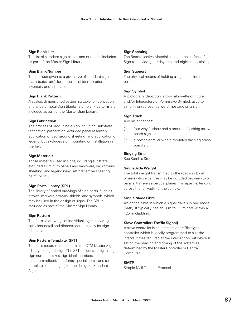## **Sign Blank List**

The list of standard sign blanks and numbers, included as part of the Master Sign Library.

## **Sign Blank Number**

The number given to a given size of standard sign blank (substrate), for purposes of identification, inventory and fabrication.

## **Sign Blank Pattern**

A scaled, dimensioned pattern suitable for fabrication of standard metal Sign Blanks. Sign blank patterns are included as part of the Master Sign Library.

## **Sign Fabrication**

The process of producing a sign including: substrate fabrication, preparation, extruded panel assembly, application of background sheeting, and application of legend, but excludes sign mounting or installation in the field.

#### **Sign Materials**

Those materials used in signs, including substrate, extruded aluminum panels and hardware, background sheeting, and legend (vinyl, retroreflective sheeting, paint, or ink).

## **Sign Parts Library (SPL)**

The library of scaled drawings of sign parts, such as arrows, markers, crowns, shields, and symbols, which may be used in the design of signs. The SPL is included as part of the Master Sign Library.

#### **Sign Pattern**

The full-size drawings of individual signs, showing sufficient detail and dimensional accuracy for sign fabrication.

#### **Sign Pattern Template (SPT)**

The base record of reference in the OTM Master Sign Library for sign design. The SPT includes: a sign image, sign numbers, sizes, sign blank numbers, colours, minimum reflectivities, fonts, special notes, and scaled templates (cut images) for the design of Standard Signs.

## **Sign Sheeting**

The Retroreflective Material used on the surface of a Sign to provide good daytime and nighttime visibility.

## **Sign Support**

The physical means of holding a sign in its intended position.

## **Sign Symbol**

A pictogram, depiction, arrow, silhouette or figure, and/or Interdictory or Permissive Symbol, used to simplify or represent a word message on a sign.

## **Sign Truck**

A vehicle that has:

- (1) four-way flashers and a mounted flashing arrow board sign, or
- (2) a portable trailer with a mounted flashing arrow board sign.

## **Singing Strip**

See Rumble Strip.

## **Single Axle Weight**

The total weight transmitted to the roadway by all wheels whose centres may be included between two parallel transverse vertical planes 1 m apart, extending across the full width of the vehicle.

#### **Single Mode Fibre**

An optical fibre in which a signal travels in one mode (path). It typically has an 8 m to 10 m core within a 125 m cladding.

## **Slave Controller (Traffic Signal)**

A slave controller is an intersection traffic signal controller which is locally programmed to suit the interval times required at the intersection but which is set on the phasing and timing of the system as determined by the Master Controller or Central Computer.

## **SMTP**

Simple Mail Transfer Protocol.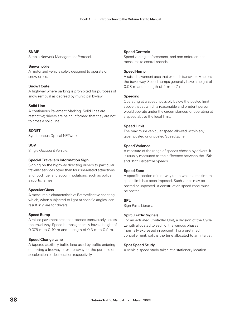## **SNMP**

Simple Network Management Protocol.

#### **Snowmobile**

A motorized vehicle solely designed to operate on snow or ice.

## **Snow Route**

A highway where parking is prohibited for purposes of snow removal as decreed by municipal by-law.

## **Solid Line**

A continuous Pavement Marking. Solid lines are restrictive; drivers are being informed that they are not to cross a solid line.

## **SONET**

Synchronous Optical NETwork.

## **SOV**

Single Occupant Vehicle.

## **Special Travellers Information Sign**

Signing on the highway directing drivers to particular traveller services other than tourism-related attractions and food, fuel and accommodations, such as police, airports, ferries.

#### **Specular Gloss**

A measurable characteristic of Retroreflective sheeting which, when subjected to light at specific angles, can result in glare for drivers.

#### **Speed Bump**

A raised pavement area that extends transversely across the travel way. Speed bumps generally have a height of 0.075 m to 0.10 m and a length of 0.3 m to 0.9 m.

## **Speed Change Lane**

A tapered auxiliary traffic lane used by traffic entering or leaving a freeway or expressway for the purpose of acceleration or deceleration respectively.

#### **Speed Controls**

Speed zoning, enforcement, and non-enforcement measures to control speeds.

## **Speed Hump**

A raised pavement area that extends transversely across the travel way. Speed humps generally have a height of 0.08 m and a length of 4 m to 7 m.

## **Speeding**

Operating at a speed, possibly below the posted limit, above that at which a reasonable and prudent person would operate under the circumstances, or operating at a speed above the legal limit.

#### **Speed Limit**

The maximum vehicular speed allowed within any given posted or unposted Speed Zone.

## **Speed Variance**

A measure of the range of speeds chosen by drivers. It is usually measured as the difference between the 15th and 85th Percentile Speeds.

#### **Speed Zone**

A specific section of roadway upon which a maximum speed limit has been imposed. Such zones may be posted or unposted. A construction speed zone must be posted.

## **SPL**

Sign Parts Library.

## **Split (Traffic Signal)**

For an actuated Controller Unit, a division of the Cycle Length allocated to each of the various phases (normally expressed in percent). For a pretimed controller unit, split is the time allocated to an Interval.

#### **Spot Speed Study**

A vehicle speed study taken at a stationary location.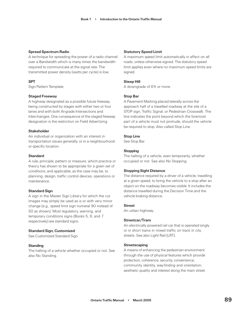## **Spread Spectrum Radio**

A technique for spreading the power of a radio channel over a Bandwidth which is many times the bandwidth required to communicate at the signal rate. The transmitted power density (watts per cycle) is low.

## **SPT**

Sign Pattern Template.

## **Staged Freeway**

A highway designated as a possible future freeway, being constructed by stages with either two or four lanes and with both At-grade Intersections and Interchanges. One consequence of the staged freeway designation is the restriction on Field Advertizing.

#### **Stakeholder**

An individual or organization with an interest in transportation issues generally, or in a neighbourhood or specific location.

## **Standard**

A rule, principle, pattern or measure, which practice or theory has shown to be appropriate for a given set of conditions, and applicable, as the case may be, to planning, design, traffic control devices, operations or maintenance.

## **Standard Sign**

A sign in the Master Sign Library for which the cut images may simply be used as is or with very minor change (e.g., speed limit sign numeral 90 instead of 50 as shown). Most regulatory, warning, and temporary conditions signs (Books 5, 6, and 7 respectively) are standard signs.

#### **Standard Sign, Customized**

See Customized Standard Sign.

## **Standing**

The halting of a vehicle whether occupied or not. See also No Standing.

#### **Statutory Speed Limit**

A maximum speed limit automatically in effect on all roads, unless otherwise signed. The statutory speed limit applies even where no maximum speed limits are signed.

#### **Steep Hill**

A downgrade of 6% or more.

## **Stop Bar**

A Pavement Marking placed laterally across the approach half of a travelled roadway at the site of a STOP sign, Traffic Signal, or Pedestrian Crosswalk. The line indicates the point beyond which the foremost part of a vehicle must not protrude, should the vehicle be required to stop. Also called Stop Line.

## **Stop Line**

See Stop Bar.

#### **Stopping**

The halting of a vehicle, even temporarily, whether occupied or not. See also No Stopping.

#### **Stopping Sight Distance**

The distance required by a driver of a vehicle, travelling at a given speed, to bring the vehicle to a stop after an object on the roadway becomes visible. It includes the distance travelled during the Decision Time and the vehicle braking distance.

#### **Street**

An urban highway.

## **Streetcar/Tram**

An electrically powered rail car that is operated singly or in short trains in mixed traffic on track in city streets. See also Light Rail (LRT).

## **Streetscaping**

A means of enhancing the pedestrian environment through the use of physical features which provide protection, coherence, security, convenience, community identity, way-finding and orientation, aesthetic quality and interest along the main street.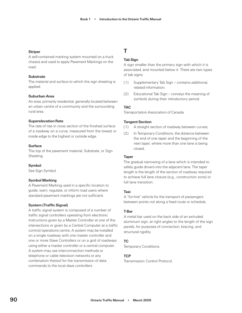## **Striper**

A self-contained marking system mounted on a truck chassis and used to apply Pavement Markings on the road.

#### **Substrate**

The material and surface to which the sign sheeting is applied.

## **Suburban Area**

An area, primarily residential, generally located between an urban centre of a community and the surrounding rural area.

## **Superelevation Rate**

The rate of rise in cross section of the finished surface of a roadway on a curve, measured from the lowest or inside edge to the highest or outside edge.

## **Surface**

The top of the pavement material, Substrate, or Sign Sheeting.

#### **Symbol**

See Sign Symbol.

## **Symbol Marking**

A Pavement Marking used in a specific location to guide, warn, regulate, or inform road users where standard pavement markings are not sufficient.

#### **System (Traffic Signal)**

A traffic signal system is composed of a number of traffic signal controllers operating from electronic instructions given by a Master Controller at one of the intersections or given by a Central Computer at a traffic control/operations centre. A system may be installed on a single roadway with one master controller and one or more Slave Controllers or on a grid of roadways using either a master controller or a central computer. A system may use interconnection methods or telephone or cable television networks or any combination thereof for the transmission of data commands to the local slave controllers.

# **T**

## **Tab Sign**

A sign smaller than the primary sign with which it is associated, and mounted below it. There are two types of tab signs:

- (1) Supplementary Tab Sign contains additional, related information;
- (2) Educational Tab Sign conveys the meaning of symbols during their introductory period.

#### **TAC**

Transportation Association of Canada.

## **Tangent Section**

- (1) A straight section of roadway between curves;
- (2) In Temporary Conditions, the distance between the end of one taper and the beginning of the next taper, where more than one lane is being closed.

#### **Taper**

The gradual narrowing of a lane which is intended to safely guide drivers into the adjacent lane. The taper length is the length of the section of roadway required to achieve full lane closure (e.g., construction zone) or full lane transition.

#### **Taxi**

A "for-hire" vehicle for the transport of passengers between points not along a fixed route or schedule.

#### **T-Bar**

A metal bar used on the back side of an extruded aluminum sign, at right angles to the length of the sign panels, for purposes of connection, bracing, and structural rigidity.

## **TC**

Temporary Conditions.

## **TCP**

Transmission Control Protocol.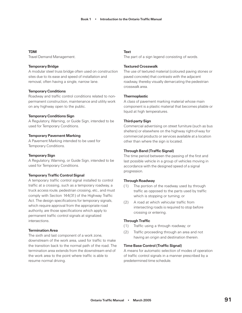## **TDM**

Travel Demand Management.

## **Temporary Bridge**

A modular steel truss bridge often used on construction sites due to its ease and speed of installation and removal, often having a single, narrow lane.

## **Temporary Conditions**

Roadway and traffic control conditions related to nonpermanent construction, maintenance and utility work on any highway open to the public.

## **Temporary Conditions Sign**

A Regulatory, Warning, or Guide Sign, intended to be used for Temporary Conditions.

## **Temporary Pavement Marking**

A Pavement Marking intended to be used for Temporary Conditions.

#### **Temporary Sign**

A Regulatory, Warning, or Guide Sign, intended to be used for Temporary Conditions.

## **Temporary Traffic Control Signal**

A temporary traffic control signal installed to control traffic at a crossing, such as a temporary roadway, a truck access route, pedestrian crossing, etc., and must comply with Section 144(31) of the Highway Traffic Act. The design specifications for temporary signals, which require approval from the appropriate road authority, are those specifications which apply to permanent traffic control signals at signalized intersections.

#### **Termination Area**

The sixth and last component of a work zone, downstream of the work area, used for traffic to make the transition back to the normal path of the road. The termination area extends from the downstream end of the work area to the point where traffic is able to resume normal driving.

## **Text**

The part of a sign legend consisting of words.

#### **Textured Crosswalk**

The use of textured material (coloured paving stones or paved concrete) that contrasts with the adjacent roadway, thereby visually demarcating the pedestrian crosswalk area.

## **Thermoplastic**

A class of pavement marking material whose main component is a plastic material that becomes pliable or liquid at high temperatures.

## **Third-party Sign**

Commercial advertising on street furniture (such as bus shelters) or elsewhere on the highway right-of-way for commercial products or services available at a location other than where the sign is located.

#### **Through Band (Traffic Signal)**

The time period between the passing of the first and last possible vehicle in a group of vehicles moving in accordance with the designed speed of a signal progression.

## **Through Roadway**

- (1) The portion of the roadway used by through traffic as opposed to the parts used by traffic which is stopping or turning; or
- (2) A road at which vehicular traffic from intersecting roads is required to stop before crossing or entering.

## **Through Traffic**

- (1) Traffic using a through roadway; or
- (2) Traffic proceeding through an area and not having an origin and destination therein.

#### **Time Base Control (Traffic Signal)**

A means for automatic selection of modes of operation of traffic control signals in a manner prescribed by a predetermined time schedule.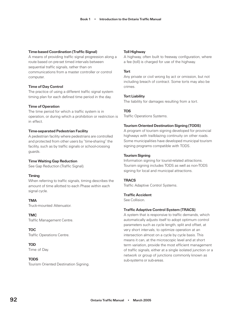## **Time-based Coordination (Traffic Signal)**

A means of providing traffic signal progression along a route based on pre-set timed intervals between sequential traffic signals, rather than on communications from a master controller or control computer.

## **Time of Day Control**

The practice of using a different traffic signal system timing plan for each defined time period in the day.

## **Time of Operation**

The time period for which a traffic system is in operation, or during which a prohibition or restriction is in effect.

#### **Time-separated Pedestrian Facility**

A pedestrian facility where pedestrians are controlled and protected from other users by "time-sharing" the facility, such as by traffic signals or school-crossing guards.

#### **Time Waiting Gap Reduction**

See Gap Reduction (Traffic Signal).

## **Timing**

When referring to traffic signals, timing describes the amount of time allotted to each Phase within each signal cycle.

## **TMA**

Truck-mounted Attenuator.

**TMC** Traffic Management Centre.

**TOC** Traffic Operations Centre.

**TOD** Time of Day.

## **TODS**

Tourism Oriented Destination Signing.

#### **Toll Highway**

A highway, often built to freeway configuration, where a fee (toll) is charged for use of the highway.

## **Tort**

Any private or civil wrong by act or omission, but not including breach of contract. Some torts may also be crimes.

## **Tort Liability**

The liability for damages resulting from a tort.

## **TOS**

Traffic Operations Systems.

#### **Tourism Oriented Destination Signing (TODS)**

A program of tourism signing developed for provincial highways with trailblazing continuity on other roads. Some municipalities have developed municipal tourism signing programs compatible with TODS.

#### **Tourism Signing**

Information signing for tourist-related attractions. Tourism signing includes TODS as well as non-TODS signing for local and municipal attractions.

## **TRACS**

Traffic Adaptive Control Systems.

#### **Traffic Accident**

See Collision.

## **Traffic Adaptive Control System (TRACS)**

A system that is responsive to traffic demands, which automatically adjusts itself to adopt optimum control parameters such as cycle length, split and offset, at very short intervals, to optimize operation at an intersection almost on a cycle by cycle basis. This means it can, at the microscopic level and at short term variation, provide the most efficient management of traffic signals, either at a single isolated junction or a network or group of junctions commonly known as sub-systems or sub-areas.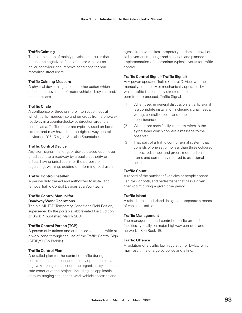## **Traffic Calming**

The combination of mainly physical measures that reduce the negative effects of motor vehicle use, alter driver behaviour and improve conditions for nonmotorized street users.

## **Traffic Calming Measure**

A physical device, regulation or other action which affects the movement of motor vehicles, bicycles, and/ or pedestrians.

#### **Traffic Circle**

A confluence of three or more intersection legs at which traffic merges into and emerges from a one-way roadway in a counterclockwise direction around a central area. Traffic circles are typically used on local streets, and may have either no right-of-way control devices, or YIELD signs. See also Roundabout.

## **Traffic Control Device**

Any sign, signal, marking, or device placed upon, over or adjacent to a roadway by a public authority or official having jurisdiction, for the purpose of regulating, warning, guiding or informing road users.

#### **Traffic Control Installer**

A person duly trained and authorized to install and remove Traffic Control Devices at a Work Zone.

## **Traffic Control Manual for Roadway Work Operations**

The old MUTCD Temporary Conditions Field Edition, superseded by the portable, abbreviated Field Edition of Book 7, published March 2001.

## **Traffic Control Person (TCP)**

A person duly trained and authorized to direct traffic at a work zone through the use of the Traffic Control Sign (STOP/SLOW Paddle).

## **Traffic Control Plan**

A detailed plan for the control of traffic during construction, maintenance, or utility operations on a highway, taking into account the organized, systematic, safe conduct of the project, including, as applicable, detours, staging sequences, work vehicle access to and

egress from work sites, temporary barriers, removal of old pavement markings and selection and planned implementation of appropriate typical layouts for traffic control.

## **Traffic Control Signal (Traffic Signal)**

Any power-operated Traffic Control Device, whether manually, electrically or mechanically operated, by which traffic is alternately directed to stop and permitted to proceed. Traffic Signal:

- (1) When used in general discussion, a traffic signal is a complete installation including signal heads, wiring, controller, poles and other appurtenances.
- (2) When used specifically, the term refers to the signal head which conveys a message to the observer.
- (3) That part of a traffic control signal system that consists of one set of no less than three coloured lenses, red, amber and green, mounted on a frame and commonly referred to as a signal head.

## **Traffic Count**

A record of the number of vehicles or people aboard vehicles, or both, and pedestrians that pass a given checkpoint during a given time period.

## **Traffic Island**

A raised or painted island designed to separate streams of vehicular traffic.

#### **Traffic Management**

The management and control of traffic on traffic facilities, typically on major highway corridors and networks. See Book 19.

#### **Traffic Offence**

A violation of a traffic law, regulation or by-law which may result in a charge by police and a fine.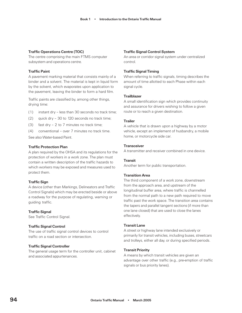## **Traffic Operations Centre (TOC)**

The centre comprising the main FTMS computer subsystem and operations centre.

## **Traffic Paint**

A pavement marking material that consists mainly of a binder and a solvent. The material is kept in liquid form by the solvent, which evaporates upon application to the pavement, leaving the binder to form a hard film.

Traffic paints are classified by, among other things, drying time:

- (1) instant dry less than 30 seconds no track time;
- (2) quick dry 30 to 120 seconds no track time;
- (3) fast dry 2 to 7 minutes no track time;
- (4) conventional over 7 minutes no track time.

See also Water-based Paint.

## **Traffic Protection Plan**

A plan required by the OHSA and its regulations for the protection of workers in a work zone. The plan must contain a written description of the traffic hazards to which workers may be exposed and measures used to protect them.

## **Traffic Sign**

A device (other than Markings, Delineators and Traffic Control Signals) which may be erected beside or above a roadway for the purpose of regulating, warning or guiding traffic.

#### **Traffic Signal**

See Traffic Control Signal.

## **Traffic Signal Control**

The use of traffic signal control devices to control traffic on a road section or intersection.

## **Traffic Signal Controller**

The general usage term for the controller unit, cabinet and associated appurtenances.

## **Traffic Signal Control System**

An area or corridor signal system under centralized control.

## **Traffic Signal Timing**

When referring to traffic signals, timing describes the amount of time allotted to each Phase within each signal cycle.

#### **Trailblazer**

A small identification sign which provides continuity and assurance for drivers wishing to follow a given route or to reach a given destination.

## **Trailer**

A vehicle that is drawn upon a highway by a motor vehicle, except an implement of husbandry, a mobile home, or motorcycle side car.

## **Transceiver**

A transmitter and receiver combined in one device.

## **Transit**

Another term for public transportation.

## **Transition Area**

The third component of a work zone, downstream from the approach area, and upstream of the longitudinal buffer area, where traffic is channelled from the normal path to a new path required to move traffic past the work space. The transition area contains the tapers and parallel tangent sections (if more than one lane closed) that are used to close the lanes effectively.

#### **Transit Lane**

A street or highway lane intended exclusively or primarily for transit vehicles, including buses, streetcars and trolleys, either all day, or during specified periods.

#### **Transit Priority**

A means by which transit vehicles are given an advantage over other traffic (e.g., pre-emption of traffic signals or bus priority lanes).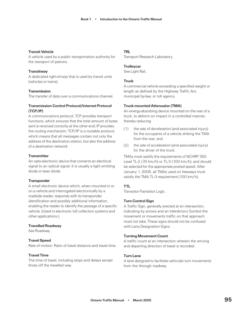## **Transit Vehicle**

A vehicle used by a public transportation authority for the transport of patrons.

## **Transitway**

A dedicated right-of-way that is used by transit units (vehicles or trains).

## **Transmission**

The transfer of data over a communications channel.

## **Transmission Control Protocol/Internet Protocol (TCP/IP)**

A communications protocol. TCP provides transport functions, which ensures that the total amount of bytes sent is received correctly at the other end; IP provides the routing mechanism. TCP/IP is a routable protocol, which means that all messages contain not only the address of the destination station, but also the address of a destination network.

## **Transmitter**

An opto-electronic device that converts an electrical signal to an optical signal. It is usually a light emitting diode or laser diode.

## **Transponder**

A small electronic device which, when mounted in or on a vehicle and interrogated electronically by a roadside reader, responds with its transponder identification and possibly additional information, enabling the reader to identify the passage of a specific vehicle. (Used in electronic toll collection systems and other applications.)

#### **Travelled Roadway**

See Roadway.

## **Travel Speed**

Rate of motion. Ratio of travel distance and travel time.

## **Travel Time**

The time of travel, including stops and delays except those off the travelled way.

## **TRL**

Transport Research Laboratory.

#### **Trolleycar**

See Light Rail.

#### **Truck**

A commercial vehicle exceeding a specified weight or length as defined by the Highway Traffic Act, municipal by-law, or toll agency.

## **Truck-mounted Attenuator (TMA)**

An energy-absorbing device mounted on the rear of a truck, to deform on impact in a controlled manner, thereby reducing:

- (1) the rate of deceleration (and associated injury) for the occupants of a vehicle striking the TMA from the rear; and
- (2) the rate of acceleration (and associated injury) for the driver of the truck.

TMAs must satisfy the requirements of NCHRP 350 Level TL-2 (70 km/h) or TL-3 (100 km/h), and should be selected for the appropriate posted speed. After January 1, 2006, all TMAs used on freeways must satisfy the TMA TL-3 requirement (100 km/h).

## **TTL**

Transistor-Transistor Logic.

#### **Turn Control Sign**

A Traffic Sign, generally erected at an intersection, indicating by arrows and an Interdictory Symbol the movement or movements traffic on that approach must not take. These signs should not be confused with Lane Designation Signs.

#### **Turning Movement Count**

A traffic count at an intersection wherein the arriving and departing direction of travel is recorded.

## **Turn Lane**

A lane designed to facilitate vehicular turn movements from the through roadway.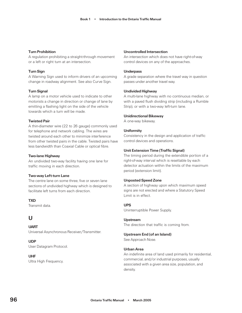## **Turn Prohibition**

A regulation prohibiting a straight-through movement or a left or right turn at an intersection.

## **Turn Sign**

A Warning Sign used to inform drivers of an upcoming change in roadway alignment. See also Curve Sign.

## **Turn Signal**

A lamp on a motor vehicle used to indicate to other motorists a change in direction or change of lane by emitting a flashing light on the side of the vehicle towards which a turn will be made.

#### **Twisted Pair**

A thin-diameter wire (22 to 26 gauge) commonly used for telephone and network cabling. The wires are twisted around each other to minimize interference from other twisted pairs in the cable. Twisted pairs have less bandwidth than Coaxial Cable or optical fibre.

## **Two-lane Highway**

An undivided two-way facility having one lane for traffic moving in each direction.

## **Two-way Left-turn Lane**

The centre lane on some three, five or seven lane sections of undivided highway which is designed to facilitate left turns from each direction.

## **TXD**

Transmit data.

## **U**

**UART** Universal Asynchronous Receiver/Transmitter.

**UDP** User Datagram Protocol.

**UHF** Ultra High Frequency.

#### **Uncontrolled Intersection**

An intersection which does not have right-of-way control devices on any of the approaches.

## **Underpass**

A grade separation where the travel way in question passes under another travel way.

## **Undivided Highway**

A multi-lane highway with no continuous median, or with a paved flush dividing strip (including a Rumble Strip), or with a two-way left-turn lane.

## **Unidirectional Bikeway**

A one-way bikeway.

## **Uniformity**

Consistency in the design and application of traffic control devices and operations.

## **Unit Extension Time (Traffic Signal)**

The timing period during the extendible portion of a right-of-way interval which is resettable by each detector actuation within the limits of the maximum period (extension limit).

#### **Unposted Speed Zone**

A section of highway upon which maximum speed signs are not erected and where a Statutory Speed Limit is in effect.

## **UPS**

Uninterruptible Power Supply.

#### **Upstream**

The direction that traffic is coming from.

## **Upstream End (of an Island)**

See Approach Nose.

#### **Urban Area**

An indefinite area of land used primarily for residential, commercial, and/or industrial purposes, usually associated with a given area size, population, and density.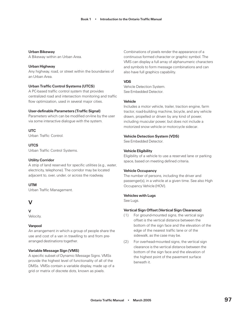## **Urban Bikeway**

A Bikeway within an Urban Area.

#### **Urban Highway**

Any highway, road, or street within the boundaries of an Urban Area.

## **Urban Traffic Control Systems (UTCS)**

A PC-based traffic control system that provides centralized road and intersection monitoring and traffic flow optimization, used in several major cities.

## **User-definable Parameters (Traffic Signal)**

Parameters which can be modified on-line by the user via some interactive dialogue with the system.

## **UTC**

Urban Traffic Control.

## **UTCS**

Urban Traffic Control Systems.

#### **Utility Corridor**

A strip of land reserved for specific utilities (e.g., water, electricity, telephone). The corridor may be located adjacent to, over, under, or across the roadway.

## **UTM**

Urban Traffic Management.

## **V**

## **V**

Velocity.

## **Vanpool**

An arrangement in which a group of people share the use and cost of a van in travelling to and from prearranged destinations together.

## **Variable Message Sign (VMS)**

A specific subset of Dynamic Message Signs. VMSs provide the highest level of functionality of all of the DMSs. VMSs contain a variable display, made up of a grid or matrix of discrete dots, known as pixels.

Combinations of pixels render the appearance of a continuous formed character or graphic symbol. The VMS can display a full array of alphanumeric characters and symbols to form message combinations and can also have full graphics capability.

## **VDS**

Vehicle Detection System. See Embedded Detector.

#### **Vehicle**

Includes a motor vehicle, trailer, traction engine, farm tractor, road-building machine, bicycle, and any vehicle drawn, propelled or driven by any kind of power, including muscular power, but does not include a motorized snow vehicle or motorcycle sidecar.

## **Vehicle Detection System (VDS)**

See Embedded Detector.

#### **Vehicle Eligibility**

Eligibility of a vehicle to use a reserved lane or parking space, based on meeting defined criteria.

#### **Vehicle Occupancy**

The number of persons, including the driver and passenger(s), in a vehicle at a given time. See also High Occupancy Vehicle (HOV).

## **Vehicles with Lugs**

See Lugs.

#### **Vertical Sign Offset (Vertical Sign Clearance)**

- (1) For ground-mounted signs, the vertical sign offset is the vertical distance between the bottom of the sign face and the elevation of the edge of the nearest traffic lane or of the sidewalk, as the case may be.
- (2) For overhead-mounted signs, the vertical sign clearance is the vertical distance between the bottom of the sign face and the elevation of the highest point of the pavement surface beneath it.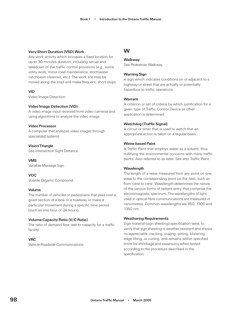## **Very Short Duration (VSD) Work**

Any work activity which occupies a fixed location for up to 30 minutes duration, including set-up and takedown of the traffic control provisions (e.g., some utility work, minor road maintenance, stormwater catchbasin cleanout, etc.). The work site may be moved along the road and make frequent, short stops.

## **VID**

Video Image Detection.

## **Video Image Detection (VID)**

A video image input received from video cameras and using algorithms to analyze the video image.

## **Video Processor**

A computer that analyzes video images through specialized systems.

## **Vision Triangle**

See Intersection Sight Distance.

**VMS** Variable Message Sign.

**VOC** Volatile Organic Compound.

#### **Volume**

The number of vehicles or pedestrians that pass over a given section of a lane or a roadway or make a particular movement during a specific time period (such as one hour or 24 hours).

## **Volume-Capacity Ratio (V/C Ratio)**

The ratio of demand flow rate to capacity for a traffic facility.

## **VRC**

Vehicle-Roadside Communications.

## **W**

#### **Walkway**

See Pedestrian Walkway.

## **Warning Sign**

A sign which indicates conditions on or adjacent to a highway or street that are actually or potentially hazardous to traffic operations.

#### **Warrant**

A criterion or set of criteria by which justification for a given type of Traffic Control Device or other application is determined.

#### **Watchdog (Traffic Signal)**

A circuit or timer that is used to watch that an appropriate action is taken on a regular basis.

## **Water-based Paint**

A Traffic Paint that employs water as a solvent, thus nullifying the environmental concerns with many traffic paints. Also referred to as latex. See also Traffic Paint.

#### **Wavelength**

The length of a wave measured from any point on one wave to the corresponding point on the next, such as from crest to crest. Wavelength determines the nature of the various forms of radiant entry that comprise the electromagnetic spectrum. The wavelengths of light used in optical fibre communications are measured in nanometres. Common wavelengths are 850, 1300 and 1350 nm.

#### **Weathering Requirements**

Sign material (sign sheeting) specification tests, to verify that sign sheeting is weather resistant and shows no appreciable cracking, scaling, pitting, blistering, edge lifting, or curling, and remains within specified limits for shrinkage and expansion, when tested according to the procedure described in the specification.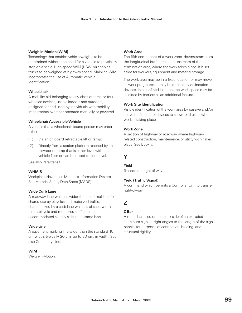## **Weigh-in-Motion (WIM)**

Technology that enables vehicle weights to be determined without the need for a vehicle to physically stop on a scale. High-speed WIM (HSWIM) enables trucks to be weighed at highway speed. Mainline WIM incorporates the use of Automatic Vehicle **Identification** 

#### **Wheelchair**

A mobility aid belonging to any class of three or four wheeled devices, usable indoors and outdoors, designed for and used by individuals with mobility impairments, whether operated manually or powered.

#### **Wheelchair Accessible Vehicle**

A vehicle that a wheelchair bound person may enter either:

- (1) Via an on-board retractable lift or ramp;
- (2) Directly from a station platform reached by an elevator or ramp that is either level with the vehicle floor or can be raised to floor level.

See also Para-transit.

## **WHMIS**

Workplace Hazardous Materials Information System. See Material Safety Data Sheet (MSDS).

## **Wide Curb Lane**

A roadway lane which is wider than a normal lane for shared use by bicycles and motorized traffic, characterized by a curb-lane which is of such width that a bicycle and motorized traffic can be accommodated side by side in the same lane.

#### **Wide Line**

A pavement marking line wider than the standard 10 cm width, typically 20 cm, up to 30 cm, in width. See also Continuity Line.

## **WIM**

Weigh-in-Motion.

## **Work Area**

The fifth component of a work zone, downstream from the longitudinal buffer area and upstream of the termination area, where the work takes place. It is set aside for workers, equipment and material storage.

The work area may be in a fixed location or may move as work progresses. It may be defined by delineation devices. In a confined location, the work space may be shielded by barriers as an additional feature.

## **Work Site Identification**

Visible identification of the work area by passive and/or active traffic control devices to show road users where work is taking place.

#### **Work Zone**

A section of highway or roadway where highwayrelated construction, maintenance, or utility work takes place. See Book 7.

## **Y**

## **Yield**

To cede the right-of-way.

## **Yield (Traffic Signal)**

A command which permits a Controller Unit to transfer right-of-way.

## **Z**

## **Z-Bar**

A metal bar used on the back side of an extruded aluminum sign, at right angles to the length of the sign panels, for purposes of connection, bracing, and structural rigidity.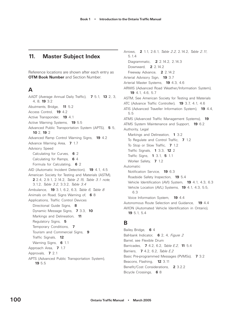## **11. Master Subject Index**

Reference locations are shown after each entry as **OTM Book Number** and Section Number.

## **A**

AADT (Average Annual Daily Traffic), **7** 5.1, **13** 2, 3, 4, 8, **19** 3.2 Abutments, Bridge, **11** 5.2 Access Control, **19** 4.2 Active Transponder, **19** 4.1 Active Warning Systems, **19** 5.5 Advanced Public Transportation System (APTS), **5** 5, **10** 2, **19** 2 Advanced Ramp Control Warning Signs, **19** 4.2 Advance Warning Area, **7** 1.7 Advisory Speed Calculating for Curves, **6** 2 Calculating for Ramps, **6** 4 Formula for Calculating, **6** 2 AID (Automatic Incident Detection), **19** 4.1, 4.5 American Society for Testing and Materials (ASTM), **2** 2.4, 2.9.1, 2.14.2, *Table 2.15*, *Table 3.1 note*, 3.1.2, *Table 3.2*, 3.3.2, *Table 3.4* Ambulance, **19** 3.1, 6.2, 6.3, *Table 6*, *Table 8* Animals on Road, Signs Warning of, **6** 8 Applications, Traffic Control Devices Directional Guide Signs, **8** Dynamic Message Signs, **7** 3.3, **10** Markings and Delineation, **11** Regulatory Signs, **5** Temporary Conditions, **7** Tourism and Commercial Signs, **9** Traffic Signals, **12** Warning Signs, **6** 1.1 Approach Area, **7** 1.7 Approvals, **7** 2.1 APTS (Advanced Public Transportation System), **19** 5.5

Arrows, **2** 1.1, 2.6.1, *Table 2.2*, 2.14.2, *Table 2.11*, 5.1.4 Diagrammatic, **2** 2.14.2, 2.14.3 Downward, **2** 2.14.2 Freeway Advance, **2** 2.14.2 Arterial Advisory Sign, **19** 3.7 Arterial Master Systems, **19** 4.3, 4.6 ARWIS (Advanced Road Weather/Information System), **19** 4.1, 4.6, 5.7 ASTM, See American Society for Testing and Materials ATC (Advance Traffic Controller), **19** 3.7, 4.1, 4.6 ATIS (Advanced Traveller Information System), **19** 4.4, 5.5 ATMS (Advanced Traffic Management Systems), **19** ATMS System Maintenance and Support, **19** 6.2 Authority, Legal Markings and Delineation, **1** 3.2 To Regulate and Control Traffic, **7** 1.2 To Stop or Slow Traffic, **7** 1.2 Traffic Signals, **1** 3.3, **12** 2 Traffic Signs, **1** 3.1, **5** 1.1 Worker Safety, **7** 1.2 Automatic Notification Service, **19** 6.3 Roadside Safety Inspection, **19** 5.4 Vehicle Identification (AVI) System, **19** 4.1, 4.3, 6.3 Vehicle Location (AVL) Systems, **19** 4.1, 4.3, 5.5, 6.3 Voice Information System, **19** 4.4 Autonomous Route Selection and Guidance, **19** 4.4 AVION (Automated Vehicle Identification in Ontario), **19** 5.1, 5.4

## **B**

Bailey Bridge, **6** 4 Ball-bank Indicator, **6** 2, 4, *Figure 2* Barrel, see Flexible Drum Barricades, **7** 4.2, 6.2, *Table E.2,* **11** 5.4 Barriers, **7** 4.2, 6.2, *Table E.2* Basic Pre-programmed Messages (PVMSs), **7** 3.2 Beacons, Flashing, **12** 3.11 Benefit/Cost Considerations, **2** 3.2.2 Bicycle Crossings, **6** 8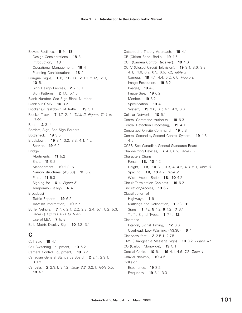Bicycle Facilities, **5** 9, **18** Design Considerations, **18** 3 Introduction, **18** 1 Operational Management, **18** 4 Planning Considerations, **18** 2 Bilingual Signs, **1** 8, **1B** 13, **2** 1.1, 2.12, **7** 1, **10** 5.1, Sign Design Process, **2** 2.15.1 Sign Patterns, **2** 1.5, 5.1.6 Blank Number, See Sign Blank Number Blank-out CMS, **10** 3.2 Blockage/Breakdown of Traffic, **19** 3.1 Blocker Truck, **7** 1.7, 2, 5, *Table D, Figures TL-1 to TL-82* Bond, **2** 3, 4 Borders, Sign, See Sign Borders Bottleneck, **19** 3.6 Breakdown, **19** 3.1, 3.2, 3.3, 4.1, 4.2 Service, **19** 6.2 Bridge Abutments, **11** 5.2 Ends, **11** 5.2 Management, **19** 2.3, 5.1 Narrow structures, (A3.33), **11** 5.2 Piers, **11** 5.3 Signing for, **6** 4, *Figure 5* Temporary (Bailey), **6** 4 Broadcast Traffic Reports, **19** 6.2 Traveller Information, **19** 5.5 Buffer Vehicle, **7** 1.7, 2.1, 2.2, 2.3, 2.4, 5.1, 5.2, 5.3, *Table D, Figures TL-1 to TL-82* Use of LBA, **7** 5, 8 Bulb Matrix Display Sign, **10** 1.2, 3.1

## **C**

Call Box, **19** 4.1 Call Switching Equipment, **19** 6.2 Camera Control Equipment, **19** 6.2 Canadian General Standards Board, **2** 2.4, 2.9.1, 3.1.2 Candela, **2** 2.9.1, 3.1.2, *Table 3.2*, 3.2.1, *Table 3.3,* **10** 4.1

Catastrophe Theory Approach, **19** 4.1 CB (Citizen Band) Radio, **19** 4.6 CCR (Camera Control Receiver), **19** 4.6 CCTV (Closed Circuit Television), **19** 3.1, 3.6, 3.8, 4.1, 4.6, 6.2, 6.3, 6.5, 7.2, *Table 2* Camera, **19** 4.1, 4.4, 6.2, 6.5, *Figure 5* Image Resolution, **19** 6.2 Images, **19** 4.6 Image Size, **19** 6.2 Monitor, **19** 6.2 Specification, **19** 4.1 System, **19** 3.6, 3.7, 4.1, 4.3, 6.3 Cellular Network, **10** 6.1 Central Command Authority, **19** 6.3 Central Detection Processing, **19** 4.1 Centralized On-site Command, **19** 6.3 Central Second-by-Second Control System, **19** 4.3, 4.6 CGSB, See Canadian General Standards Board Channelizing Devices, **7** 4.1, 6.2, *Table E.2* Characters (Signs) Fonts, **1B, 10** 4.2 Height, **1B**, **10** 3.1, 3.3, 4, 4.2, 4.3, 5.1, *Table 3* Spacing, **1B**, **10** 4.2, *Table 2* Width Aspect Ratio, **1B**, **10** 4.2 Circuit Termination Cabinets, **19** 6.2 Circulation/Access, **19** 6.2 Classification of Highways, **1** 6 Markings and Delineation, **1** 7.3, **11** Signs, **1** 7.2, **5** 1.2, **6** 1.2, **7** 3.1 Traffic Signal Types, **1** 7.4, **12** Clearance Interval, Signal Timing, **12** 3.6 Overhead, Low Warning, (A3.35), **6** 4 Clearview font, **2** 2.5.1, 2.7.5 CMS (Changeable Message Sign), **10** 3.2, *Figure 10* CO (Carbon Monoxide), **19** 5.1 Coaxial Cable, **10** 6.1, **19** 4.1, 4.6, 7.2, *Table 4* Coaxial Network, **19** 4.6 Collision Experience, **19** 3.2 Frequency, **19** 3.1, 3.3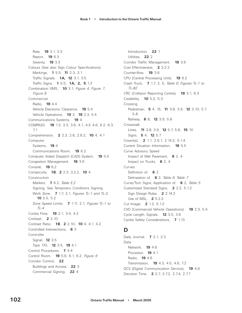Rate, **19** 3.1, 3.3 Report, **19** 6.3 Severity, **19** 3.3 Colours (See also Sign Colour Specifications) Markings, **1** 5.5, **11** 2.3, 3.1 Traffic Signals, **1A, 12** 3.1, 3.5 Traffic Signs, **1** 5.5, **1A, 2, 5** 1.3 Combination VMS, **10** 3.1, *Figure 4*, *Figure 7*, *Figure 8* Commercial Radio, **19** 4.4 Vehicle Electronic Clearance, **19** 5.4 Vehicle Operations, **10** 2, **19** 2.3, 5.4 Communications Systems, **19** 4 COMPASS, **19** 1.3, 3.3, 3.6, 4.1, 4.5 4.6, 6.2, 6.3, 7.1 Comprehension, **2** 2.3, 2.6, 2.6.2, **10** 4, 4.1 Computer Systems, **19** 4 Communications Room, **19** 6.2 Computer Aided Dispatch (CAD) System, **19** 5.5 Congestion Management, **19** 3.6 Console, **19** 6.2 Conspicuity, **1B**, **2** 2.3, 3.2.2, **10** 4 Construction Markers, **7** 6.2, *Table E.2* Signing, See Temporary Conditions Signing Work Zone, **7** 1.7, 2.1, *Figures TL-1 and TL-2,* **10** 3.3, 5.2 Zone Speed Limits, **7** 1.11, 2.1, *Figures TL-1 to TL-4* Contra Flow, **19** 2.1, 3.4, 4.2 Contrast, **2** 2.10 Contrast Ratio, **1B**, **2** 2.10, **10** 4, 4.1, 4.2 Controlled Intersections, **6** 3 Controller Signal, **12** 3.5 Type 170, **12** 3.5, **19** 4.1 Control Procedures, **7** 4.4 Control Room, **19** 5.6, 6.1, 6.2, *Figure 9* Corridor Control, **22** Buildings and Access, **22** 3 Commercial Signing, **22** 4

Introduction, **22** 1 Utilities, **22** 2 Corridor Traffic Management, **19** 3.6 Cost Effectiveness, **2** 3.2.2 Counter-flow, **19** 3.6 CPU (Central Processing Unit), **19** 6.2 Crash Truck, **7** 1.7, 2, 5, *Table D, Figures TL-1 to TL-82* CRC (Collision Reporting Centre), **19** 3.1, 6.3 Credibility, **10** 5.2, 5.3 Crossing Pedestrian, **5** 4, 15, **11** 3.8, 3.9, **12** 3.10, 5.7, 5.8 Railway, **6** 8, **12** 3.9, 5.8 Crosswalk Lines, **11** 3.8, 3.9, **12** 5.7, 5.8, **15** 10 Signs, **5** 4, **12** 5.7 Crown(s), **2** 1.1, 2.6.1, 2.14.2, 5.1.4 Current Situation Information, **19** 5.5 Curve Advisory Speed Impact of Wet Pavement, **6** 2, 4 Impact on Trucks, **6** 2, 4 Curves Definition of, **6** 2 Delineation of, **6** 2, *Table 6*, *Table 7* Curve/Turn Signs, Application of, **6** 2, *Table 5* Customized Standard Signs, **2** 2.2, 5.1.2 Sign Design Rules, **2** 2.14.2 Use of MSL, **2** 5.2.2 Cut Image, **2** 1.2, 5.1.2 CVO (Commercial Vehicle Operations), **19** 2.3, 5.4 Cycle Length, Signals, **12** 3.5, 3.6 Cyclist Safety Considerations, **7** 1.13

## **D**

Daily Journal, **7** 2.1, 2.3 Data Network, **19** 4.6 Processor, **19** 4.1 Radio, **19** 4.6 Transmission, **19** 4.3, 4.5, 4.6, 7.2 DCS (Digital Communication Service), **19** 4.6 Decision Time, **2** 2.7, 2.7.2, 2.7.4, 2.7.7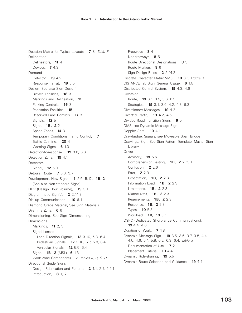Decision Matrix for Typical Layouts, **7** 8, *Table F* Delineation Delineators, **11** 4 Devices, **7** 4.3 Demand Detector, **19** 4.2 Response Transit, **19** 5.5 Design (See also Sign Design) Bicycle Facilities, **18** 3 Markings and Delineation, **11** Parking Controls, **16** 3 Pedestrian Facilities, **15** Reserved Lane Controls, **17** 3 Signals, **12** 5 Signs, **1B, 2** 2 Speed Zones, **14** 3 Temporary Conditions Traffic Control, **7** Traffic Calming, **20** 4 Warning Signs, **6** 1.3 Detection-to-response, **19** 3.6, 6.3 Detection Zone, **19** 4.1 **Detectors** Signal, **12** 5.9 Detours, Route, **7** 3.3, 3.7 Development, New Signs, **1** 2.5, 5.12, **1B**, **2** (See also Non-standard Signs) DHV (Design Hour Volume), **19** 3.1 Diagrammatic Sign(s), **2** 2.14.3 Dial-up Communication, **10** 6.1 Diamond Grade Material, See Sign Materials Dilemma Zone, **6** 6 Dimensioning, See Sign Dimensioning Dimensions Markings, **11** 2, 3 Signal Lenses Lane Direction Signals, **12** 3.10, 5.8, 6.4 Pedestrian Signals, **12** 3.10, 5.7, 5.8, 6.4 Vehicular Signals, **12** 5.5, 6.4 Signs, **1B**, **2** (MSL), **6** 1.3 Work Zone Components, **7**, *Tables A, B, C, D* Directional Guide Signs Design, Fabrication and Patterns **2** 1.1, 2.7, 5.1.1 Introduction, **8** 1, 2

Freeways, **8** 4 Non-freeways, **8** 5 Route Directional Designations, **8** 3 Route Markers, **8** 6 Sign Design Rules, **2** 2.14.2 Discrete Character Matrix VMS, **10** 3.1, *Figure 1* DISTANCE Tab Sign, General Usage, **6** 1.5 Distributed Control System, **19** 4.3, 4.6 Diversion Route, **19** 3.1, 3.5, 3.6, 6.3 Strategies, **19** 3.1, 3.6, 4.2, 4.3, 6.3 Diversionary Messages, **19** 4.2 Diverted Traffic, **19** 4.2, 4.5 Divided Road Transition Signs, **6** 5 DMS: see Dynamic Message Sign Doppler Shift, **19** 4.1 Drawbridge, Signals: see Moveable Span Bridge Drawings, Sign, See Sign Pattern Template; Master Sign Library Driver Advisory, **19** 5.5 Comprehension Testing, **1B, 2** 2.13.1 Confusion, **2** 2.6 Error, **2** 2.3 Expectation, **1C, 2** 2.3 Information Load, **1B, 2** 2.3 Limitations, **1B, 2** 2.3 Manoeuvres, **1B, 2** 2.3 Requirements, **1B, 2** 2.3 Response, **1B, 2** 2.3 Types, **10** 5.3 Workload, **1B**, **10** 5.1 DSRC (Dedicated Short-range Communications), **19** 4.4, 4.6 Duration of Work, **7** 1.8 Dynamic Message Sign, **19** 3.5, 3.6, 3.7, 3.8, 4.4, 4.5, 4.6, 5.1, 5.8, 6.2, 6.3, 6.4, *Table 9* Documentation of Use, **7** 2.1 Placement Criteria, **10** 4.4 Dynamic Ride-sharing, **19** 5.5 Dynamic Route Selection and Guidance, **19** 4.4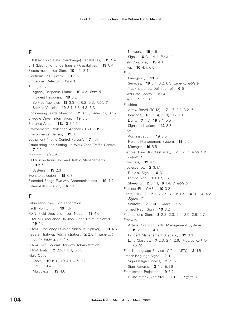# **E**

EDI (Electronic Data Interchange) Capabilities, **19** 5.4 EFT (Electronic Funds Transfer) Capabilities, **19** 5.4 Electro-mechanical Sign, **10** 1.2, 3.1 Electronic Toll System, **19** 5.6 Embedded Detector, **19** 4.1 Emergency Agency Response Matrix, **19** 6.3, *Table 8* Incident Response, **19** 6.2 Service Agencies, **19** 3.3, 4, 6.2, 6.3, *Table 6* Service Vehicle, **19** 3.1, 3.3, 4.3, 6.3 Engineering Grade Sheeting, **2** 3.1.1, *Table 3.1*, 3.1.2 En-route Driver Information, **19** 5.5 Entrance Angle, **1B, 2** 3.1.2 Environmental Protection Agency (U.S.), **19** 3.3 Environmental Sensor, **19** 4.1 Equipment (Traffic Control Person), **7** 4.4 Establishing and Setting up Work Zone Traffic Control, **7** 2.2 Ethernet, **19** 4.6, 7.2 ETTM (Electronic Toll and Traffic Management), **19** 5.6 Systems, **19** 2.3 Event-to-detection, **19** 6.3 Extended Range Two-way Communications, **19** 4.4 External Illumination, **6** 1.4

## **F**

Fabrication, See Sign Fabrication Fault Monitoring, **19** 4.5 FDIN (Field Drop and Insert Node), **19** 4.6 FDVDM (Frequency Division Video De-multiplexer), **19** 4.6 FDVM (Frequency Division Video Multiplexer), **19** 4.6 Federal Highway Administration, **2** 2.5.1, *Table 3.1 note*, *Table 3.4*, 5.1.3 FHWA, See Federal Highway Administration FHWA fonts, **2** 2.5.1, 5.1, 5.1.3 Fibre Optic Cable, **10** 6.1, **19** 4.1, 4.6, 7.2 Link, **19** 4.6 Multiplexer, **19** 4.6

Network, **19** 4.6 Sign, **10** 3.1, 4.1, *Table 1* Field Controller, **19** 4.1 Filter, **10** 4.1, 6.5 Fire Emergency, **19** 3.1 Services, **19** 3.1, 6.2, 6.3, *Table 6*, *Table 8* Truck Entrance, Definition of, **6** 8 Fixed Rate Control, **19** 4.2 Flags, **7** 1.5, 6.1 Flashing Arrow Board (TC-12), **7** 1.7, 2.1, 3.2, 6.1 Beacons, **6** 1.6, 4, 6, 8), **12** 3.1 Lights, **7** 4.7, **19** 3.1, 5.5 Signal Indications, **12** 3.8 Fleet Administration, **19** 5.5 Freight Management System, **19** 5.5 Manager, **19** 5.5 Flexible drum (TC-54) (Barrel), **7** 6.2, 7, *Table E.2, Figure 9* Flow Rate, **19** 4.1 Fluorescence, **2** 3.1.1 Flip-disk Sign, **10** 3.1 Lamps Sign, **10** 1.2, 3.2 Sheeting, **2** 3.1.1, **6** 1.4, **7** *Table 3* Fold-out/Flap CMS, **10** 3.2 Fonts, **1B**, **2** 2.5.1, 2.7.5, 5.1, 5.1.3, **10** 3.1, 4, 4.2, *Figure 12* Sources, **2** 2.14.2, *Table 2.9*, 5.1.3 Formed Neon Sign, **10** 3.2 Foundations, Sign, **3** 2.2, 2.3, 2.4, 2.5, 2.6, 2.7 Freeway Arterial Corridor Traffic Management Systems, **19** 2.1, 2.3, 4.1 Incident Management Scenario, **19** 6.3 Lane Closures, **7** 2.3, 2.4, 2.6, *Figures TL-1 to TL-82* French Language Services Office (MTO), **2** 1.5 French-language Signs, **2** 1.1 Sign Design Process, **2** 2.15.1 Sign Patterns, **2** 1.5, 5.1.6 Front-screen Projector, **19** 6.2 Full Line Matrix Sign VMS, **10** 3.1, *Figure 3*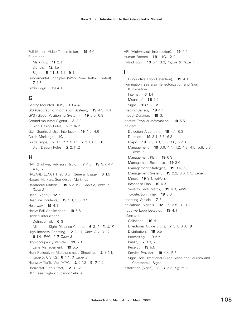Full Motion Video Transmission, **19** 4.6 Functions Markings, **11** 2.1 Signals, **12** 1.5 Signs, **5** 1.1, **8** 1.1, **9** 1.1 Fundamental Principles (Work Zone Traffic Control), **7** 1.3 Fuzzy Logic, **19** 4.1

# **G**

Gantry Mounted DMS, **10** 4.4 GIS (Geographic Information System), **19** 4.3, 4.4 GPS (Global Positioning System), **19** 5.5, 6.3 Ground-mounted Sign(s), **2** 2.2 Sign Design Rules, **2** 2.14.2 GUI (Graphical User Interface), **19** 4.5, 4.6 Guide Markings, **1C** Guide Signs, **2** 1.1, 2.7, 5.1.1, **7** 3.1, 6.3, **8** Sign Design Rules, **2** 2.14.2

# **H**

HAR (Highway Advisory Radio), **7** 4.8, **19** 3.7, 4.4, 4.6, 5.1 HAZARD LENGTH Tab Sign, General Usage, **6** 1.5 Hazard Markers: See Object Markings Hazardous Material, **19** 6.2, 6.3, *Table 6*, *Table 7*, *Table 8* Head, Signal, **12** 5 Headline Incidents, **19** 3.1, 3.3, 3.5 Headway, **19** 4.1 Heavy Rail Applications, **19** 5.5 Hidden Intersection Definition of, **6** 3 Minimum Sight Distance Criteria, **6** 3, 5, *Table 8* High Intensity Sheeting, **2** 3.1.1, *Table 3.1*, 3.1.2, **6** 1.4, *Table 1*, **7** *Table 3* High-occupancy Vehicle, **19** 5.3 Lane Management, **19** 5.5 High Reflectivity Micro-prismatic Sheeting, **2** 3.1.1, *Table 3.1*, 3.1.2, **6** 1.4, **7** *Table 3* Highway Traffic Act (HTA), **2** 5.1.2, **5**, **7** 1.2 Horizontal Sign Offset, **2** 3.1.2 HOV: see High-occupancy Vehicle

HRI (Highway-rail Intersection), **19** 5.5 Human Factors, **1B, 1C, 2** 2 Hybrid sign, **10** 3.1, 3.3, *Figure 6*, *Table 1*

## **I**

ILD (Inductive Loop Detection), **19** 4.1 Illumination: see also Reflectorization and Sign Illumination Internal, **6** 1.4 Means of, **1B** 9.2 Signs, **1B** 9.2, **2** Imaging Sensor, **19** 4.1 Impact Duration, **19** 3.1 Inactive Traveller Information, **19** 5.5 Incident Detection Algorithm, **19** 4.1, 6.3 Duration, **19** 3.1, 3.3, 6.3 Major, **19** 3.1, 3.3, 3.5, 3.6, 6.2, 6.3 Management, **19** 3.6, 4.1, 4.2, 4.3, 4.5, 5.8, 6.3, *Table 1* Management Plan, **19** 6.3 Management Response, **19** 3.6 Management Strategies, **19** 3.6, 6.3 Management System, **19** 2.2, 3.6, 5.5, *Table 5* Minor, **19** 3.1, *Table 6* Response Plan, **19** 6.3 Severity Level Matrix, **19** 6.3, *Table 7* To-detection Time, **19** 3.6 Incoming Vehicle, **7** 5 Indications, Signals, **12** 1.6, 3.5, 3.10, 3.11 Inductive Loop Detector, **19** 4.1 Information Collection, **19** 4 Directional Guide Signs, **7** 3.1, 6.3, **8** Distribution, **19** 5.5 Processing, **19** 5.5 Public, **7** 1.3, 2.1 Receipt, **19** 5.5 Service Provider, **19** 4.4, 5.5 Signs: see Directional Guide Signs and Tourism and Commercial Signs Installation (Signs), **3**, **7** 3.3, *Figure 2*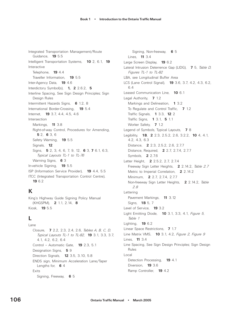Integrated Transportation Management/Route Guidance, **19** 5.5 Intelligent Transportation Systems, **10** 2, 6.1, **19** Interactive Telephone, **19** 4.4 Traveller Information, **19** 5.5 Inter-Agency Data, **19** 4.6 Interdictory Symbol(s), **1, 2** 2.6.2, **5** Interline Spacing, See Sign Design Principles; Sign Design Rules Intermittent Hazards Signs, **6** 1.2, 8 International Border-Crossing, **19** 5.4 Internet, **19** 3.7, 4.4, 4.5, 4.6 Intersection Markings, **11** 3.8 Right-of-way Control, Procedures for Amending, **5** 2, **6** 3, 6 Safety Warning, **19** 5.5 Signals, **12** Signs, **5** 2, 3, 4, 6, 7, 9, 12, **6** 3, **7** 6.1, 6.3, *Typical Layouts TL-1 to TL-76* Warning Signs, **6** 3 In-vehicle Signing, **19** 5.5 ISP (Information Service Provider), **19** 4.4, 5.5 ITCC (Integrated Transportation Control Centre), **19** 6.2

# **K**

King's Highway Guide Signing Policy Manual (KHGSPM), **2** 1.1, 2.14, **8** Kiosk, **19** 5.5

# **L**

Lane Closure, **7** 2.2, 2.3, 2.4, 2.6, *Tables A, B, C, D, Typical Layouts TL-1 to TL-82,* **19** 3.1, 3.3, 3.7, 4.1, 4.2, 6.2, 6.4 Control – Automatic Gate, **19** 2.3, 5.1 Designation Signs, **5** 9 Direction Signals, **12** 3.5, 3.10, 5.8 ENDS sign, Minimum Acceleration Lane/Taper Lengths for, **6** 4 Exits Signing, Freeway, **6** 5

Signing, Non-freeway, **6** 5 Lines, **11** 3.4 Large Screen Display, **19** 6.2 Lateral Intrusion Deterrence Gap (LIDG), **7** 5, *Table D, Figures TL-1 to TL-82* LBA, see Longitudinal Buffer Area LCS (Lane Control Signal), **19** 3.6, 3.7, 4.2, 4.3, 6.2, 6.4 Leased Communication Line, **10** 6.1 Legal Authority, **7** 1.2 Markings and Delineation, **1** 3.2 To Regulate and Control Traffic, **7** 1.2 Traffic Signals, **1** 3.3, **12** 2 Traffic Signs, **1** 3.1, **5** 1.1 Worker Safety, **7** 1.2 Legend of Symbols, Typical Layouts, **7** 8 Legibility, **1B**, **2** 2.3, 2.5.2, 2.6, 3.2.2, **10** 4, 4.1, 4.2, 4.3, 6.3 Distance, **2** 2.3, 2.5.2, 2.6, 2.7.7 Distance, Required, **2** 2.7, 2.7.4, 2.7.7 Symbols, **2** 2.7.6 Letter Height, **2** 2.5.2, 2.7, 2.7.4 Freeway Sign Letter Heights, **2** 2.14.2, *Table 2.7* Metric to Imperial Correlation, **2** 2.14.2 Minimum, **2** 2.7, 2.7.4, 2.7.7 Non-freeway Sign Letter Heights, **2** 2.14.2, *Table 2.8* Lettering Pavement Markings, **11** 3.12 Signs, **1B** 5, 7 Level of Service, **19** 3.2 Light Emitting Diode, **10** 3.1, 3.3, 4.1, *Figure 5*, *Table 1* Lighting, **19** 6.2 Linear Space Restrictions, **7** 1.7 Line Matrix VMS, **10** 3.1, 4.2, *Figure 2*, *Figure 9* Lines, **11** 3.4 Line Spacing, See Sign Design Principles; Sign Design Rules Local Detection Processing, **19** 4.1 Diversion, **19** 3.6 Ramp Controller, **19** 4.2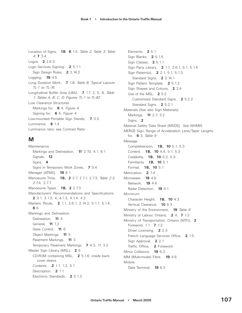Location of Signs, **1B**, **6** 1.5, *Table 2*, *Table 3*, *Table 4*, **7** 3.4 Logos, **2** 2.6.3 Logo Services Signing, **2** 5.1.1 Sign Design Rules, **2** 2.14.2 Logging, **19** 4.5 Long Duration Work, **7** 1.8*, Table B, Typical Layouts TL-1 to TL-76* Longitudinal Buffer Area (LBA), **7** 1.7, 2, 5, 8, *Table 1, Tables A, B, C, D, Figures TL-1 to TL-82* Low Clearance Structures Markings for, **6** 4, *Figure 4* Signing for, **6** 4, *Figure 4* Low-mounted Portable Sign Stands, **7** 3.3 Luminance, **6** 1.4 Luminance ratio: see Contrast Ratio

# **M**

Maintenance Markings and Delineation, **11** 2.10, 4.1, 6.1 Signals, **12** Signs, **4** Signs in Temporary Work Zones, **7** 3.4 Manager (ATMS), **19** 6.1 Manoeuvre Time, **1B, 2** 2.7, 2.7.1, 2.7.3, *Table 2.3,* 2.7.4, 2.7.7 Manoeuvre Types, **1B, 2** 2.7.3 Manufacturers' Recommendations and Specifications, **2** 3.1, 3.1.3, 4, 4.1.3, 4.1.4, 4.2 Markers, Route, **2** 1.1, 2.6.1, 2.14.2, 5.1.1, 5.1.4, **8** 6 Markings and Delineation Delineation, **11** 4 General, **11** 1,2 Glare Control, **11** 6 Object Markings, **11** 5 Pavement Markings, **11** 3 Temporary Pavement Markings, **7** 4.3, 11 3.2 Master Sign Library (MSL), **2** 5 CD-ROM containing MSL, **2** 5.1.6, inside back cover sleeve Contents, **2** 1.1, 1.2, 5.1 Description, **2** 1.1 Electronic Standards, **2** 5.1.3

Elements, **2** 5.1 Sign Blanks, **2** 5.1.5 Sign Classes, **2** 5.1.1 Sign Parts Library, **2** 1.1, 2.6.1, 5.1, 5.1.4 Sign Pattern(s), **2** 2.1, 5.1, 5.1.3 Standard Signs, **2** 2.14.1 Sign Pattern Template, **2** 5.1.2 Sign Shapes and Colours, **2** 2.4 Use of the MSL, **2** 5.2 Customized Standard Signs, **2** 5.2.2 Standard Signs, **2** 5.2.1 Materials (See also Sign Materials) Markings, **11** 2.7, 3.2 Signs, **2** Material Safety Data Sheet (MSDS), See WHMIS MERGE Sign, Range of Acceleration Lane/Taper Lengths for, **6** 3, *Table 9* Message Comprehension, **1B, 10** 5.1, 5.3 Content, **1B, 10** 4.4, 5.1, 5.3 Credibility, **1B, 10** 5.2, 5.3 Familiarity, **1B, 10** 5.1 Format, **1B, 10** 5.1 Metrication, **2** 1.4 Microwave, **19** 4.6 Network, **19** 4.6 Radar Detection, **19** 4.1 Minimum Character Height, **1B, 10** 4.3 Vertical Clearance, **10** 6.3 Ministry of the Environment, **19** *Table 6* Ministry of Labour, Ontario, **2** 4, **7** 1.2 Ministry of Transportation, Ontario (MTO), **2** Foreword, 1.1, **7** 1.2 Driver Licensing, **2** 2.3 French Language Services Office, **2** 1.5 Sign Approval, **2** 2.1 Traffic Office, **2** Foreword Minor Collisions, **19** 6.3 MM (Multi-mode) Fibre, **19** 4.6 Mobile Data Terminal, **19** 6.3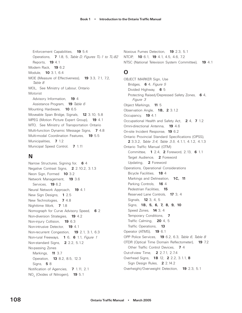Enforcement Capabilities, **19** 5.4 Operations, **7** 1.8, 5, *Table D, Figures TL-1 to TL-82* Reports, **19** 4.1 Modem Rack, **19** 6.2 Module, **10** 3.1, 6.4 MOE (Measure of Effectiveness), **19** 3.3, 7.1, 7.2, *Table 8* MOL, See Ministry of Labour, Ontario Motorist Advisory Information, **19** 4 Assistance Program, **19** *Table 6* Mounting Hardware, **10** 6.5 Moveable Span Bridge, Signals, **12** 3.10, 5.8 MPEG (Motion Picture Expert Group), **19** 4.1 MTO, See Ministry of Transportation Ontario Multi-function Dynamic Message Signs, **7** 4.8 Multi-modal Coordination Features, **19** 5.5 Municipalities, **7** 1.2 Municipal Speed Control, **7** 1.11

#### **N**

Narrow Structures, Signing for, **6** 4 Negative Contrast Signs, **2** 2.10.2, 3.1.3 Neon Sign, Formed **10** 3.2 Network Management, **19** 3.6 Services, **19** 6.2 Neural Network Approach, **19** 4.1 New Sign Designs, **1** 2.5 New Technologies, **7** 4.8 Nighttime Work, **7** 1.8 Nomograph for Curve Advisory Speed, **6** 2 Non-diversion Strategies, **19** 4.2 Non-injury Collision, **19** 6.3 Non-intrusive Detector, **19** 4.1 Non-recurrent Congestion, **19** 2.1, 3.1, 6.3 Non-rural Freeways, **1** 6, **6** 1.1, *Figure 1* Non-standard Signs, **2** 2.2, 5.1.2 No-passing Zones Markings, **11** 3.7 Operation, **13** 8.2, 8.5, 12.3 Signs, **5** 8 Notification of Agencies, **7** 1.11, 2.1 NO<sub>x</sub> (Oxides of Nitrogen), **19** 5.1

Noxious Fumes Detection, **19** 2.3, 5.1 NTCIP, **10** 6.1, **19** 4.1, 4.5, 4.6, 7.2 NTSC (National Television System Committee), **19** 4.1

# **O**

OBJECT MARKER Sign, Use Bridges, **6** 4, *Figure 5* Divided Highway, **6** 5 Protecting Raised/Depressed Safety Zones, **6** 4, *Figure 3* Object Markings, **11** 5 Observation Angle, **1B, 2** 3.1.2 Occupancy, **19** 4.1 Occupational Health and Safety Act, **2** 4, **7** 1.2 Omni-directional Antenna, **19** 4.6 On-site Incident Response, **19** 6.2 Ontario Provincial Standard Specifications (OPSS), **2** 3.3.2, *Table 3.4*, *Table 3.5*, 4.1.1, 4.1.2, 4.1.3 Ontario Traffic Manual (OTM) Committee, **1** 2.4, **2** Foreword, 2.13, **6** 1.1 Target Audience, **2** Foreword Updating, **2** Foreword Operations, Operational Considerations Bicycle Facilities, **18** 4 Markings and Delineation, **1C, 11** Parking Controls, **16** 4 Pedestrian Facilities, **15** Reserved Lane Controls, **17** 3, 4 Signals, **12** 3, 4, 5 Signs, **1B, 5, 6, 7, 8, 9, 10** Speed Zones, **14** 3, 4 Temporary Conditions, **7** Traffic Calming, **20** 4, 5 Traffic Operations, **13** Operator (ATMS), **19** 6.1 OPP Police Services, **19** 6.2, 6.3, *Table 6*, *Table 8* OTDR (Optical Time Domain Reflectometer), **19** 7.2 Other Traffic Control Devices, **7** 4 Out-of-view Time, **2** 2.7.1, 2.7.4 Overhead Signs, **1B** 12, **2** 2.2, 3.1.1, **8** Sign Design Rules, **2** 2.14.2 Overheight/Overweight Detection, **19** 2.3, 5.1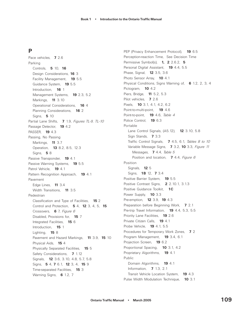#### **P**

Pace vehicles, **7** 2.6 Parking Controls, **5** 10, **16** Design Considerations, **16** 3 Facility Management, **19** 5.5 Guidance System, **19** 5.5 Introduction, **16** 1 Management Systems, **19** 2.3, 5.2 Markings, **11** 3.10 Operational Considerations, **16** 4 Planning Considerations, **16** 2 Signs, **5** 10 Partial Lane Shifts, **7** 1.9, *Figures TL-9, TL-10* Passage Detector, **19** 4.2 PASSER, **19** 4.3 Passing, No Passing Markings, **11** 3.7 Operation, **13** 8.2, 8.5, 12.3 Signs, **5** 8 Passive Transponder, **19** 4.1 Passive Warning Systems, **19** 5.5 Patrol Vehicle, **19** 4.1 Pattern Recognition Approach, **19** 4.1 Pavement Edge Lines, **11** 3.4 Width Transitions, **11** 3.5 Pedestrian Classification and Type of Facilities, **15** 2 Control and Protection, **5** 4, **12** 3, 4, 5, **15** Crossovers, **6** 7, *Figure 6* Disabled, Provisions for, **15** 7 Integrated Facilities, **15** 6 Introduction, **15** 1 Lighting, **15** 8 Pavement and Hazard Markings, **11** 3.9, **15** 10 Physical Aids, **15** 4 Physically Separated Facilities, **15** 5 Safety Considerations, **7** 1.12 Signals, **12** 3.6, 3.10, 4.8, 5.7, 5.8 Signs, **5** 4, **7** 6.1, **12** 3, 4, **15** 9 Time-separated Facilities, **15** 3 Warning Signs, **6** 1.2, 7

PEP (Privacy Enhancement Protocol), **19** 6.5 Perception-reaction Time, See Decision Time Permissive Symbol(s), **1, 2** 2.6.2, **5** Personal Digital Assistant, **19** 4.4, 5.5 Phase, Signal, **12** 3.5, 3.6 Photo Sensor Array, **10** 4.1 Physical Conditions, Signs Warning of, **6** 1.2, 2, 3, 4 Pictogram, **10** 4.2 Piers, Bridge, **11** 5.2, 5.3 Pilot vehicles, **7** 2.6 Pixels, **10** 3.1, 4.1, 4.2, 6.2 Point-to-multi-point, **19** 4.6 Point-to-point, **19** 4.6, *Table 4* Police Control, **19** 6.3 Portable Lane Control Signals, (A5.12), **12** 3.10, 5.8 Sign Stands, **7** 3.3 Traffic Control Signals, **7** 4.5, 6.1, *Tables 8 to 10* Variable Message Signs, **7** 3.2, **10** 3.3, *Figure 11* Messages, **7** 4.4, *Table 5* Position and location, **7** 4.4, *Figure 6* Position Signals, **12** 5 Signs, **1B** 12, **7** 3.4 Positive Barrier System, **19** 5.5 Positive Contrast Signs, **2** 2.10.1, 3.1.3 Positive Guidance Toolkit, **1C** Power Supply, **10** 3.3 Pre-emption, **12** 3.9, **19** 4.3 Preparation before Beginning Work, **7** 2.1 Pre-trip Travel Information, **19** 4.4, 5.3, 5.5 Priority Lane Facilities, **19** 2.6 Private Citizen Calls, **19** 4.1 Probe Vehicle, **19** 4.1, 5.5 Procedures for Temporary Work Zones, **7** 2 Program Management, **19** 3.4, 6.1 Projection Screen, **19** 6.2 Proportional Spacing, **10** 3.1, 4.2 Proprietary Algorithms, **19** 4.1 Public Domain Algorithms, **19** 4.1 Information, **7** 1.3, 2.1 Transit Vehicle Location System, **19** 4.3 Pulse Width Modulation Technique, **10** 3.1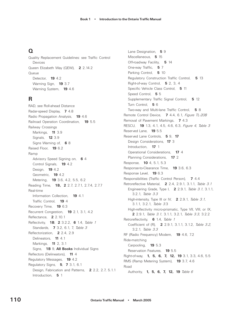# **Q**

Quality Replacement Guidelines: see Traffic Control Devices Queen Elizabeth Way (QEW), **2** 2.14.2 **Queue** Detector, **19** 4.2 Warning Sign, **19** 3.7 Warning System, **19** 4.6

### **R**

RAD, see Roll-ahead Distance Radar-speed Display, **7** 4.8 Radio Propagation Analysis, **19** 4.6 Railroad Operation Coordination, **19** 5.5 Railway Crossings Markings, **11** 3.9 Signals, **12** 3.9 Signs Warning of, **6** 8 Raised Floor, **19** 6.2 Ramp Advisory Speed Signing on, **6** 4 Control Signals, **19** 4.2 Design, **19** 4.2 Geometric, **19** 4.2 Metering, **19** 3.6, 4.2, 5.5, 6.2 Reading Time, **1B, 2** 2.7, 2.7.1, 2.7.4, 2.7.7 Real-time Information Collection, **19** 4.1 Traffic Control, **19** 4 Recovery Time, **19** 6.3 Recurrent Congestion, **19** 2.1, 3.1, 4.2 Reflectance, **2** 2.10.1 Reflectivity, **1B**, **2** 3.2.2, **6** 1.4, *Table 1* Standards, **7** 3.2, 6.1, 7, *Table 3* Reflectorization, **2** 2.4, 2.9 Delineators, **11** 4.1 Markings, **11** 2, 3.1 Signs, **1B** 9, **All Books** Individual Signs Reflectors (Delineators), **11** 4 Regulatory Messages, **19** 4.2 Regulatory Signs, **5**, **7** 3.1, 6.1 Design, Fabrication and Patterns, **2** 2.2, 2.7, 5.1.1 Introduction, **5** 1

Lane Designation, **5** 9 Miscellaneous, **5** 15 Off-roadway Facility, **5** 14 One-way Traffic, **5** 7 Parking Control, **5** 10 Regulatory Construction Traffic Control, **5** 13 Right-of-way Control, **5** 2, 3, 4 Specific Vehicle Class Control, **5** 11 Speed Control, **5** 5 Supplementary Traffic Signal Control, **5** 12 Turn Control, **5** 6 Two-way and Multi-lane Traffic Control, **5** 8 Remote Control Device, **7** 4.4, 6.1, *Figure TL-20B* Removal of Pavement Markings, **7** 4.3 RESCU, **19** 1.3, 4.1, 4.5, 4.6, 6.3, *Figure 4*, *Table 3* Reserved Lane, **19** 5.5 Reserved Lane Controls, **5** 9, **17** Design Considerations, **17** 3 Introduction, **17** 1 Operational Considerations, **17** 4 Planning Considerations, **17** 2 Response, **10** 4, 5.1, 5.3 Response-to-Clearance Time, **19** 3.6, 6.3 Response Level, **19** 6.3 Responsibilities (Traffic Control Person), **7** 4.4 Retroreflective Material, **2** 2.4, 2.9.1, 3.1.1, *Table 3.1* Engineering Grade, Type I, **2** 2.9.1, *Table 3.1*, 3.1.1, 3.2.1, *Table 3.3* High-intensity, Type III or IV, **2** 2.9.1, *Table 3.1*, 3.1.1, 3.2.1, *Table 3.*3 High-reflectivity micro-prismatic, Type VII, VIII, or IX, **2** 2.9.1, *Table 3.1*, 3.1.1, 3.2.1, *Table 3.3*, 3.2.2 Retroreflectivity, **6** 1.4, *Table 1* Coefficient of (R), **2** 2.9.1, 3.1.1, 3.1.2, *Table 3.2*, 3.2.1, *Table 3.3* RF (Radio Frequency) Modem, **19** 4.6, 7.2 Ride-matching Carpooling, **19** 5.3 Reservation Features, **19** 5.5 Right-of-way, **1, 5, 6, 7, 12, 19** 3.1, 3.3, 4.6, 5.5 RMS (Ramp Metering System), **19** 3.7, 4.6 Road Authority, **1, 5, 6, 7, 12, 19** *Table 6*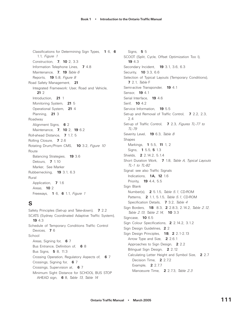Classifications for Determining Sign Types, **1** 6, **6** 1.1, *Figure 1* Construction, **7**, **10** 2, 3.3 Information Telephone Lines, **7** 4.8 Maintenance, **7**, **19** *Table 6* Reports, **19** 5.8, *Figure 8* Road Safety Management, **21** Integrated Framework: User, Road and Vehicle, **21** 2 Introduction, **21** 1 Monitoring System, **21** 5 Operational System, **21** 4 Planning, **21** 3 Roadway Alignment Signs, **6** 2 Maintenance, **7**, **10** 2, **19** 6.2 Roll-ahead Distance, **7** 1.7, 5 Rolling Closure, **7** 2.6 Rotating Drum/Prism CMS, **10** 3.2, *Figure 10* Route Balancing Strategies, **19** 3.6 Detours, **7** 1.10 Marker, See Marker Rubbernecking, **19** 3.1, 6.3 Rural Application, **7** 1.6 Areas, **10** 2 Freeways, **1** 6, **6** 1.1, *Figure 1*

### **S**

Safety Principles (Set-up and Take-down), **7** 2.2 SCATS (Sydney Coordinated Adaptive Traffic System), **19** 4.3 Schedule of Temporary Conditions Traffic Control Devices, **7** 6 School Areas, Signing for, **6** 7 Bus Entrance, Definition of, **6** 8 Bus Signs, **5** 8, 11.3 Crossing Operation, Regulatory Aspects of, **6** 7 Crossings, Signing for, **6** 7 Crossings, Supervision at, **6** 7 Minimum Sight Distance for SCHOOL BUS STOP AHEAD sign, **6** 8, *Table 13*, *Table 14*

Signs, **5** 5 SCOOT (Split, Cycle, Offset Optimization Too l), **19** 4.3 Secondary Incident, **19** 3.1, 3.6, 6.3 Security, **10** 3.3, 6.6 Selection of Typical Layouts (Temporary Conditions), **7** 2.1, *Table* F Semi-active Transponder, **19** 4.1 Sensor, **19** 4.1 Serial Interface, **19** 4.6 Serif, **10** 4.2 Service Information, **19** 5.5 Set-up and Removal of Traffic Control, **7** 2.2, 2.3, 2.4 Set-up of Traffic Control, **7** 2.3, *Figures TL-77 to TL-79* Severity Level, **19** 6.3, *Table 8* Shapes Markings, **1** 5.5, **11** 1, 2 Signs, **1** 5.5, **5** 1.3 Shields, **2** 2.14.2, 5.1.4 Short Duration Work, **7** 1.8, *Table A, Typical Layouts TL-1 to TL-82* Signal: see also Traffic Signals Indications, **1A, 12** 1.6 Priority, **19** 4.4, 5.5 Sign Blank Number(s), **2** 5.1.5, *Table 5.1*, CD-ROM Patterns, **2** 1.1, 5.1.5, *Table 5.1*, CD-ROM Specification Details, **7** 3.2, *Table 4* Sign Borders, **1B** 8.3, **2** 2.8.3, 2.14.2, *Table 2.12*, *Table 2.13*, *Table 2.14,* **10** 3.3 Signcase, **10** 6.5 Sign Colour Specifications, **2** 2.14.2, 3.1.2 Sign Design Guidelines, **2** 2 Sign Design Principles, **1B**, **2** 2.1-2.13 Arrow Type and Size, **2** 2.6.1 Approaches to Sign Design, **2** 2.2 Bilingual Sign Design, **2** 2.12 Calculating Letter Height and Symbol Size, **2** 2.7 Decision Time, **2** 2.7.2 Example, **2** 2.7.7 Manoeuvre Time, **2** 2.7.3, *Table 2.3*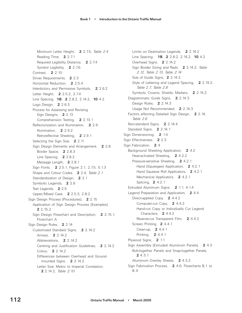Minimum Letter Height, **2** 2.7.5, *Table 2.4* Reading Time, **2** 2.7.1 Required Legibility Distance, **2** 2.7.4 Symbol Legibility, **2** 2.7.6 Contrast, **2** 2.10 Driver Requirements, **2** 2.3 Horizontal Reduction, **2** 2.5.4 Interdictory and Permissive Symbols, **2** 2.6.2 Letter Height, **2** 2.5.2, 2.7.4 Line Spacing, **1B**, **2** 2.8.2, 2.14.2, **10** 4.2 Logo Design, **2** 2.6.3 Process for Assessing and Revising Sign Designs, **2** 2.13 Comprehension Testing, **2** 2.13.1 Reflectorization and Illumination, **2** 2.9 Illumination, **2** 2.9.2 Retroreflective Sheeting, **2** 2.9.1 Selecting the Sign Size, **2** 2.11 Sign Design Elements and Arrangement, **2** 2.8 Border Space, **2** 2.8.3 Line Spacing, **2** 2.8.2 Message Length, **2** 2.8.1 Sign Fonts, **2** 2.5.1, Figure 2.1, 2.7.5, 5.1.3 Shape and Colour Codes, **2** 2.4, *Table 2.1* Standardization of Design, **2** 2.1 Symbolic Legends, **2** 2.6 Text Legends, **2** 2.5 Upper/Mixed Case, **2** 2.5.3, 2.8.2 Sign Design Process (Procedures), **2** 2.15 Application of Sign Design Process (Examples), **2** 2.15.2 Sign Design Flowchart and Description, **2** 2.15.1, Flowchart A Sign Design Rules, **2** 2.14 Customized Standard Signs, **2** 2.14.2 Arrows, **2** 2.14.2 Abbreviations, **2** 2.14.2 Centring and Justification Guidelines, **2** 2.14.2 Colour, **2** 2.14.2 Differences between Overhead and Groundmounted Signs, **2** 2.14.2 Letter Size: Metric to Imperial Correlation, **2** 2.14.2, *Table 2.10*

Limits on Destination Legends, **2** 2.14.2 Line Spacing, **1B**, **2** 2.8.2, 2.14.2, **10** 4.2 Overhead Signs, **2** 2.14.2 Sign Border Sizing and Radii, **2** 2.14.2, *Table 2.12*, *Table 2.13*, *Table 2.14* Size of Guide Signs, **2** 2.14.2 Style of Lettering and Legend Spacing, **2** 2.14.2, *Table 2.7*, *Table 2.8* Symbols, Crowns, Shields, Markers, **2** 2.14.2 Diagrammatic Guide Signs, **2** 2.14.3 Design Rules, **2** 2.14.3 Usage Not Recommended, **2** 2.14.3 Factors affecting Detailed Sign Design, **2** 2.14, *Table 2.6* Non-standard Signs, **2** 2.14.4 Standard Signs, **2** 2.14.1 Sign Dimensioning, **2** 1.4 Sign Effectiveness, **2** 2.3 Sign Fabrication, **2** 4 Background Sheeting Application, **2** 4.2 Heat-activated Sheeting, **2** 4.2.2 Pressure-sensitive Sheeting, **2** 4.2.1 Hand (Squeegee) Application, **2** 4.2.1 Hand Squeeze Roll Applicators, **2** 4.2.1 Mechanical Applicators, **2** 4.2.1 Splicing, **2** 4.2.1 Extruded Aluminum Signs, **2** 1.1, 4.1.4 Legend Preparation and Application, **2** 4.4 Direct-applied Copy, **2** 4.4.2 Computer-cut Copy, **2** 4.4.2 Hand-cut Copy or Individually Cut Legend Characters, **2** 4.4.2 Reverse-cut Transparent Film, **2** 4.4.2 Screen Printing, **2** 4.4.1 Clean-up, **2** 4.4.1 Printing, **2** 4.4.1 Plywood Signs, **2** 1.1 Sign Assembly (Extruded Aluminum Panels), **2** 4.3 Bolt-together Panels and Snap-together Panels, **2** 4.3.1 Aluminum Overlay Sheets, **2** 4.3.2 Sign Fabrication Process, **2** 4.6, Flowcharts B.1 to B.9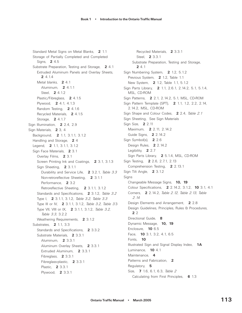Standard Metal Signs on Metal Blanks, **2** 1.1 Storage of Partially Completed and Completed Signs, **2** 4.5 Substrate Preparation, Testing and Storage, **2** 4.1 Extruded Aluminum Panels and Overlay Sheets, **2** 4.1.4 Metal blanks, **2** 4.1 Aluminum, **2** 4.1.1 Steel, **2** 4.1.2 Plastic/Fibreglass, **2** 4.1.5 Plywood, **2** 4.1, 4.1.3 Random Testing, **2** 4.1.6 Recycled Materials, **2** 4.1.5 Storage, **2** 4.1.7 Sign Illumination, **2** 2.4, 2.9 Sign Materials, **2** 3, 4 Background, **2** 1.1, 3.1.1, 3.1.2 Handling and Storage, **2** 4 Legend, **2** 1.1, 3.1.1, 3.1.2 Sign Face Materials, **2** 3.1 Overlay Films, **2** 3.1 Screen Printing Ink and Coatings, **2** 3.1, 3.1.3 Sign Sheeting, **2** 3.1.1 Durability and Service Life, **2** 3.2.1, *Table 3.3* Non-retroreflective Sheeting, **2** 3.1.1 Performance, **2** 3.2 Retroreflective Sheeting, **2** 3.1.1, 3.1.2 Standards and Specifications, **2** 3.1.2, *Table 3.2* Type I, **2** 3.1.1, 3.1.2, *Table 3.2*, *Table 3.3* Type III or IV, **2** 3.1.1, 3.1.2, *Table 3.2*, *Table 3.*3 Type VII, VIII or IX, **2** 3.1.1, 3.1.2, *Table 3.2*, *Table 3.3*, 3.2.2 Weathering Requirements, **2** 3.1.2 Substrates, **2** 1.1, 3.3 Standards and Specifications, **2** 3.3.2 Substrate Materials, **2** 3.3.1 Aluminum, **2** 3.3.1 Aluminum Overlay Sheets, **2** 3.3.1 Extruded Aluminum, **2** 3.3.1 Fibreglass, **2** 3.3.1 Fibreglass-plastic, **2** 3.3.1 Plastic, **2** 3.3.1 Plywood, **2** 3.3.1

Recycled Materials, **2** 3.3.1 Steel, **2** 3.3.1 Substrate Preparation, Testing and Storage, **2** 4.1 Sign Numbering System, **2** 1.2, 5.1.2 Previous System, **2** 1.2, Table 1.1 New System, **2** 1.2, Table 1.1, 5.1.2 Sign Parts Library, **2** 1.1, 2.6.1, 2.14.2, 5.1, 5.1.4, MSL, CD-ROM Sign Patterns, **2** 2.1, 2.14.2, 5.1, MSL, CD-ROM Sign Pattern Template (SPT), **2** 1.1, 1.2, 2.2, 2.14, 2.14.2, MSL, CD-ROM Sign Shape and Colour Codes, **2** 2.4, *Table 2.1* Sign Sheeting, See Sign Materials Sign Size, **2** 2.11 Maximum, **2** 2.11, 2.14.2 Guide Signs, **2** 2.14.2 Sign Symbol(s), **2** 2.6 Design Rules, **2** 2.14.2 Legibility, **2** 2.7 Sign Parts Library, **2** 5.1.4, MSL, CD-ROM Sign Testing, **2** 2.6, 2.7.1, 2.13 Comprehension Testing, **2** 2.13.1 Sign Tilt Angle, **2** 3.1.2 Signs Changeable Message Signs, **10, 19** Colour Specifications, **2** 2.14.2, 3.1.2, **10** 3.1, 4.1 Corners, **2** 2.14.2, *Table 2.12*, *Table 2.13*, *Table 2.14* Design Elements and Arrangement, **2** 2.8 Design Guidelines, Principles, Rules & Procedures, **2** 2 Directional Guide, **8** Dynamic Message, **10, 19** Enclosure, **10** 6.5 Face, **10** 3.1, 3.2, 4.1, 6.5 Fonts, **10** Illustrated Sign and Signal Display Index, **1A** Luminance, **10** 4.1 Maintenance, **4** Patterns and Fabrication, **2** Regulatory, **5** Size, **7** 1.6, 6.1, 6.3, *Table 2* Calculating from First Principles, **6** 1.3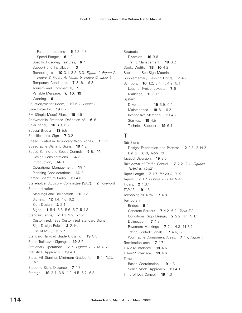Factors Impacting, **6** 1.2, 1.3 Speed Ranges, **6** 1.2 Specific Roadway Features, **6** 4 Support and Installation, **3** Technologies, **10** 3.1, 3.2, 3.3, *Figure 1*, *Figure 2*, *Figure 3*, *Figure 4*, *Figure 5*, *Figure 6*, *Table 1* Temporary Conditions, **7** 3, 6.1, 6.3 Tourism and Commercial, **9** Variable Message, **7, 10, 19** Warning, **6** Situation/Visitor Room, **19** 6.2, *Figure 9* Slide Projector, **19** 6.2 SM (Single Mode) Fibre, **19** 4.6 Snowmobile Entrance, Definition of, **6** 8 Solar panel, **10** 3.3, 6.2 Special Bypass, **19** 5.5 Specifications, Sign, **7** 3.2 Speed Control in Temporary Work Zones, **7** 1.11 Speed Zone Warning Signs, **19** 4.2 Speed Zoning and Speed Controls, **5** 5, **14** Design Considerations, **14** 3 Introduction, **14** 1 Operational Management, **14** 4 Planning Considerations, **14** 2 Spread Spectrum Radio, **19** 4.6 Stakeholder Advisory Committee (SAC), **2** Foreword Standardization Markings and Delineation, **11** 1.3 Signals, **12** 1.4, 1.6, 6.2 Sign Design, **2** 2.1 Signs, **1** 5.4, 5.5, 5.6, 5.7, **5** 1.3 Standard Signs, **2** 1.1, 2.2, 5.1.2 Customized, See Customized Standard Signs Sign Design Rules, **2** 2.14.1 Use of MSL, **2** 5.2.1 Standard Railroad Grade Crossing, **19** 5.5 Static Trailblazer Signage, **19** 3.5 Stationary Operations, **7** 5, *Figures TL-1 to TL-82* Statistical Approach, **19** 4.1 Steep Hill Signing, Minimum Grades for, **6** 4, *Table 10* Stopping Sight Distance, **7** 1.7 Storage, **19** 2.4, 3.6, 4.2, 4.5, 6.2, 6.3

Strategic Diversion, **19** 3.6 Traffic Management, **19** 6.2 Stroke Width, **1B**, **10** 4.2 Substrate, See Sign Materials Supplementary Flashing Lights, **7** 4.7 Symbols**, 10** 1.2, 3.1, 4, 4.2, 5.1 Legend, Typical Layouts, **7** 8 Markings, **11** 3.12 System Development, **19** 3.9, 6.1 Maintenance, **19** 6.1, 6.2 Responsive Metering, **19** 4.2 Start-up, **19** 4.5 Technical Support, **19** 6.1

#### **T**

Tab Signs Design, Fabrication and Patterns, **2** 2.3, 2.14.2 List of, **6** 9, *Table 18* Tactical Diversion, **19** 3.6 Take-down of Traffic Control, **7** 2.2, 2.4, *Figures TL-80 to TL-82* Taper Length, **7** 1.7, *Tables A, B, C* Tapers, **7** 1.7, *Figures TL-1 to TL-82* T-bars, **2** 4.3.1 TCP/IP, **19** 4.6 Technologies, New, **7** 4.8 Temporary Bridge, **6** 4 Concrete Barriers, **7** 4.2, 6.2, *Table E.2* Conditions, Sign Design, **2** 2.2, 4.1, 5.1.1 Delineation, **7** 4.3 Pavement Markings, **7** 2.1, 4.3, **11** 3.2 Traffic Control Signals, **7** 4.6, 6.1 Work Zone Component Areas, **7** 1.7, *Figure 1* Termination area, **7** 1.7 TIA-232 Interface, **19** 4.6 TIA-422 Interface, **19** 4.6 Time Based Coordination, **19** 4.3 Series Model Approach, **19** 4.1 Time of Day Control, **19** 4.3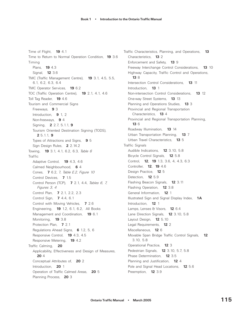Time of Flight, **19** 4.1 Time to Return to Normal Operation Condition, **19** 3.6 Timing Plans, **19** 4.3 Signal, **12** 3.6 TMC (Traffic Management Centre), **19** 3.1, 4.5, 5.5, 6.1, 6.2, 6.3, 6.4 TMC Operator Services, **19** 6.2 TOC (Traffic Operation Centre), **19** 2.1, 4.1, 4.6 Toll Tag Reader, **19** 4.6 Tourism and Commercial Signs Freeways, **9** 3 Introduction, **9** 1, 2 Non-freeways, **9** 4 Signing, **2** 2.7, 5.1.1, **9** Tourism Oriented Destination Signing (TODS), **2** 5.1.1, **9** Types of Attractions and Signs, **9** 5 Sign Design Rules, **2** 2.14.2 Towing, **19** 3.1, 4.1, 6.2, 6.3, *Table 6* **Traffic** Adaptive Control, **19** 4.3, 4.6 Calmed Neighbourhood, **6** 4 Cones, **7** 6.2, 7, *Table E.2, Figure 10* Control Devices, **7** 1.5 Control Person (TCP), **7** 2.1, 4.4, *Tables 6, 7, Figures 3, 4* Control Plan, **7** 2.1, 2.2, 2.3 Control Sign, **7** 4.4, 6.1 Control with Moving Vehicles, **7** 2.6 Engineering, **19** 1.2, 6.1, 6.2, All Books Management and Coordination, **19** 6.1 Monitoring, **19** 3.8 Protection Plan, **7** 2.1 Regulations Ahead Signs, **6** 1.2, 5, 6 Responsive Control, **19** 4.3, 4.5 Responsive Metering, **19** 4.2 Traffic Calming, **20** Applicability, Effectiveness and Design of Measures, **20** 4 Conceptual Attributes of, **20** 2 Introduction, **20** 1 Operation of Traffic Calmed Areas, **20** 5 Planning Process, **20** 3

Traffic Characteristics, Planning, and Operations, **13** Characteristics, **13** 2 Enforcement and Safety, **13** 9 Freeway Interchange Control Considerations, **13** 10 Highway Capacity, Traffic Control and Operations, **13** 8 Intersection Control Considerations, **13** 11 Introduction, **13** 1 Non-intersection Control Considerations, **13** 12 One-way Street Systems, **13** 13 Planning and Operations Studies, **13** 3 Provincial and Regional Transportation Characteristics, **13** 4 Provincial and Regional Transportation Planning, **13** 6 Roadway Illumination, **13** 14 Urban Transportation Planning, **13** 7 Urban Travel Characteristics, **13** 5 Traffic Signals Audible Indications, **12** 3.10, 5.8 Bicycle Control Signals, **12** 5.8 Control, **12**, **19** 1.3, 3.6, 4, 4.3, 6.3 Controller, **12**, **19** 4.6 Design Practice, **12** 5 Detection, **12** 5.9 Flashing Beacon Signals, **12** 3.11 Flashing Operation, **12** 3.8 General Information, **12** 1 Illustrated Sign and Signal Display Index, **1A** Introduction, **12** 1 Lamps, Lenses & Visors, **12** 6.4 Lane Direction Signals, **12** 3.10, 5.8 Layout Design, **12** 5.10 Legal Requirements, **12** 2 Miscellaneous, **12** 6 Movable Span Bridge Traffic Control Signals, **12** 3.10, 5.8 Operational Practice, **12** 3 Pedestrian Signals, **12** 3.10, 5.7, 5.8 Phase Determination, **12** 3.5 Planning and Justification, **12** 4 Pole and Signal Head Locations, **12** 5.6 Preemption, **12** 3.9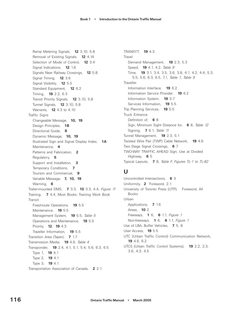Ramp Metering Signals, **12** 3.10, 5.8 Removal of Existing Signals, **12** 4.14 Selection of Mode of Control, **12** 3.4 Signal Indications, **12** 1.6 Signals Near Railway Crossings, **12** 5.8 Signal Timing, **12** 3.6 Signal Visibility, **12** 5.5 Standard Equipment, **12** 6.2 Timing, **19** 2.2, 6.3 Transit Priority Signals, **12** 3.10, 5.8 Tunnel Signals, **12** 3.10, 5.8 Warrants, **12** 4.3 to 4.10 Traffic Signs Changeable Message, **10, 19** Design Principles, **1B** Directional Guide, **8** Dynamic Message, **10, 19** Illustrated Sign and Signal Display Index, **1A** Maintenance, **4** Patterns and Fabrication, **2** Regulatory, **5** Support and Installation, **3** Temporary Conditions, **7** Tourism and Commercial, **9** Variable Message, **7, 10, 19** Warning, **6** Trailer-mounted DMS, **7** 3.3, **10** 3.3, 4.4, *Figure 11* Training, **7** 4.4, Most Books: Training Work Book Transit Fixed-route Operations, **19** 5.5 Maintenance, **19** 5.5 Management System, **19** 5.5, *Table 5* Operations and Maintenance, **19** 5.5 Priority, **12**, **19** 4.3 Traveller Information, **19** 5.5 Transition Area (Taper), **7** 1.7 Transmission Media, **19** 4.6, *Table 4* Transponder, **19** 2.4, 4.1, 5.1, 5.4, 5.6, 6.3, 6.5 Type 1, **19** 4.1 Type 2, **19** 4.1 Type 3, **19** 4.1 Transportation Association of Canada, **2** 2.1

TRANSYT, **19** 4.3 Travel Demand Management, **19** 2.3, 5.3 Speed, **19** 4.1, 4.2, *Table 9* Time, **19** 3.1, 3.4, 3.5, 3.6, 3.8, 4.1, 4.2, 4.4, 5.3, 5.5, 5.6, 6.3, 6.5, 7.1, *Table 1*, *Table 9* **Traveller** Information Interface, **19** 6.2 Information Service Provider, **19** 6.2 Information System, **19** 3.7 Services Information, **19** 5.5 Trip Planning Services, **19** 5.5 Truck Entrance Definition of, **6** 8 Sign, Minimum Sight Distance for, **6** 8, *Table 12* Signing, **7** 6.1, *Table 11* Tunnel Management, **19** 2.3, 5.1 Twisted Wire Pair (TWP) Cable Network, **19** 4.6 Two Stage Signal Crossings, **6** 7 TWO-WAY TRAFFIC AHEAD Sign, Use at Divided Highway, **6** 5 Typical Layouts, **7** 8, *Table F, Figures TL-1 to TL-82*

### **U**

Uncontrolled Intersections, **6** 3 Uniformity, **2** Foreword, 2.1 University of Toronto Press (UTP), Foreword, All Books Urban Applications, **7** 1.6 Areas, **10** 2 Freeways, **1** 6, **6** 1.1, *Figure 1* Non-freeways, **1** 6, **6** 1.1, *Figure 1* Use of LBA, Buffer Vehicles, **7** 5, 8 User Access, **19** 5.5 UTC (Urban Traffic Control) Communication Network, **19** 4.6, 6.2 UTCS (Urban Traffic Control Systems), **19** 2.2, 2.3, 3.6, 4.3, 4.5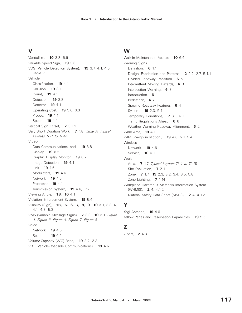#### **V**

Vandalism, **10** 3.3, 6.6 Variable Speed Sign, **19** 3.6 VDS (Vehicle Detection System), **19** 3.7, 4.1, 4.6, *Table 9* Vehicle Classification, **19** 4.1 Collision, **19** 3.1 Count, **19** 4.1 Detection, **19** 3.8 Detector, **19** 4.1 Operating Cost, **19** 3.6, 6.3 Probes, **19** 4.1 Speed, **19** 4.1 Vertical Sign Offset, **2** 3.1.2 Very Short Duration Work, **7** 1.8, *Table A, Typical Layouts TL-1 to TL-82* Video Data Communications, and, **19** 3.8 Display, **19** 6.2 Graphic Display Monitor, **19** 6.2 Image Detection, **19** 4.1 Link, **19** 4.6 Modulators, **19** 4.6 Network, **19** 4.6 Processor, **19** 4.1 Transmission System, **19** 4.6, 7.2 Viewing Angle, **1B**, **10** 4.1 Violation Enforcement System, **19** 5.4 Visibility (Sign), **1B, 5, 6, 7, 8, 9**, **10** 3.1, 3.3, 4, 4.1, 4.3, 5.3 VMS (Variable Message Signs), **7** 3.3, **10** 3.1, *Figure 1*, *Figure 3*, *Figure 4*, *Figure 7*, *Figure 8* Voice Network, **19** 4.6 Recorder, **19** 6.2 Volume-Capacity (V/C) Ratio, **19** 3.2, 3.3 VRC (Vehicle-Roadside Communications), **19** 4.6

#### **W**

Walk-in Maintenance Access, **10** 6.4 Warning Signs Definition, **6** 1.1 Design, Fabrication and Patterns, **2** 2.2, 2.7, 5.1.1 Divided Roadway Transition, **6** 5 Intermittent Moving Hazards, **6** 8 Intersection Warning, **6** 3 Introduction, **6** 1 Pedestrian, **6** 7 Specific Roadway Features, **6** 4 System, **19** 2.3, 5.1 Temporary Conditions, **7** 3.1, 6.1 Traffic Regulations Ahead, **6** 6 Weather Warning Roadway Alignment, **6** 2 Wide Area, **19** 4.1 WIM (Weigh in Motion), **19** 4.6, 5.1, 5.4 Wireless Network, **19** 4.6 Service, **10** 6.1 Work Area, **7** 1.7, *Typical Layouts TL-1 to TL-76* Site Evaluation, **7** 2.1 Zone, **7** 1.7, **19** 2.3, 3.2, 3.4, 3.5, 5.8 Zone Lighting, **7** 1.14 Workplace Hazardous Materials Information System (WHMIS), **2** 4, 4.1.2 Material Safety Data Sheet (MSDS), **2** 4, 4.1.2

#### **Y**

Yagi Antenna, **19** 4.6 Yellow Pages and Reservation Capabilities, **19** 5.5

#### **Z**

Z-bars, **2** 4.3.1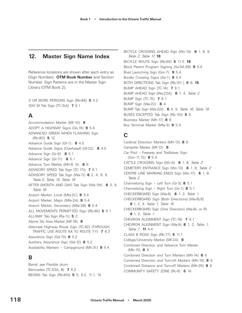#### **12. Master Sign Name Index**

Reference locations are shown after each entry as (Sign Number), **OTM Book Number** and Section Number. Sign Patterns are in the Master Sign Library (OTM Book 2).

3 OR MORE PERSONS Sign (Rb-88) **5** 9.2 300 M Tab Sign (TC-3tA) **7** 6.1

# **A**

Accommodation Marker (Mf-10) **9** ADOPT A HIGHWAY Signs (Gs-19) **9** 5.4 ADVANCED GREEN WHEN FLASHING Sign (Rb-80) **5** 12 Advance Guide Sign (Gf-1) **8** 4.5 Advance Guide Signs (Overhead) (Gf-22) **8** 4.5 Advance Sign (Gr-9) **8** 5.1 Advance Sign (Gr-11) **8** 5.1 Advance Turn Marker (Mh-8, 9) **8** 6 ADVISORY SPEED Tab Sign (TC-17t) **7** 6.1 ADVISORY SPEED Tab Sign (Wa-7t) **6** 2, 4, 8, 9, *Table 5*, *Table 15*, *Table 18* AFTER (MONTH AND DAY) Tab Sign (Wa-19t) **6** 3, 9, *Table 18* Airport Marker, Local (Mfa-2C) **9** 5.4 Airport Marker, Major (Mfa-2A) **9** 5.4 Airport Marker, Secondary (Mfa-2B) **9** 5.4 ALL MOVEMENTS PERMITTED Sign (Rb-46) **5** 9.1 ALL-WAY Tab Sign (Ra-1t) **5** 2 Alpine Ski Area Marker (Mf-18) **9** Alternate Highway Route Sign (TC-62) (THROUGH TRAFFIC USE ROUTE XX TO ROUTE YY) **7** 6.3 Assurance Sign (Gd-13) **8** 5.2 Auxiliary Assurance Sign (Gd-12) **8** 5.2 Availability Markers – Campground (Mh-31) **9** 5.4

### **B**

Barrel, see Flexible drum Barricades (TC-53A, B) **7** 6.2 BEGINS Tab Sign (Rb-84t) **5** 5, 9.2, 11.1, 14 BICYCLE CROSSING AHEAD Sign (Wc-14) **6** 1, 8, 9, *Table 2*, *Table 17,* **18** BICYCLE ROUTE Sign (Rb-69) **5** 11.3, **18** Block Parent Program Signing (Gs-9A,9B) **9** 5.4 Boat Launching Sign (Gor-7) **9** 5.4 Border Crossing Signs (Gs-1) **9** 5.4 BOTH DIRECTIONS Tab Sign (Rb-37t ) **5** 8, **15** BUMP AHEAD Sign (TC-14) **7** 6.1 BUMP AHEAD Sign (Wa-22A) **6** 1, 4, *Table 2* BUMP Sign (TC-15) **7** 6.1 BUMP Sign (Wa-22) **6** 4 BUMP Tab Sign (Wa-22t) **6** 4, 9, *Table 16*, *Table 18* BUSES EXCEPTED Tab Sign (Rb-10t) **5** 6 Business Marker (Mh-17) **8** 6 Bus Terminal Marker (Mfa-3) **9** 5.4

# **C**

Cardinal Direction Markers (Mh-13) **8** 6 Campsite Marker (Mf-13) **9** Car Pool – Freeway and Trailblazer Sign (Gor-11,12) **8** 5.4 CATTLE CROSSING Sign (Wc-9) **6** 1, 8, *Table 2* CEMETERY ENTRANCE Sign (Wc-13) **6** 1, 8, *Table 2* CENTRE LINE MARKING ENDS Sign (Wc-17) **6** 1, 8, *Table 2* Channelizing Sign – Left Turn (Gr-3) **8** 5.1 Channelizing Sign – Right Turn (Gr-1) **8** 5.1 CHECKERBOARD Sign (Wa-8) **6** 1, 2, *Table 1* CHECKERBOARD Sign (Both Directions) (Wa-8LR) **6** 1, 2, 9, *Table 1*, *Table 15* CHECKERBOARD Sign (One Direction) (Wa-8L or R) **6** 1, 2, *Table 1* CHEVRON ALIGNMENT Sign (TC-18) **7** 6.1 CHEVRON ALIGNMENT Sign (Wa-9) **6** 1, 2, *Table 1*, *Table 7*, **11** 4.4 CLASS B ROAD Sign (Rb-77) **5** 11.1 College/University Marker (Mf-2A) **9** Combined Direction and Advance Turn Marker (Mh-15) **8** 6 Combined Direction and Turn Markers (Mh-14) **8** 6 Combined Direction and Turn-off Markers (Mh-16) **8** 6 Combined Distance and Turn-off Markers (Mh-29) **8** 6 COMMUNITY SAFETY ZONE (Rc-9) **5** 14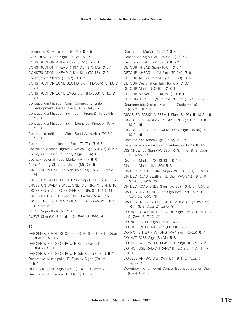Composite Services Sign (Gf-10) **8** 4.5 COMPULSORY Tab Sign (Rc-13t) **5** 16 CONSTRUCTION AHEAD Sign (TC-1) **7** 6.1 CONSTRUCTION AHEAD 1 KM Sign (TC-1A) **7** 6.1 CONSTRUCTION AHEAD 2 KM Sign (TC-1B) **7** 6.1 Construction Marker (TC-52) **7** 6.2 CONSTRUCTION ZONE BEGINS Sign (Rb-90A) **5** 13, **7** 6.1 CONSTRUCTION ZONE ENDS Sign (Rb-90B) **5** 13, **7** 6.1 Contract Identification Sign (Connecting Link/ Development Road Project) (TC-73A-B) **7** 6.3 Contract Identification Sign (Joint Project) (TC-72A-B) **7** 6.3 Contract Identification Sign (Municipal Project) (TC-74) **7** 6.3 Contract Identification Sign (Road Authority) (TC-71) **7** 6.3 Contractor's Identification Sign (TC-75) **7** 6.3 Controlled Access Highway Notice Sign (Gs-6,7) **8** 5.5 County or District Boundary Sign (G-l-4) **8** 5.3 County/Regional Road Marker (Mh-4) **8** 6 Cross Country Ski Area Marker (Mf-17) **9** CROSSING AHEAD Tab Sign (Wc-2At) **6** 7, 9, *Table 18* CROSS ON GREEN LIGHT ONLY Sign (Ra-6) **5** 4.1, **15** CROSS ON WALK SIGNAL ONLY Sign (Ra-7) **5** 4.1, **15** CROSS ONLY AT CROSSOVER Sign (Ra-8) **5** 4.1, **15** CROSS OTHER SIDE Sign (Ra-9, Ra-9A) **5** 4.1, **15** CROSS TRAFFIC DOES NOT STOP Sign (Wa-19) **6** 1, 3, *Table 2* CURVE Sign (TC-16C) **7** 6.1 CURVE Sign (Wa-3L) **6** 1, 2, *Table 2*, *Table 5* **D** DANGEROUS GOODS CARRIERS PROHIBITED Tab Sign

(Rb-83t) **5** 11.2 DANGEROUS GOODS ROUTE Sign (Symbol) (Rb-82) **5** 11.2 DANGEROUS GOODS ROUTE Tab Sign (Rb-82t) **5** 11.2 Decorative Municipality ID Display Signs (Gs-1A\*) **9** 5.4 DEER CROSSING Sign (Wc-11) **6** 1, 8, *Table 2*

Destination Fingerboard (Gd-1,2) **8** 5.2

Destination Marker (Mh-26) **8** 6 Destination Sign (Gd-7 to Gd-11) **8** 5.2 Destination Tab (Gd-3 to 6) **8** 5.2 DETOUR AHEAD Sign (TC-5) **7** 6.1 DETOUR AHEAD 1 KM Sign (TC-5A) **7** 6.1 DETOUR AHEAD 2 KM Sign (TC-5B) **7** 6.1 DETOUR Designation Tab (TC-10t) **7** 6.1 DETOUR Marker (TC-10) **7** 6.1 DETOUR Marker (TC-10A to F) **7** 6.1 DETOUR-TURN OFF/DIVERSION Sign (TC-7) **7** 6.1 Diagrammatic Signs (Directional Guide Signs) (Gf-DS) **8** 4.5 DISABLED PARKING PERMIT Sign (Rb-93) **5** 10.2, **16** DISABLED STANDING EXEMPTION Sign (Rb-94) **5** 10.2, **16** DISABLED STOPPING EXEMPTION Sign (Rb-95) **5** 10.2, **16** Distance Assurance Sign (Gf-12) **8** 4.6 Distance Assurance Sign (Overhead) (Gf-24) **8** 4.5 DISTANCE Tab Sign (Wa-23t) **6** 3, 4, 6, 8, 9, *Table 15*, *Table 18* Distance Markers (Gf-13,13t) **8** 4.6 Distance Marker (Mh-30) **8** 6 DIVIDED ROAD BEGINS Sign (Wa-34) **6** 1, 5, *Table 2* DIVIDED ROAD BEGINS Tab Sign (Wa-34t) **6** 5, 9, *Table 16*, *Table 18* DIVIDED ROAD ENDS Sign (Wa-35) **6** 1, 5, *Table 2* DIVIDED ROAD ENDS Tab Sign (Wa-35t) **6** 5, 9, *Table 16*, *Table 18* DIVIDED ROAD INTERSECTION AHEAD Sign (Wa-72) **6** 1, 3, 9, *Table 2*, *Table 16* DO NOT BLOCK INTERSECTION Sign (Wa-73) **6** 1, 3, 9, *Table 2*, *Table 16* DO NOT ENTER Sign (Rb-19) **5** 7 DO NOT ENTER Tab Sign (Rb-19t) **5** 7 DO NOT ENTER / WRONG WAY Sign (Rb-20) **5** 7 DO NOT PASS Sign (Rb-31) **5** 8 DO NOT PASS WHEN FLASHING Sign (TC-27) **7** 6.1 DO NOT USE RADIO TRANSMITTER Sign (TC-44) **7** 6.1 DOUBLE ARROW Sign (Wa-17) **6** 1, 2, *Table 1*, *Figure 3*

Downtown, City (Town) Centre, Business Section Sign (Gf-9) **8** 4.5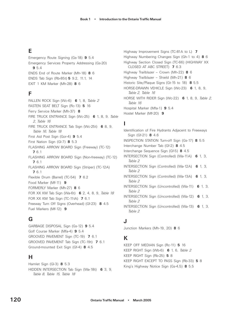### **E**

Emergency Route Signing (Gs-18) **9** 5.4 Emergency Services Property Addressing (Gs-20) **9** 5.4 ENDS End of Route Marker (Mh-18) **8** 6 ENDS Tab Sign (Rb-85t) **5** 9.2, 11.1, 14 EXIT 1 KM Marker (Mh-28) **8** 6

#### **F**

FALLEN ROCK Sign (Wc-6) **6** 1, 8, *Table 2* FASTEN SEAT BELT Sign (Rc-13) **5** 16 Ferry Service Marker (Mh-37) **8** FIRE TRUCK ENTRANCE Sign (Wc-25) **6** 1, 8, 9, *Table 2*, *Table 16* FIRE TRUCK ENTRANCE Tab Sign (Wc-25t) **6** 8, 9, *Table 16*, *Table 18* First Aid Post Sign (Gor-4) **9** 5.4 First Nation Sign (Gl-7) **8** 5.3 FLASHING ARROW BOARD Sign (Freeway) (TC-12) **7** 6.1 FLASHING ARROW BOARD Sign (Non-freeway) (TC-12) **7** 6.1 FLASHING ARROW BOARD Sign (Striper) (TC-12A) **7** 6.1 Flexible Drum (Barrel) (TC-54) **7** 6.2 Food Marker (Mf-11) **9** FORMERLY Marker (Mh-27) **8** 6 FOR XX KM Tab Sign (Wa-6t) **6** 2, 4, 8, 9, *Table 18* FOR XX KM Tab Sign (TC-11tA) **7** 6.1 Freeway Turn Off Signs (Overhead) (Gf-23) **8** 4.5 Fuel Markers (Mf-12) **9**

# **G**

GARBAGE DISPOSAL Sign (Gs-12) **9** 5.4 Golf Course Marker (Mfa-4) **9** 5.4 GROOVED PAVEMENT Sign (TC-19) **7** 6.1 GROOVED PAVEMENT Tab Sign (TC-19t) **7** 6.1 Ground-mounted Exit Sign (Gf-4) **8** 4.5

# **H**

Hamlet Sign (Gl-3) **8** 5.3 HIDDEN INTERSECTION Tab Sign (Wa-18t) **6** 3, 9, *Table 8*, *Table 15*, *Table 18*

Highway Improvement Signs (TC-81A to L) **7** Highway Numbering Changes Sign (Gh-1 to 4) **8** 6 Highway Section Closed Sign (TC-66) (HIGHWAY XX CLOSED AT ABC STREET) **7** 6.3 Highway Trailblazer – Crown (Mh-22) **8** 6 Highway Trailblazer – Shield (Mh-21) **8** 6 Historic Site/Plaque Signs (Gt-15 to 18) **8** 5.5 HORSE-DRAWN VEHICLE Sign (Wc-23) **6** 1, 8, 9, *Table 2*, *Table 16* HORSE WITH RIDER Sign (Wc-22) **6** 1, 8, 9, *Table 2*, *Table 16* Hospital Marker (Mfa-1) **9** 5.4 Hostel Marker (Mf-20) **9**

### **I**

Identification of Fire Hydrants Adjacent to Freeways Sign (Gf-21) **8** 4.6 INSPECTION STATION Turn-off Sign (Gs-17) **8** 5.5 Interchange Number Tab (Gf-2) **8** 4.5 Interchange Sequence Sign (Gf-5) **8** 4.5 INTERSECTION Sign (Controlled) (Wa-11A) **6** 1, 3, *Table 2* INTERSECTION Sign (Controlled) (Wa-12A) **6** 1, 3, *Table 2* INTERSECTION Sign (Controlled) (Wa-13A) **6** 1, 3, *Table 2* INTERSECTION Sign (Uncontrolled) (Wa-11) **6** 1, 3, *Table 2* INTERSECTION Sign (Uncontrolled) (Wa-12) **6** 1, 3, *Table 2* INTERSECTION Sign (Uncontrolled) (Wa-13) **6** 1, 3, *Table 2*

# **J**

Junction Markers (Mh-19, 20) **8** 6

# **K**

KEEP OFF MEDIAN Sign (Rc-11) **5** 16 KEEP RIGHT Sign (Wb-6) **6** 1, 6, *Table 2* KEEP RIGHT Sign (Rb-25) **5** 8 KEEP RIGHT EXCEPT TO PASS Sign (Rb-33) **5** 8 King's Highway Notice Sign (Gs-4,5) **8** 5.5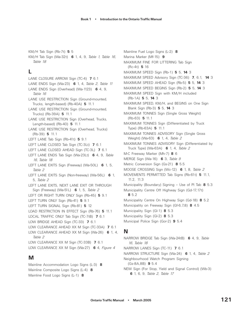KM/H Tab Sign (Rb-7t) **5** 5

KM/H Tab Sign (Wa-32t) **6** 1, 4, 9, *Table 1, Table 16*, *Table 18*

#### **L**

- LANE CLOSURE ARROW Sign (TC-4) **7** 6.1 LANE ENDS Sign (Wa-23) **6** 1, 4, *Table 2*, *Table 11* LANE ENDS Sign (Overhead) (Wa-1123) **6** 4, 9, *Table 16* LANE USE RESTRICTION Sign (Ground-mounted, Trucks, length-based) (Rb-40A) **5** 11.1 LANE USE RESTRICTION Sign (Ground-mounted, Trucks) (Rb-39A) **5** 11.1 LANE USE RESTRICTION Sign (Overhead, Trucks, Length-based) (Rb-40) **5** 11.1 LANE USE RESTRICTION Sign (Overhead, Trucks) (Rb-39) **5** 11.1 LEFT LANE Tab Sign (Rb-41t) **5** 9.1 LEFT LANE CLOSED Tab Sign (TC-3Lt) **7** 6.1 LEFT LANE CLOSED AHEAD Sign (TC-3L) **7** 6.1 LEFT LANE ENDS Tab Sign (Wa-23Lt) **6** 4, 9, *Table 16*, *Table 18* LEFT LANE EXITS Sign (Freeway) (Wa-50L) **6** 1, 5, *Table 2* LEFT LANE EXITS Sign (Non-freeway) (Wa-56L) **6** 1, 5, *Table 2* LEFT LANE EXITS, NEXT LANE EXIT OR THROUGH Sign (Freeway) (Wa-51L) **6** 1, 5, *Table 2* LEFT OR RIGHT TURN ONLY Sign (Rb-45) **5** 9.1
- LEFT TURN ONLY Sign (Rb-41) **5** 9.1
- LEFT TURN SIGNAL Sign (Rb-81) **5** 12
- LOAD RESTRICTION IN EFFECT Sign (Rb-76) **5** 11.1
- LOCAL TRAFFIC ONLY Tab Sign (TC-7tB) **7** 6.1
- LOW BRIDGE AHEAD Sign (TC-33) **7** 6.1
- LOW CLEARANCE AHEAD XX M Sign (TC-33A) **7** 6.1
- LOW CLEARANCE AHEAD XX M Sign (Wa-26) **6** 1, 4, *Table 2*
- LOW CLEARANCE XX M Sign (TC-33B) **7** 6.1
- LOW CLEARANCE XX M Sign (Wa-27) **6** 4, *Figure 4*

#### **M**

Mainline Accommodation Logo Signs (L-3) **8** Mainline Composite Logo Signs (L-4) **8** Mainline Food Logo Signs (L-1) **8**

Mainline Fuel Logo Signs (L-2) **8** Marina Marker (Mf-15) **9** MAXIMUM FINE FOR LITTERING Tab Sign (Rc-4t) **5** 16 MAXIMUM SPEED Sign (Rb-1) **5** 5, **14** 3 MAXIMUM SPEED Advisory Sign (TC-36) **7**, 6.1, **14** 3 MAXIMUM SPEED AHEAD Sign (Rb-5) **5** 5, **14** 3 MAXIMUM SPEED BEGINS Sign (Rb-2) **5** 5, **14** 3 MAXIMUM SPEED Sign with KM/H included (Rb-1A) **5** 5, **14** 3 MAXIMUM SPEED, KM/H, and BEGINS on One Sign Blank Sign (Rb-3) **5** 5, **14** 3 MAXIMUM TONNES Sign (Single Gross Weight) (Rb-63) **5** 11.1 MAXIMUM TONNES Sign (Differentiated by Truck Type) (Rb-63A) **5** 11.1 MAXIMUM TONNES ADVISORY Sign (Single Gross Weight) (Wa-63) **6** 1, 4, *Table 2* MAXIMUM TONNES ADVISORY Sign (Differentiated by Truck Type) (Wa-63A) **6** 1, 4, *Table 2* M-C Freeway Marker (Mh-7) **8** 6 MERGE Sign (Wa-16) **6** 3, *Table 9* Metric Conversion Sign (Gs-21) **8** 5.5 MOOSE CROSSING Sign (Wc-12) **6** 1, 8, *Table 2* MOVEMENTS PERMITTED Tab Signs (Rb-61t) **5** 11.1, 11.2, 11.3 Municipality (Boundary) Signing – Use of PI Tab **8** 5.3 Municipality Centre Off Highway Sign (Gd-17,17t) **8** 5.2 Municipality Centre On Highway Sign (Gd-18) **8** 5.2 Municipality on Freeway Sign (Gf-6,7,8) **8** 4.5 Municipality Sign (Gl-1) **8** 5.3 Municipality Sign (Gl-2) **8** 5.3

Municipal Police Sign (Gor-2) **9** 5.4

### **N**

NARROW BRIDGE Tab Sign (Wa-24tB) **6** 4, 9, *Table 16*, *Table 18* NARROW LANES Sign (TC-11) **7** 6.1 NARROW STRUCTURE Sign (Wa-24) **6** 1, 4, *Table 2* Neighbourhood Watch Program Signing (Gs-8A,8B) **9** 5.4 NEW Sign (For Stop, Yield and Signal Control) (Wb-3) **6** 1, 6, 9, *Table 2*, *Table 17*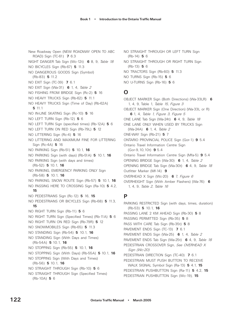New Roadway Open (NEW ROADWAY OPEN TO ABC ROAD) Sign (TC-61) **7** 6.3 NIGHT DANGER Tab Sign (Wc-12t) **6** 8, 9, *Table 18* NO BICYCLES Sign (Rb-67) **5** 11.3 NO DANGEROUS GOODS Sign (Symbol) (Rb-83) **5** 11.2 NO EXIT Sign (TC-39) **7** 6.1 NO EXIT Sign (Wa-31) **6** 1, 4, *Table 2* NO FISHING FROM BRIDGE Sign (Rc-2) **5** 16 NO HEAVY TRUCKS Sign (Rb-62) **5** 11.1 NO HEAVY TRUCKS Sign (Time of Day) (Rb-62A) **5** 11.1 NO IN-LINE SKATING Sign (Rc-10) **5** 16 NO LEFT TURN Sign (Rb-12) **5** 6 NO LEFT TURN Sign (specified times) (Rb-12A) **5** 6 NO LEFT TURN ON RED Sign (Rb-79L) **5** 12 NO LITTERING Sign (Rc-4) **5** 16 NO LITTERING AND MAXIMUM FINE FOR LITTERING Sign (Rc-4A) **5** 16 NO PARKING Sign (Rb-51) **5** 10.1, **16** NO PARKING Sign (with days) (Rb-51A) **5** 10.1, **16** NO PARKING Sign (with days and times) (Rb-52) **5** 10.1, **16** NO PARKING, EMERGENCY PARKING ONLY Sign (Rb-58) **5** 10.1, **16** NO PARKING, SNOW ROUTE Sign (Rb-57) **5** 10.1, **16** NO PASSING HERE TO CROSSING Sign (Ra-10) **5** 4.2, **15** NO PEDESTRIANS Sign (Rc-12) **5** 16, **15** NO PEDESTRIANS OR BICYCLES Sign (Rb-68) **5** 11.3, **15** NO RIGHT TURN Sign (Rb-11) **5** 6 NO RIGHT TURN Sign (Specified Times) (Rb-11A) **5** 6 NO RIGHT TURN ON RED Sign (Rb-79R) **5** 12 NO SNOWMOBILES Sign (Rb-65) **5** 11.3 NO STANDING Sign (Rb-54) **5** 10.1, **16** NO STANDING Sign (With Days and Times) (Rb-54A) **5** 10.1, **16** NO STOPPING Sign (Rb-55) **5** 10.1, **16** NO STOPPING Sign (With Days) (Rb-55A) **5** 10.1, **16** NO STOPPING Sign (With Days and Times) (Rb-56) **5** 10.1, **16** NO STRAIGHT THROUGH Sign (Rb-10) **5** 6 NO STRAIGHT THROUGH Sign (Specified Times) (Rb-10A) **5** 6

NO STRAIGHT THROUGH OR LEFT TURN Sign (Rb-14) **5** 6 NO STRAIGHT THROUGH OR RIGHT TURN Sign (Rb-13) **5** 6 NO TRACTORS Sign (Rb-60) **5** 11.3 NO TURNS Sign (Rb-15) **5** 6 NO U-TURNS Sign (Rb-16) **5** 6

#### **O**

OBJECT MARKER Sign (Both Directions) (Wa-33LR) **6** 1, 4, 9, Table 1, *Table 15*, *Figure 3* OBJECT MARKER Sign (One Direction) (Wa-33L or R) **6** 1, 4, *Table 1, Figure 3*, *Figure 5* ONE LANE Tab Sign (Wa-24t) **6** 4, 9, *Table 18* ONE LANE ONLY WHEN USED BY TRUCKS Sign (Wa-24A) **6** 1, 4, *Table 2* ONE-WAY Sign (Rb-21) **5** 7 ONTARIO PROVINCIAL POLICE Sign (Gor-1) **9** 5.4 Ontario Travel Information Centre Sign (Gor-9,10,10t) **9** 5.4 Ontario Travel Information Centre Sign (Mfa-5) **9** 5.4 OPENING BRIDGE Sign (Wa-30) **6** 1, 4, *Table 2* OPENING BRIDGE Tab Sign (Wa-30t) **6** 4, 9, *Table 18* Outfitter Marker (Mf-14) **9** OVERHEAD X Sign (Wc-20) **6** 7, *Figure 6* OVERHEIGHT Sign (With Amber Flashers) (Wa-76) **6** 1, 4, 9, *Table 2*, *Table 16*

# **P**

PARKING RESTRICTED Sign (with days, times, duration) (Rb-53) **5** 10.1, **16** PASSING LANE 2 KM AHEAD Sign (Rb-30) **5** 8 PASSING PERMITTED Sign (Rb-35) **5** 8 PASS WITH CARE Tab Sign (Rb-35t) **5** 8 PAVEMENT ENDS Sign (TC-13) **7** 6.1 PAVEMENT ENDS Sign (Wa-25) **6** 1, 4, *Table 2* PAVEMENT ENDS Tab Sign (Wa-25t) **6** 4, 9, *Table 18* PEDESTRIAN CROSSOVER Sign, *See OVERHEAD X Sign (Wc-20)* PEDESTRIAN DIRECTION Sign (TC-40) **7** 6.1 PEDESTRIAN MUST PUSH BUTTON TO RECEIVE WALK SIGNAL Symbol Sign (Ra-13) **5** 4.1, **15** PEDESTRIAN PUSHBUTTON Sign (Ra-11) **5** 4.2, **15** PEDESTRIAN PUSHBUTTON Sign (Wc-19), **15**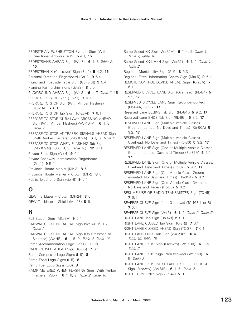PEDESTRIAN PUSHBUTTON Symbol Sign (With Directional Arrow) (Ra-12) **5** 4.1, **15** PEDESTRIANS AHEAD Sign (Wc-7) **6** 1, 7, *Table 2,* **15** PEDESTRIAN X (Crossover) Sign (Ra-4) **5** 4.2, **15** Personal Direction Fingerboard (Grr-2) **9** 5.4 Picnic and Roadside Table Sign (Gor-3,3t) **9** 5.4 Planting Partnership Signs (Gs-23) **8** 5.5 PLAYGROUND AHEAD Sign (Wc-3) **6** 1, 7, *Table 2,* **15** PREPARE TO STOP Sign (TC-20) **7** 6.1 PREPARE TO STOP Sign (With Amber Flashers) (TC-20A) **7** 6.1 PREPARE TO STOP Tab Sign (TC-23At) **7** 6.1 PREPARE TO STOP AT RAILWAY CROSSING AHEAD Sign (With Amber Flashers) (Wc-104A) **6** 1, 8, *Table 2* PREPARE TO STOP AT TRAFFIC SIGNALS AHEAD Sign (With Amber Flashers) (Wb-102A) **6** 1, 6, *Table 2* PREPARE TO STOP WHEN FLASHING Tab Sign (Wb-102At) **6** 6, 8, 9, *Table 18,* **12** 3.11 Private Road Sign (Grr-4) **9** 5.4 Private Roadway Identification Fingerboard (Grr-1) **9** 5.4 Provincial Route Marker (Mh-3) **8** 6 Provincial Route Marker – Crown (Mh-2) **8** 6 Public Telephone Sign (Gor-8) **9** 5.4

# **Q**

QEW Trailblazer – Crown (Mh-24) **8** 6 QEW Trailblazer – Shield (Mh-23) **8** 6

# **R**

- Rail Station Sign (Mfa-3A) **9** 5.4
- RAILWAY CROSSING AHEAD Sign (Wc-4) **6** 1, 8, *Table 2*
- RAILWAY CROSSING AHEAD Sign (On Crossroad or Sideroad) (Wc-4B) **6** 1, 8, 9, *Table 2*, *Table 16*
- Ramp Accommodation Logo Signs (L-7) **8**
- RAMP CLOSED AHEAD Sign (TC-35) **7** 6.1
- Ramp Composite Logo Signs (L-8) **8**
- Ramp Food Logo Signs (L-5) **8**
- Ramp Fuel Logo Signs (L-6) **8**
- RAMP METERED WHEN FLASHING Sign (With Amber Flashers) (Wb-7) **6** 1, 6, 9, *Table 2*, *Table 16*

Ramp Speed XX Sign (Wa-32A) **6** 1, 4, 9, *Table 1, Table 2*, *Table 16* Ramp Speed XX KM/H Sign (Wa-32) **6** 1, 4, *Table 1, Table 2* Regional Municipality Sign (Gl-5) **8** 5.3 Regional Travel Information Centre Sign (Mfa-5) **9** 5.4 REMOTE CONTROL DEVICE AHEAD Sign (TC-23A) **7** 6.1 RESERVED BICYCLE LANE Sign (Overhead) (Rb-84) **5** 9.2, **17** RESERVED BICYCLE LANE Sign (Ground-mounted) (Rb-84A) **5** 9.2, **17** Reserved Lane BEGINS Tab Sign (Rb-84t) **5** 9.2, **17** Reserved Lane ENDS Tab Sign (Rb-85t) **5** 9.2, **17** RESERVED LANE Sign (Multiple Vehicle Classes, Ground-mounted, No Days and Times) (Rb-86A) **5** 9.2, **17** RESERVED LANE Sign (Multiple Vehicle Classes, Overhead, No Days and Times) (Rb-86) **5** 9.2, **17** RESERVED LANE Sign (One or Multiple Vehicle Classes, Ground-mounted, Days and Times) (Rb-87A) **5** 9.2, **17** RESERVED LANE Sign (One or Multiple Vehicle Classes, Overhead, Days and Times) (Rb-87) **5** 9.2, **17** RESERVED LANE Sign (One Vehicle Class, Groundmounted, No Days and Times) (Rb-85A) **5** 9.2 RESERVED LANE Sign (One Vehicle Class, Overhead, No Days and Times) (Rb-85) **5** 9.2 RESUME USE OF RADIO TRANSMITTER Sign (TC-45) **7** 6.1 REVERSE CURVE Sign (1 to 3 arrows) (TC-16E L or R) **7** 6.1 REVERSE CURVE Sign (Wa-5) **6** 1, 2, *Table 2*, *Table 5* RIGHT LANE Tab Sign (Rb-42t) **5** 9.1 RIGHT LANE CLOSED Tab Sign (TC-3Rt) **7** 6.1 RIGHT LANE CLOSED AHEAD Sign (TC-3R) **7** 6.1 RIGHT LANE ENDS Tab Sign (Wa-23Rt) **6** 4, 9, *Table 16*, *Table 18* RIGHT LANE EXITS Sign (Freeway) (Wa-50R) **6** 1, 5, *Table 2* RIGHT LANE EXITS Sign (Non-freeway) (Wa-56R) **6** 1, 5, *Table 2* RIGHT LANE EXITS, NEXT LANE EXIT OR THROUGH

Sign (Freeway) (Wa-51R) **6** 1, 5, *Table 2*

RIGHT TURN ONLY Sign (Rb-42) **5** 9.1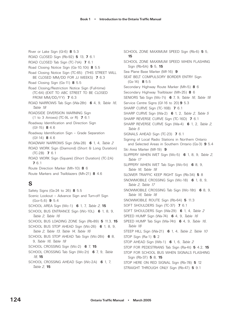River or Lake Sign (Gl-6) **8** 5.3 ROAD CLOSED Sign (Rb-92) **5** 13, **7** 6.1 ROAD CLOSED Tab Sign (TC-7tA) **7** 6.1 Road Closing Notice Sign (Gs-10,10t) **8** 5.5 Road Closing Notice Sign (TC-65) (THIS STREET WILL BE CLOSED MM/DD FOR JJ WEEKS) **7** 6.3 Road Closing Sign (Gs-11) **8** 5.5 Road Closing/Restriction Notice Sign (Full-time) (TC-64) (EXIT TO ABC STREET TO BE CLOSED FROM MM/DD/YY) **7** 6.3 ROAD NARROWS Tab Sign (Wa-28t) **6** 4, 9, *Table 16*, *Table 18* ROADSIDE DIVERSION WARNING Sign (1 to 3 Arrows) (TC-9L or R) **7** 6.1 Roadway Identification and Direction Sign (Gf-15) **8** 4.6 Roadway Identification Sign – Grade Separation (Gf-14) **8** 4.6 ROADWAY NARROWS Sign (Wa-28) **6** 1, 4, *Table 2* ROAD WORK Sign (Diamond) (Short & Long Duration) (TC-2B) **7** 6.1 ROAD WORK Sign (Square) (Short Duration) (TC-2A) **7** 6.1 Route Direction Marker (Mh-10) **8** 6 Route Markers and Trailblazers (Mh-21) **8** 4.6

# **S**

Safety Signs (Gs-24 to 26) **8** 5.5 Scenic Lookout – Advance Sign and Turn-off Sign (Gor-5,6) **9** 5.4 SCHOOL AREA Sign (Wc-1) **6** 1, 7, *Table 2,* **15** SCHOOL BUS ENTRANCE Sign (Wc-10L) **6** 1, 8, 9, *Table 2*, *Table 16* SCHOOL BUS LOADING ZONE Sign (Rb-89) **5** 11.3, **15** SCHOOL BUS STOP AHEAD Sign (Wc-26) **6** 1, 8, 9, *Table 2*, *Table 13*, *Table 14*, *Table 16* SCHOOL BUS STOP AHEAD Tab Sign (Wc-26t) **6** 8, 9, *Table 16*, *Table 18* SCHOOL CROSSING Sign (Wc-2) **6** 7, **15** SCHOOL CROSSING Tab Sign (Wc-2t) **6** 7, 9, *Table 18,* **15** SCHOOL CROSSING AHEAD Sign (Wc-2A) **6** 1, 7, *Table 2,* **15**

SCHOOL ZONE MAXIMUM SPEED Sign (Rb-6) **5** 5, **15** SCHOOL ZONE MAXIMUM SPEED WHEN FLASHING Sign (Rb-6A) **5** 5, **15** Sea Plane Base Marker (Mf-16) **9** SEAT BELT COMPULSORY BORDER ENTRY Sign (Gs-14) **8** 5.5 Secondary Highway Route Marker (Mh-5) **8** 6 Secondary Highway Trailblazer (Mh-25) **8** 6 SENIORS Tab Sign (Wc-7t) **6** 7, 9, *Table 16*, *Table 18* Service Centre Signs (Gf-16 to 20) **9** 5.3 SHARP CURVE Sign (TC-16B) **7** 6.1 SHARP CURVE Sign (Wa-2) **6** 1, 2, *Table 2*, *Table 5* SHARP REVERSE CURVE Sign (TC-16D) **7** 6.1 SHARP REVERSE CURVE Sign (Wa-4) **6** 1, 2, *Table 2*, *Table 5* SIGNALS AHEAD Sign (TC-23) **7** 6.1 Signing of Local Radio Stations in Northern Ontario and Selected Areas in Southern Ontario (Gs-3) **9** 5.4 Ski Area Marker (Mf-19) **9** SLIPPERY WHEN WET Sign (Wc-5) **6** 1, 8, 9, *Table 2*, *Table 17* SLIPPERY WHEN WET Tab Sign (Wc-5t) **6** 8, 9, *Table 16*, *Table 18* SLOWER TRAFFIC KEEP RIGHT Sign (Rb-34) **5** 8 SNOWMOBILE CROSSING Sign (Wc-18) **6** 1, 8, 9, *Table 2*, *Table 17* SNOWMOBILE CROSSING Tab Sign (Wc-18t) **6** 8, 9, *Table 16*, *Table 18* SNOWMOBILE ROUTE Sign (Rb-64) **5** 11.3 SOFT SHOULDERS Sign (TC-37) **7** 6.1 SOFT SHOULDERS Sign (Wa-29) **6** 1, 4, *Table 2* SPEED HUMP Sign (Wa-74) **6** 4, 9, *Table 16* SPEED HUMP Tab Sign (Wa-74t) **6** 4, 9, *Table 16*, *Table 18* STEEP HILL Sign (Wa-21) **6** 1, 4, *Table 2*, *Table 10* STOP Sign (Ra-1) **5** 2 STOP AHEAD Sign (Wb-1) **6** 1, 6, *Table 2* STOP FOR PEDESTRIANS Tab Sign (Ra-4t) **5** 4.2, **15** STOP FOR SCHOOL BUS WHEN SIGNALS FLASHING Sign (Rb-37) **5** 8, **15** STOP HERE ON RED SIGNAL Sign (Rb-78) **5** 12 STRAIGHT THROUGH ONLY Sign (Rb-47) **5** 9.1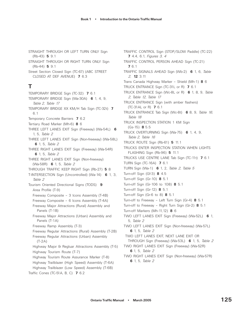STRAIGHT THROUGH OR LEFT TURN ONLY Sign (Rb-43) **5** 9.1 STRAIGHT THROUGH OR RIGHT TURN ONLY Sign (Rb-44) **5** 9.1 Street Section Closed Sign (TC-67) (ABC STREET CLOSED AT DEF AVENUE) **7** 6.3 **T** TEMPORARY BRIDGE Sign (TC-32) **7** 6.1 TEMPORARY BRIDGE Sign (Wa-30A) **6** 1, 4, 9, *Table 2*, *Table 17* TEMPORARY BRIDGE XX KM/H Tab Sign (TC-32t) **7** 6.1 Temporary Concrete Barriers **7** 6.2 Tertiary Road Marker (Mh-6) **8** 6 THREE LEFT LANES EXIT Sign (Freeway) (Wa-54L) **6** 1, 5, *Table 2* THREE LEFT LANES EXIT Sign (Non-freeway) (Wa-58L) **6** 1, 5, *Table 2* THREE RIGHT LANES EXIT Sign (Freeway) (Wa-54R) **6** 1, 5, *Table 2* THREE RIGHT LANES EXIT Sign (Non-freeway) (Wa-58R) **6** 1, 5, *Table 2* THROUGH TRAFFIC KEEP RIGHT Sign (Rb-27) **5** 8 T-INTERSECTION Sign (Uncontrolled) (Wa-14) **6** 1, 3, *Table 2* Tourism Oriented Directional Signs (TODS) **9** Area Profile (T-9) Freeway Composite – 3 Icons Assembly (T-4B) Freeway Composite – 6 Icons Assembly (T-4A) Freeway Major Attractions (Rural) Assembly and Panels (T-1B) Freeway Major Attractions (Urban) Assembly and Panels (T-1A) Freeway Ramp Assembly (T-3) Freeway Regular Attractions (Rural) Assembly (T-2B) Freeway Regular Attractions (Urban) Assembly (T-2A) Highway Major & Regluar Attractions Assembly (T-5) Highway Tourism Route (T-7)

- Highway Tourism Route Assurance Marker (T-8)
- Highway Trailblazer (High Speed) Assembly (T-6A) Highway Trailblazer (Low Speed) Assembly (T-6B)
- Traffic Cones (TC-51A, B, C) **7** 6.2

TRAFFIC CONTROL Sign (STOP/SLOW Paddle) (TC-22) **7** 4.4, 6.1, *Figures 3, 4* TRAFFIC CONTROL PERSON AHEAD Sign (TC-21) **7** 6.1 TRAFFIC SIGNALS AHEAD Sign (Wb-2) **6** 1, 6, *Table 2*, **12** 3.11 Trans Canada Highway Marker – Shield (Mh-1) **8** 6 TRUCK ENTRANCE Sign (TC-31L or R) **7** 6.1 TRUCK ENTRANCE Sign (Wc-8L or R) **6** 1, 8, 9, *Table 2*, *Table 12*, *Table 17* TRUCK ENTRANCE Sign (with amber flashers) (TC-31AL or R) **7** 6.1 TRUCK ENTRANCE Tab Sign (Wc-8t) **6** 8, 9, *Table 16*, *Table 18* TRUCK INSPECTION STATION 1 KM Sign (Gs-15) **8** 5.5 TRUCK OVERTURNING Sign (Wa-75) **6** 1, 4, 9, *Table 2*, *Table 16* TRUCK ROUTE Sign (Rb-61) **5** 11.1 TRUCKS ENTER INSPECTION STATION WHEN LIGHTS FLASHING Sign (Rb-96) **5** 11.1 TRUCKS USE CENTRE LANE Tab Sign (TC-11t) **7** 6.1 TURN Sign (TC-16A) **7** 6.1 TURN Sign (Wa-1) **6** 1, 2, *Table 2*, *Table 5* Turn-off Sign (Gf-3) **8** 4.5 Turn-off Sign (Gr-10) **8** 5.1 Turn-off Sign (Gr-106 to 108) **8** 5.1 Turn-off Sign (Gr-12) **8** 5.1 Turn-off Sign (Gr-6 to 8) **8** 5.1 Turn-off to Freeway – Left Turn Sign (Gr-4) **8** 5.1 Turn-off to Freeway – Right Turn Sign (Gr-2) **8** 5.1 Turn-off Markers (Mh-11,12) **8** 6 TWO LEFT LANES EXIT Sign (Freeway) (Wa-52L) **6** 1, 5, *Table 2* TWO LEFT LANES EXIT Sign (Non-freeway) (Wa-57L) **6** 1, 5, *Table 2* TWO LEFT LANES EXIT, NEXT LANE EXIT OR THROUGH Sign (Freeway) (Wa-53L) **6** 1, 5, *Table 2* TWO RIGHT LANES EXIT Sign (Freeway) (Wa-52R) **6** 1, 5, *Table 2* TWO RIGHT LANES EXIT Sign (Non-freeway) (Wa-57R)

**6** 1, 5, *Table 2*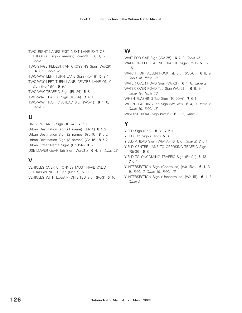TWO RIGHT LANES EXIT, NEXT LANE EXIT OR THROUGH Sign (Freeway) (Wa-53R) **6** 1, 5, *Table 2* TWO-STAGE PEDESTRIAN CROSSING Sign (Wc-29) **6** 7, 9, *Table 16* TWO-WAY LEFT TURN LANE Sign (Rb-48) **5** 9.1 TWO-WAY LEFT TURN LANE, CENTRE LANE ONLY Sign (Rb-48A) **5** 9.1 TWO-WAY TRAFFIC Sign (Rb-24) **5** 8 TWO-WAY TRAFFIC Sign (TC-34) **7** 6.1 TWO-WAY TRAFFIC AHEAD Sign (Wb-4) **6** 1, 6, *Table 2*

# **U**

UNEVEN LANES Sign (TC-24) **7** 6.1 Urban Destination Sign (1 name) (Gd-14) **8** 5.2 Urban Destination Sign (2 names) (Gd-15) **8** 5.2 Urban Destination Sign (3 names) (Gd-16) **8** 5.2 Urban Street Name Signs (Gr-USN) **8** 5.1 USE LOWER GEAR Tab Sign (Wa-21t) **6** 4, 9, *Table 18*

# **V**

VEHICLES OVER 5 TONNES MUST HAVE VALID TRANSPONDER Sign (Rb-97) **5** 11.1 VEHICLES WITH LUGS PROHIBITED Sign (Rc-3) **5** 16

#### **W**

WAIT FOR GAP Sign (Wc-28) **6** 7, 9, *Table 16* WALK ON LEFT FACING TRAFFIC Sign (Rc-1) **5** 16, **15** WATCH FOR FALLEN ROCK Tab Sign (Wc-6t) **6** 8, 9, *Table 16*, *Table 18* WATER OVER ROAD Sign (Wc-21) **6** 1, 8, *Table 2* WATER OVER ROAD Tab Sign (Wc-21t) **6** 8, 9, *Table 16*, *Table 18* WHEN FLASHING Tab Sign (TC-20At) **7** 6.1 WHEN FLASHING Tab Sign (Wa-76t) **6** 4, 9, *Table 2*, *Table 16*, *Table 18* WINDING ROAD Sign (Wa-6) **6** 1, 2, *Table 2*

# **Y**

YIELD Sign (Ra-2) **5** 3, **7** 6.1 YIELD Tab Sign (Ra-2t) **5** 3 YIELD AHEAD Sign (Wb-1A) **6** 1, 6, *Table 2,* **7** 6.1 YIELD CENTRE LANE TO OPPOSING TRAFFIC Sign (Rb-36) **5** 8 YIELD TO ONCOMING TRAFFIC Sign (Rb-91) **5** 13, **7** 6.1 Y-INTERSECTION Sign (Controlled) (Wa-15A) **6** 1, 3, 9, *Table 2*, *Table 15*, *Table 16*

Y-INTERSECTION Sign (Uncontrolled) (Wa-15) **6** 1, 3, *Table 2*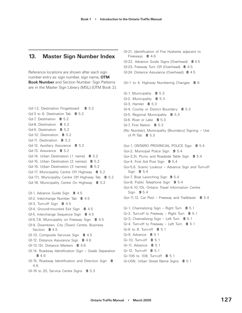#### **13. Master Sign Number Index**

Reference locations are shown after each sign number entry as: sign number, sign name, **OTM Book Number** and Section Number. Sign Patterns are in the Master Sign Library (MSL) (OTM Book 2).

Gd-1,2, Destination Fingerboard **8** 5.2 Gd-3 to 6, Destination Tab **8** 5.2 Gd-7, Destination **8** 5.2 Gd-8, Destination **8** 5.2 Gd-9, Destination **8** 5.2 Gd-10, Destination **8** 5.2 Gd-11, Destination **8** 5.2 Gd-12, Auxiliary Assurance **8** 5.2 Gd-13, Assurance **8** 5.2 Gd-14, Urban Destination (1 name) **8** 5.2 Gd-15, Urban Destination (2 names) **8** 5.2 Gd-16, Urban Destination (3 names) **8** 5.2 Gd-17, Municipality Centre Off Highway **8** 5.2 Gd-17t, Municipality Centre Off Highway Tab **8** 5.2 Gd-18, Municipality Centre On Highway **8** 5.2 Gf-1, Advance Guide Sign **8** 4.5 Gf-2, Interchange Number Tab **8** 4.5 Gf-3, Turn-off Sign **8** 4.5 Gf-4, Ground-mounted Exit Sign **8** 4.5 Gf-5, Interchange Sequence Sign **8** 4.5 Gf-6,7,8, Municipality on Freeway Sign **8** 4.5 Gf-9, Downtown, City (Town) Centre, Business Section **8** 4.5 Gf-10, Composite Services Sign **8** 4.5 Gf-12, Distance Assurance Sign **8** 4.6 Gf-13,13t, Distance Markers **8** 4.6 Gf-14, Roadway Identification Sign – Grade Separation **8** 4.6 Gf-15, Roadway Identification and Direction Sign **8** 4.6 Gf-16 to 20, Service Centre Signs **9** 5.3

- Gf-21, Identification of Fire Hydrants adjacent to Freeways **8** 4.6
- Gf-22, Advance Guide Signs (Overhead) **8** 4.5
- Gf-23, Freeway Turn Off (Overhead) **8** 4.5
- Gf-24, Distance Assurance (Overhead) **8** 4.5
- Gh-1 to 4, Highway Numbering Changes **8** 6
- Gl-1, Municipality **8** 5.3
- Gl-2, Municipality **8** 5.3
- Gl-3, Hamlet **8** 5.3
- Gl-4, County or District Boundary **8** 5.3
- Gl-5, Regional Municipality **8** 5.3
- Gl-6, River or Lake **8** 5.3
- Gl-7, First Nation **8** 5.3
- (No Number), Municipality (Boundary) Signing Use of PI Tab **8** 5.3
- Gor-1, ONTARIO PROVINCIAL POLICE Sign **9** 5.4
- Gor-2, Municipal Police Sign **9** 5.4
- Gor-3,3t, Picnic and Roadside Table Sign **9** 5.4
- Gor-4, First Aid Post Sign **9** 5.4
- Gor-5,6, Scenic Lookout Advance Sign and Turn-off Sign **9** 5.4
- Gor-7, Boat Launching Sign **9** 5.4
- Gor-8, Public Telephone Sign **9** 5.4
- Gor-9,10,10t, Ontario Travel Information Centre Sign **9** 5.4
- Gor-11,12, Car Pool Freeway and Trailblazer **8** 5.4
- Gr-1, Channelizing Sign Right Turn **8** 5.1 Gr-2, Turn-off to Freeway – Right Turn **8** 5.1 Gr-3, Channelizing Sign – Left Turn **8** 5.1 Gr-4, Turn-off to Freeway – Left Turn **8** 5.1 Gr-6 to 8, Turn-off **8** 5.1 Gr-9, Advance **8** 5.1 Gr-10, Turn-off **8** 5.1 Gr-11, Advance **8** 5.1 Gr-12, Turn-off **8** 5.1 Gr-106 to 108, Turn-off **8** 5.1 Gr-USN, Urban Street Name Signs **8** 5.1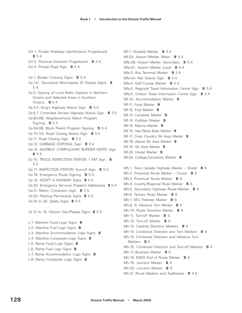Grr-1, Private Roadway Identification Fingerboard **9** 5.4 Grr-2, Personal Direction Fingerboard **9** 5.4 Grr-4, Private Road Sign **9** 5.4 Gs-1, Border Crossing Signs **9** 5.4 Gs-1A\*, Decorative Municipality ID Display Signs **9** 5.4 Gs-3, Signing of Local Radio Stations in Northern Ontario and Selected Areas in Southern Ontario **9** 5.4 Gs-4,5, King's Highway Notice Sign **8** 5.5 Gs-6,7, Controlled Access Highway Notice Sign **8** 5.5 Gs-8A,8B, Neighbourhood Watch Program Signing **9** 5.4 Gs-9A,9B, Block Parent Program Signing **9** 5.4 Gs-10,10t, Road Closing Notice Sign **8** 5.5 Gs-11, Road Closing Sign **8** 5.5 Gs-12, GARBAGE DISPOSAL Sign **9** 5.4 Gs-14, SEATBELT COMPULSORY BORDER ENTRY Sign **8** 5.5 Gs-15, TRUCK INSPECTION STATION 1 KM Sign **8** 5.5 Gs-17, INSPECTION STATION Turn-off Sign **8** 5.5 Gs-18, Emergency Route Signing **9** 5.4 Gs-19, ADOPT A HIGHWAY Signs **9** 5.4 Gs-20, Emergency Services Property Addressing **9** 5.4 Gs-21, Metric Conversion Sign **8** 5.5 Gs-23, Planting Partnership Signs **8** 5.5 Gs-24 to 26, Safety Signs **8** 5.5 Gt-12 to 15, Historic Site/Plaque Signs **8** 5.5 L-1, Mainline Food Logo Signs **8** L-2, Mainline Fuel Logo Signs **8** L-3, Mainline Accommodation Logo Signs **8** L-4, Mainline Composite Logo Signs **8** L-5, Ramp Food Logo Signs **8** L-6, Ramp Fuel Logo Signs **8** L-7, Ramp Accommodation Logo Signs **8** L-8, Ramp Composite Logo Signs **8**

Mf-1, Hospital Marker **9** 5.4 Mf-2A, Airport Marker, Major **9** 5.4 Mfa-2B, Airport Marker, Secondary **9** 5.4 Mfa-2C, Airport Marker, Local **9** 5.4 Mfa-3, Bus Terminal Marker **9** 5.4 Mfa-3A, Rail Station Sign **9** 5.4 Mfa-4, Golf Course Marker **9** 5.4 Mfa-5, Regional Travel Information Centre Sign **9** 5.4 Mfa-5, Ontario Travel Information Centre Sign **9** 5.4 Mf-10, Accommodation Marker **9** Mf-11, Food Marker **9** Mf-12, Fuel Marker **9** Mf-13, Campsite Marker **9** Mf-14, Outfitter Marker **9** Mf-15, Marina Marker **9** Mf-16, Sea Plane Base Marker **9** Mf-17, Cross Country Ski Area Marker **9** Mf-18, Alpine Ski Area Marker **9** Mf-19, Ski Area Marker **9** Mf-20, Hostel Marker **9** Mf-24, College/University Marker **9** Mh-1, Trans Canada Highway Marker – Shield **8** 6 Mh-2, Provincial Route Marker – Crown **8** 6 Mh-3, Provincial Route Marker **8** 6 Mh-4, County/Regional Road Marker **8** 6 Mh-5, Secondary Highway Route Marker **8** 6 Mh-6, Tertiary Road Marker **8** 6 Mh-7, M-C Freeway Marker **8** 6 Mh-8, 9, Advance Turn Marker **8** 6 Mh-10, Route Direction Marker **8** 6 Mh-11, Turn-off Marker **8** 6 Mh-12, Turn-off Marker **8** 6 Mh-13, Cardinal Direction Markers **8** 6 Mh-14, Combined Direction and Turn Markers **8** 6 Mh-15, Combined Direction and Advance Turn Markers **8** 6 Mh-16, Combined Direction and Turn-off Markers **8** 6 Mh-17, Business Marker **8** 6 Mh-18, ENDS End of Route Marker **8** 6 Mh-19, Junction Marker **8** 6 Mh-20, Junction Marker **8** 6 Mh-21, Route Markers and Trailblazers **8** 4.6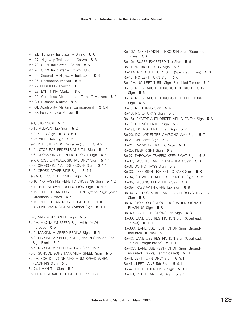Mh-21, Highway Trailblazer – Shield **8** 6 Mh-22, Highway Trailblazer – Crown **8** 6 Mh-23, QEW Trailblazer – Shield **8** 6 Mh-24, QEW Trailblazer – Crown **8** 6 Mh-25, Secondary Highway Trailblazer **8** 6 Mh-26, Destination Marker **8** 6 Mh-27, FORMERLY Marker **8** 6 Mh-28, EXIT 1 KM Marker **8** 6 Mh-29, Combined Distance and Turn-off Markers **8** 6 Mh-30, Distance Marker **8** 6 Mh-31, Availability Markers (Campground) **9** 5.4 Mh-37, Ferry Service Marker **8** Ra-1, STOP Sign **5** 2 Ra-1t, ALL-WAY Tab Sign **5** 2 Ra-2, YIELD Sign **5** 3, **7** 6.1 Ra-2t, YIELD Tab Sign **5** 3 Ra-4, PEDESTRIAN X (Crossover) Sign **5** 4.2 Ra-4t, STOP FOR PEDESTRIANS Tab Sign **5** 4.2 Ra-6, CROSS ON GREEN LIGHT ONLY Sign **5** 4.1 Ra-7, CROSS ON WALK SIGNAL ONLY Sign **5** 4.1 Ra-8, CROSS ONLY AT CROSSOVER Sign **5** 4.1 Ra-9, CROSS OTHER SIDE Sign **5** 4.1 Ra-9A, CROSS OTHER SIDE Sign **5** 4.1 Ra-10, NO PASSING HERE TO CROSSING Sign **5** 4.2 Ra-11, PEDESTRIAN PUSHBUTTON Sign **5** 4.2 Ra-12, PEDESTRIAN PUSHBUTTON Symbol Sign (With Directional Arrow) **5** 4.1 Ra-13, PEDESTRIAN MUST PUSH BUTTON TO RECEIVE WALK SIGNAL Symbol Sign **5** 4.1 Rb-1, MAXIMUM SPEED Sign **5** 5 Rb-1A, MAXIMUM SPEED Sign with KM/H Included **5** 5 Rb-2, MAXIMUM SPEED BEGINS Sign **5** 5 Rb-3, MAXIMUM SPEED, KM/H, and BEGINS on One Sign Blank **5** 5 Rb-5, MAXIMUM SPEED AHEAD Sign **5** 5 Rb-6, SCHOOL ZONE MAXIMUM SPEED Sign **5** 5 Rb-6A, SCHOOL ZONE MAXIMUM SPEED WHEN FLASHING Sign **5** 5 Rb-7t, KM/H Tab Sign **5** 5 Rb-10, NO STRAIGHT THROUGH Sign **5** 6

Rb-10A, NO STRAIGHT THROUGH Sign (Specified Times) **5** 6 Rb-10t, BUSES EXCEPTED Tab Sign **5** 6 Rb-11, NO RIGHT TURN Sign **5** 6 Rb-11A, NO RIGHT TURN Sign (Specified Times) **5** 6 Rb-12, NO LEFT TURN Sign **5** 6 Rb-12A, NO LEFT TURN Sign (Specified Times) **5** 6 Rb-13, NO STRAIGHT THROUGH OR RIGHT TURN Sign **5** 6 Rb-14, NO STRAIGHT THROUGH OR LEFT TURN Sign **5** 6 Rb-15, NO TURNS Sign **5** 6 Rb-16, NO U-TURNS Sign **5** 6 Rb-16t, EXCEPT AUTHORIZED VEHICLES Tab Sign **5** 6 Rb-19, DO NOT ENTER Sign **5** 7 Rb-19t, DO NOT ENTER Tab Sign **5** 7 Rb-20, DO NOT ENTER / WRONG WAY Sign **5** 7 Rb-21, ONE-WAY Sign **5** 7 Rb-24, TWO-WAY TRAFFIC Sign **5** 8 Rb-25, KEEP RIGHT Sign **5** 8 Rb-27, THROUGH TRAFFIC KEEP RIGHT Sign **5** 8 Rb-30, PASSING LANE 2 KM AHEAD Sign **5** 8 Rb-31, DO NOT PASS Sign **5** 8 Rb-33, KEEP RIGHT EXCEPT TO PASS Sign **5** 8 Rb-34, SLOWER TRAFFIC KEEP RIGHT Sign **5** 8 Rb-35, PASSING PERMITTED Sign **5** 8 Rb-35t, PASS WITH CARE Tab Sign **5** 8 Rb-36, YIELD CENTRE LANE TO OPPOSING TRAFFIC Sign **5** 8 Rb-37, STOP FOR SCHOOL BUS WHEN SIGNALS FLASHING Sign **5** 8 Rb-37t, BOTH DIRECTIONS Tab Sign **5** 8 Rb-39, LANE USE RESTRICTION Sign (Overhead, Trucks) **5** 11.1 Rb-39A, LANE USE RESTRICTION Sign (Groundmounted, Trucks) **5** 11.1 Rb-40, LANE USE RESTRICTION Sign (Overhead, Trucks, Length-based) **5** 11.1 Rb-40A, LANE USE RESTRICTION Sign (Groundmounted, Trucks, Length-based) **5** 11.1 Rb-41, LEFT TURN ONLY Sign **5** 9.1 Rb-41t, LEFT LANE Tab Sign **5** 9.1 Rb-42, RIGHT TURN ONLY Sign **5** 9.1 Rb-42t, RIGHT LANE Tab Sign **5** 9.1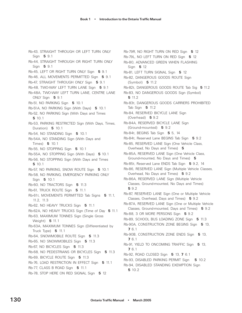Rb-43, STRAIGHT THROUGH OR LEFT TURN ONLY Sign **5** 9.1 Rb-44, STRAIGHT THROUGH OR RIGHT TURN ONLY Sign **5** 9.1 Rb-45, LEFT OR RIGHT TURN ONLY Sign **5** 9.1 Rb-46, ALL MOVEMENTS PERMITTED Sign **5** 9.1 Rb-47, STRAIGHT THROUGH ONLY Sign **5** 9.1 Rb-48, TWO-WAY LEFT TURN LANE Sign **5** 9.1 Rb-48A, TWO-WAY LEFT TURN LANE, CENTRE LANE ONLY Sign **5** 9.1 Rb-51, NO PARKING Sign **5** 10.1 Rb-51A, NO PARKING Sign (With Days) **5** 10.1 Rb-52, NO PARKING Sign (With Days and Times **5** 10.1 Rb-53, PARKING RESTRICTED Sign (With Days, Times, Duration) **5** 10.1 Rb-54, NO STANDING Sign **5** 10.1 Rb-54A, NO STANDING Sign (With Days and Times) **5** 10.1 Rb-55, NO STOPPING Sign **5** 10.1 Rb-55A, NO STOPPING Sign (With Days) **5** 10.1 Rb-56, NO STOPPING Sign (With Days and Times **5** 10.1 Rb-57, NO PARKING, SNOW ROUTE Sign **5** 10.1 Rb-58, NO PARKING, EMERGENCY PARKING ONLY Sign **5** 10.1 Rb-60, NO TRACTORS Sign **5** 11.3 Rb-61, TRUCK ROUTE Sign **5** 11.1 Rb-61t, MOVEMENTS PERMITTED Tab Signs **5** 11.1, 11.2, 11.3 Rb-62, NO HEAVY TRUCKS Sign **5** 11.1 Rb-62A, NO HEAVY TRUCKS Sign (Time of Day **5** 11.1 Rb-63, MAXIMUM TONNES Sign (Single Gross Weight) **5** 11.1 Rb-63A, MAXIMUM TONNES Sign (Differentiated by Truck Type) **5** 11.1 Rb-64, SNOWMOBILE ROUTE Sign **5** 11.3 Rb-65, NO SNOWMOBILES Sign **5** 11.3 Rb-67, NO BICYCLES Sign **5** 11.3 Rb-68, NO PEDESTRIANS OR BICYCLES Sign **5** 11.3 Rb-69, BICYCLE ROUTE Sign **5** 11.3 Rb-76, LOAD RESTRICTION IN EFFECT Sign **5** 11.1 Rb-77, CLASS B ROAD Sign **5** 11.1 Rb-78, STOP HERE ON RED SIGNAL Sign **5** 12

Rb-79R, NO RIGHT TURN ON RED Sign **5** 12 Rb-79L, NO LEFT TURN ON RED Sign **5** 12 Rb-80, ADVANCED GREEN WHEN FLASHING Sign **5** 12 Rb-81, LEFT TURN SIGNAL Sign **5** 12 Rb-82, DANGEROUS GOODS ROUTE Sign (Symbol) **5** 11.2 Rb-82t, DANGEROUS GOODS ROUTE Tab Sig **5** 11.2 Rb-83, NO DANGEROUS GOODS Sign (Symbol) **5** 11.2 Rb-83t, DANGEROUS GOODS CARRIERS PROHIBITED Tab Sign **5** 11.2 Rb-84, RESERVED BICYCLE LANE Sign (Overhead) **5** 9.2 Rb-84A, RESERVED BICYCLE LANE Sign (Ground-mounted) **5** 9.2 Rb-84t, BEGINS Tab Sign **5** 5, 14 Rb-84t, Reserved Lane BEGINS Tab Sign **5** 9.2 Rb-85, RESERVED LANE Sign (One Vehicle Class, Overhead, No Days and Times) **5** Rb-85A, RESERVED LANE Sign (One Vehicle Class, Ground-mounted, No Days and Times) **5** Rb-85t, Reserved Lane ENDS Tab Sign **5** 9.2, 14 Rb-86, RESERVED LANE Sign (Multiple Vehicle Classes, Overhead, No Days and Times) **5** 9.2 Rb-86A, RESERVED LANE Sign (Multiple Vehicle Classes, Ground-mounted, No Days and Times) **5** 9.2 Rb-87, RESERVED LANE Sign (One or Multiple Vehicle Classes, Overhead, Days and Times) **5** 9.2 Rb-87A, RESERVED LANE Sign (One or Multiple Vehicle Classes, Ground-mounted, Days and Times) **5** 9.2 Rb-88, 3 OR MORE PERSONS Sign **5** 9.2 Rb-89, SCHOOL BUS LOADING ZONE Sign **5** 11.3 Rb-90A, CONSTRUCTION ZONE BEGINS Sign **5** 13, **7** 6.1 Rb-90B, CONSTRUCTION ZONE ENDS Sign **5** 13, **7** 6.1 Rb-91, YIELD TO ONCOMING TRAFFIC Sign **5** 13, **7** 6.1 Rb-92, ROAD CLOSED Sign **5** 13, **7** 6.1 Rb-93, DISABLED PARKING PERMIT Sign **5** 10.2 Rb-94, DISABLED STANDING EXEMPTION Sign **5** 10.2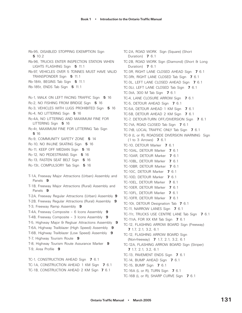**5** 10.2 Rb-96, TRUCKS ENTER INSPECTION STATION WHEN LIGHTS FLASHING Sign **5** 11.1 Rb-97, VEHICLES OVER 5 TONNES MUST HAVE VALID TRANSPONDER Sign **5** 11.1 Rb-184t, BEGINS Tab Sign **5** 11.1 Rb-185t, ENDS Tab Sign **5** 11.1 Rc-1, WALK ON LEFT FACING TRAFFIC Sign **5** 16 Rc-2, NO FISHING FROM BRIDGE Sign **5** 16 Rc-3, VEHICLES WITH LUGS PROHIBITED Sign **5** 16 Rc-4, NO LITTERING Sign **5** 16 Rc-4A, NO LITTERING AND MAXIMUM FINE FOR LITTERING Sign **5** 16 Rc-4t, MAXIMUM FINE FOR LITTERING Tab Sign **5** 16 Rc-9, COMMUNITY SAFETY ZONE **5** 14 Rc-10, NO IN-LINE SKATING Sign **5** 16 Rc-11, KEEP OFF MEDIAN Sign **5** 16 Rc-12, NO PEDESTRIANS Sign **5** 16 Rc-13, FASTEN SEAT BELT Sign **5** 16 Rc-13t, COMPULSORY Tab Sign **5** 16 T-1A, Freeway Major Attractions (Urban) Assembly and Panels **9** T-1B, Freeway Major Attractions (Rural) Assembly and Panels **9** T-2A, Freeway Regular Attractions (Urban) Assembly **9** T-2B, Freeway Regular Attractions (Rural) Assembly **9** T-3, Freeway Ramp Assembly **9** T-4A, Freeway Composite – 6 Icons Assembly **9** T-4B, Freeway Composite – 3 Icons Assembly **9** T-5, Highway Major & Regluar Attractions Assembly **9** T-6A, Highway Trailblazer (High Speed) Assembly **9** T-6B, Highway Trailblazer (Low Speed) Assembly **9** T-7, Highway Tourism Route **9** T-8, Highway Tourism Route Assurance Marker **9** T-9, Area Profile **9** TC-1, CONSTRUCTION AHEAD Sign **7** 6.1 TC-1A, CONSTRUCTION AHEAD 1 KM Sign **7** 6.1 TC-1B, CONSTRUCTION AHEAD 2 KM Sign **7** 6.1

Rb-95, DISABLED STOPPING EXEMPTION Sign

TC-2A, ROAD WORK Sign (Square) (Short Duration) **7** 6.1 TC-2B, ROAD WORK Sign (Diamond) (Short & Long Duration) **7** 6.1 TC-3R, RIGHT LANE CLOSED AHEAD Sign **7** 6.1 TC-3Rt, RIGHT LANE CLOSED Tab Sign **7** 6.1 TC-3L, LEFT LANE CLOSED AHEAD Sign **7** 6.1 TC-3Lt, LEFT LANE CLOSED Tab Sign **7** 6.1 TC-3tA, 300 M Tab Sign **7** 6.1 TC-4, LANE CLOSURE ARROW Sign **7** 6.1 TC-5, DETOUR AHEAD Sign **7** 6.1 TC-5A, DETOUR AHEAD 1 KM Sign **7** 6.1 TC-5B, DETOUR AHEAD 2 KM Sign **7** 6.1 TC-7, DETOUR-TURN OFF/DIVERSION Sign **7** 6.1 TC-7tA, ROAD CLOSED Tab Sign **7** 6.1 TC-7tB, LOCAL TRAFFIC ONLY Tab Sign **7** 6.1 TC-9 (L or R), ROADSIDE DIVERSION WARNING Sign (1 to 3 Arrows) **7** 6.1 TC-10, DETOUR Marker **7** 6.1 TC-10AL, DETOUR Marker **7** 6.1 TC-10AR, DETOUR Marker **7** 6.1 TC-10BL, DETOUR Marker **7** 6.1 TC-10BR, DETOUR Marker **7** 6.1 TC-10C, DETOUR Marker **7** 6.1 TC-10D, DETOUR Marker **7** 6.1 TC-10EL, DETOUR Marker **7** 6.1 TC-10ER, DETOUR Marker **7** 6.1 TC-10FL, DETOUR Marker **7** 6.1 TC-10FR, DETOUR Marker **7** 6.1 TC-10t, DETOUR Designation Tab **7** 6.1 TC-11, NARROW LANES Sign **7** 6.1 TC-11t, TRUCKS USE CENTRE LANE Tab Sign **7** 6.1 TC-11tA, FOR XX KM Tab Sign **7** 6.1 TC-12, FLASHING ARROW BOARD Sign (Freeway) **7** 1.7, 2.1, 3.2, 6.1 TC-12, FLASHING ARROW BOARD Sign (Non-freeway) **7** 1.7, 2.1, 3.2, 6.1 TC-12A, FLASHING ARROW BOARD Sign (Striper) **7** 1.7, 2.1, 3.2, 6.1 TC-13, PAVEMENT ENDS Sign **7** 6.1 TC-14, BUMP AHEAD Sign **7** 6.1 TC-15, BUMP Sign **7** 6.1 TC-16A (L or R), TURN Sign **7** 6.1

TC-16B (L or R), SHARP CURVE Sign **7** 6.1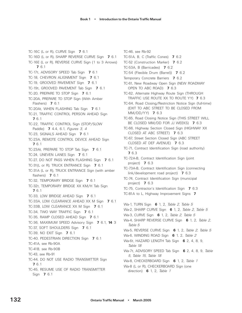TC-16C (L or R), CURVE Sign **7** 6.1 TC-16D (L or R), SHARP REVERSE CURVE Sign **7** 6.1 TC-16E (L or R), REVERSE CURVE Sign (1 to 3 Arrows) **7** 6.1 TC-17t, ADVISORY SPEED Tab Sign **7** 6.1 TC-18, CHEVRON ALIGNMENT Sign **7** 6.1 TC-19, GROOVED PAVEMENT Sign **7** 6.1 TC-19t, GROOVED PAVEMENT Tab Sign **7** 6.1 TC-20, PREPARE TO STOP Sign **7** 6.1 TC-20A, PREPARE TO STOP Sign (With Amber Flashers) **7** 6.1 TC-20At, WHEN FLASHING Tab Sign **7** 6.1 TC-21, TRAFFIC CONTROL PERSON AHEAD Sign **7** 6.1 TC-22, TRAFFIC CONTROL Sign (STOP/SLOW Paddle) **7** 4.4, 6.1, *Figures 3, 4* TC-23, SIGNALS AHEAD Sign **7** 6.1 TC-23A, REMOTE CONTROL DEVICE AHEAD Sign **7** 6.1 TC-23At, PREPARE TO STOP Tab Sign **7** 6.1 TC-24, UNEVEN LANES Sign **7** 6.1 TC-27, DO NOT PASS WHEN FLASHING Sign **7** 6.1 TC-31(L or R), TRUCK ENTRANCE Sign **7** 6.1 TC-31A (L or R), TRUCK ENTRANCE Sign (with amber flashers) **7** 6.1 TC-32, TEMPORARY BRIDGE Sign **7** 6.1 TC-32t, TEMPORARY BRIDGE XX KM/H Tab Sign **7** 6.1 TC-33, LOW BRIDGE AHEAD Sign **7** 6.1 TC-33A, LOW CLEARANCE AHEAD XX M Sign **7** 6.1 TC-33B, LOW CLEARANCE XX M Sign **7** 6.1 TC-34, TWO WAY TRAFFIC Sign **7** 6.1 TC-35, RAMP CLOSED AHEAD Sign **7** 6.1 TC-36, MAXIMUM SPEED Advisory Sign **7** 6.1, **14** 3 TC-37, SOFT SHOULDERS Sign **7** 6.1 TC-39, NO EXIT Sign **7** 6.1 TC-40, PEDESTRIAN DIRECTION Sign **7** 6.1 TC-41A, see Rb-90A TC-41B, see Rb-90B TC-43, see Rb-91 TC-44, DO NOT USE RADIO TRANSMITTER Sign **7** 6.1 TC-45, RESUME USE OF RADIO TRANSMITTER Sign **7** 6.1

TC-46, see Rb-92

- TC-51A, B, C (Traffic Cones) **7** 6.2
- TC-52 (Construction Marker) **7** 6.2
- TC-53A, B (Barricades) **7** 6.2
- TC-54 (Flexible Drum (Barrel)) **7** 6.2
- Temporary Concrete Barriers **7** 6.2
- TC-61, New Roadway Open Sign (NEW ROADWAY OPEN TO ABC ROAD) **7** 6.3
- TC-62, Alternate Highway Route Sign (THROUGH TRAFFIC USE ROUTE XX TO ROUTE YY) **7** 6.3
- TC-64, Road Closing/Restriction Notice Sign (full-time) (EXIT TO ABC STREET TO BE CLOSED FROM MM/DD/YY) **7** 6.3
- TC-65, Road Closing Notice Sign (THIS STREET WILL BE CLOSED MM/DD FOR JJ WEEKS) **7** 6.3
- TC-66, Highway Section Closed Sign (HIGHWAY XX CLOSED AT ABC STREET) **7** 6.3
- TC-67, Street Section Closed Sign (ABC STREET CLOSED AT DEF AVENUE) **7** 6.3
- TC-71, Contract Identification Sign (road authority) **7** 6.3
- TC-72A-B, Contract Identification Sign (joint project) **7** 6.3
- TC-73A-B, Contract Identification Sign (connecting link/development road project) **7** 6.3
- TC-74, Contract Identification Sign (municipal project) **7** 6.3
- TC-75, Contractor's Identification Sign **7** 6.3
- TC-81A to L, Highway Improvement Signs **7**
- Wa-1, TURN Sign **6** 1, 2, *Table 2*, *Table 5*
- Wa-2, SHARP CURVE Sign **6** 1, 2, *Table 2*, *Table 5*
- Wa-3, CURVE Sign **6** 1, 2, *Table 2*, *Table 5*
- Wa-4, SHARP REVERSE CURVE Sign **6** 1, 2, *Table 2*, *Table 5*
- Wa-5, REVERSE CURVE Sign **6** 1, 2, *Table 2*, *Table 5*
- Wa-6, WINDING ROAD Sign **6** 1, 2, *Table 2*
- Wa-6t, HAZARD LENGTH Tab Sign **6** 2, 4, 8, 9, *Table 18*
- Wa-7t, ADVISORY SPEED Tab Sign **6** 2, 4, 8, 9, *Table 5*, *Table 15*, *Table 18*
- Wa-8, CHECKERBOARD Sign **6** 1, 2, *Table 1*

Wa-8 (L or R), CHECKERBOARD Sign (one direction) **6** 1, 2, *Table 1*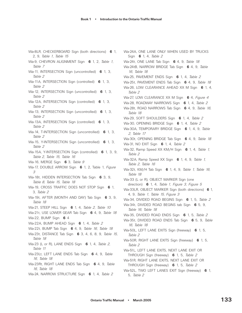- Wa-8LR, CHECKERBOARD Sign (both directions) **6** 1, 2, 9, *Table 1*, *Table 15*
- Wa-9, CHEVRON ALIGNMENT Sign **6** 1, 2, *Table 1*, *Table 7*
- Wa-11, INTERSECTION Sign (uncontrolled) **6** 1, 3, *Table 2*
- Wa-11A, INTERSECTION Sign (controlled) **6** 1, 3, *Table 2*
- Wa-12, INTERSECTION Sign (uncontrolled) **6** 1, 3, *Table 2*
- Wa-12A, INTERSECTION Sign (controlled) **6** 1, 3, *Table 2*
- Wa-13, INTERSECTION Sign (uncontrolled) **6** 1, 3, *Table 2*
- Wa-13A, INTERSECTION Sign (controlled) **6** 1, 3, *Table 2*
- Wa-14, T-INTERSECTION Sign (uncontrolled) **6** 1, 3, *Table 2*
- Wa-15, Y-INTERSECTION Sign (uncontrolled) **6** 1, 3, *Table 2*
- Wa-15A, Y-INTERSECTION Sign (controlled) **6** 1, 3, 9, *Table 2*, *Table 15*, *Table 16*
- Wa-16, MERGE Sign **6** 3, *Table 9*
- Wa-17, DOUBLE ARROW Sign **6** 1, 2, Table 1, *Figure 3*
- Wa-18t, HIDDEN INTERSECTION Tab Sign **6** 3, 9, *Table 8*, *Table 15*, *Table 18*
- Wa-19, CROSS TRAFFIC DOES NOT STOP Sign **6** 1, 3, *Table 2*
- Wa-19t, AFTER (MONTH AND DAY) Tab Sign **6** 3, 9, *Table 18*
- Wa-21, STEEP HILL Sign **6** 1, 4, *Table 2*, *Table 10*
- Wa-21t, USE LOWER GEAR Tab Sign **6** 4, 9, *Table 18* Wa-22, BUMP Sign **6** 4
- Wa-22A, BUMP AHEAD Sign **6** 1, 4, *Table 2*
- Wa-22t, BUMP Tab Sign **6** 4, 9, *Table 16*, *Table 18*
- Wa-23t, DISTANCE Tab Sign **6** 3, 4, 6, 8, 9, *Table 15*, *Table 18*
- Wa-23 (L or R), LANE ENDS Sign **6** 1, 4, *Table 2*, *Table 11*
- Wa-23Lt, LEFT LANE ENDS Tab Sign **6** 4, 9, *Table 16*, *Table 18*
- Wa-23Rt, RIGHT LANE ENDS Tab Sign **6** 4, 9, *Table 16*, *Table 18*
- Wa-24, NARROW STRUCTURE Sign **6** 1, 4, *Table 2*

Wa-24A, ONE LANE ONLY WHEN USED BY TRUCKS Sign **6** 1, 4, *Table 2* Wa-24t, ONE LANE Tab Sign **6** 4, 9, *Table 18* Wa-24tB, NARROW BRIDGE Tab Sign **6** 4, 9, *Table 16*, *Table 18* Wa-25, PAVEMENT ENDS Sign **6** 1, 4, *Table 2* Wa-25t, PAVEMENT ENDS Tab Sign **6** 4, 9, *Table 18* Wa-26, LOW CLEARANCE AHEAD XX M Sign **6** 1, 4, *Table 2* Wa-27, LOW CLEARANCE XX M Sign **6** 4, *Figure 4* Wa-28, ROADWAY NARROWS Sign **6** 1, 4, *Table 2* Wa-28t, ROAD NARROWS Tab Sign **6** 4, 9, *Table 16*, *Table 18* Wa-29, SOFT SHOULDERS Sign **6** 1, 4, *Table 2* Wa-30, OPENING BRIDGE Sign **6** 1, 4, *Table 2* Wa-30A, TEMPORARY BRIDGE Sign **6** 1, 4, 9, *Table 2*, *Table 17* Wa-30t, OPENING BRIDGE Tab Sign **6** 4, 9, *Table 18* Wa-31, NO EXIT Sign **6** 1, 4, *Table 2* Wa-32, Ramp Speed XX KM/H Sign **6** 1, 4, *Table 1, Table 2* Wa-32A, Ramp Speed XX Sign **6** 1, 4, 9, *Table 1, Table 2*, *Table 16* Wa-32t, KM/H Tab Sign **6** 1, 4, 9, *Table 1, Table 16*, *Table 18* Wa-33 (L or R), OBJECT MARKER Sign (one direction) **6** 1, 4, *Table 1*, *Figure 3*, *Figure 5* Wa-33LR, OBJECT MARKER Sign (both directions) **6** 1, 4, 9, *Table 1*, *Table 15*, *Figure 3* Wa-34, DIVIDED ROAD BEGINS Sign **6** 1, 5, *Table 2* Wa-34t, DIVIDED ROAD BEGINS tab Sign **6** 5, 9, *Table 16*, *Table 18* Wa-35, DIVIDED ROAD ENDS Sign **6** 1, 5, *Table 2* Wa-35t, DIVIDED ROAD ENDS Tab Sign **6** 5, 9, *Table 16*, *Table 18* Wa-50L, LEFT LANE EXITS Sign (freeway) **6** 1, 5, *Table 2* Wa-50R, RIGHT LANE EXITS Sign (freeway) **6** 1, 5, *Table 2* Wa-51L, LEFT LANE EXITS, NEXT LANE EXIT OR THROUGH Sign (freeway) **6** 1, 5, *Table 2* Wa-51R, RIGHT LANE EXITS, NEXT LANE EXIT OR THROUGH Sign (freeway) **6** 1, 5, *Table 2*

Wa-52L, TWO LEFT LANES EXIT Sign (freeway) **6** 1, 5, *Table 2*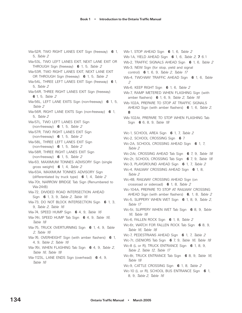Wa-52R, TWO RIGHT LANES EXIT Sign (freeway) **6** 1, 5, *Table 2* Wa-53L, TWO LEFT LANES EXIT, NEXT LANE EXIT OR THROUGH Sign (freeway) **6** 1, 5, *Table 2* Wa-53R, TWO RIGHT LANES EXIT, NEXT LANE EXIT OR THROUGH Sign (freeway) **6** 1, 5, *Table 2* Wa-54L, THREE LEFT LANES EXIT Sign (freeway) **6** 1, 5, *Table 2* Wa-54R, THREE RIGHT LANES EXIT Sign (freeway) **6** 1, 5, *Table 2* Wa-56L, LEFT LANE EXITS Sign (non-freeway) **6** 1, 5, *Table 2* Wa-56R, RIGHT LANE EXITS Sign (non-freeway) **6** 1, 5, *Table 2* Wa-57L, TWO LEFT LANES EXIT Sign (non-freeway) **6** 1, 5, *Table 2* Wa-57R, TWO RIGHT LANES EXIT Sign (non-freeway) **6** 1, 5, *Table 2* Wa-58L, THREE LEFT LANES EXIT Sign (non-freeway) **6** 1, 5, *Table 2* Wa-58R, THREE RIGHT LANES EXIT Sign (non-freeway) **6** 1, 5, *Table 2* Wa-63, MAXIMUM TONNES ADVISORY Sign (single gross weight) **6** 1, 4, *Table 2* Wa-63A, MAXIMUM TONNES ADVISORY Sign (differentiated by truck type) **6** 1, 4, *Table 2* Wa-70t, NARROW BRIDGE Tab Sign (Renumbered to Wa-24tB) Wa-72, DIVIDED ROAD INTERSECTION AHEAD Sign **6** 1, 3, 9, *Table 2*, *Table 16* Wa-73, DO NOT BLOCK INTERSECTION Sign **6** 1, 3, 9, *Table 2*, *Table 16* Wa-74, SPEED HUMP Sign **6** 4, 9, *Table 16* Wa-74t, SPEED HUMP Tab Sign **6** 4, 9, *Table 16*, *Table 18* Wa-75, TRUCK OVERTURNING Sign **6** 1, 4, 9, *Table 2*, *Table 16* Wa-76, OVERHEIGHT Sign (with amber flashers) **6** 1, 4, 9, *Table 2*, *Table 16* Wa-76t, WHEN FLASHING Tab Sign **6** 4, 9, *Table 2*, *Table 16*, *Table 18* Wa-1123L, LANE ENDS Sign (overhead) **6** 4, 9, *Table 16*

- Wb-1, STOP AHEAD Sign **6** 1, 6, *Table 2*
- Wb-1A, YIELD AHEAD Sign **6** 1, 6, *Table 2,* **7** 6.1
- Wb-2, TRAFFIC SIGNALS AHEAD Sign **6** 1, 6, *Table 2*
- Wb-3, NEW Sign (for stop, yield and signal

control) **6** 1, 6, 9, *Table 2*, *Table 17*

- Wb-4, TWO-WAY TRAFFIC AHEAD Sign **6** 1, 6, *Table 2*
- Wb-6, KEEP RIGHT Sign **6** 1, 6, *Table 2*
- Wb-7, RAMP METERED WHEN FLASHING Sign (with amber flashers) **6** 1, 6, 9, *Table 2*, *Table 16*
- Wb-102A, PREPARE TO STOP AT TRAFFIC SIGNALS AHEAD Sign (with amber flashers) **6** 1, 6, *Table 2,* **8**

Wb-102At, PREPARE TO STOP WHEN FLASHING Tab Sign **6** 6, 8, 9, *Table 18*

- Wc-1, SCHOOL AREA Sign **6** 1, 7, *Table 2*
- Wc-2, SCHOOL CROSSING Sign **6** 7
- Wc-2A, SCHOOL CROSSING AHEAD Sign **6** 1, 7, *Table 2*
- Wc-2At, CROSSING AHEAD Tab Sign **6** 7, 9, *Table 18*
- Wc-2t, SCHOOL CROSSING Tab Sign **6** 7, 9, *Table 18*
- Wc-3, PLAYGROUND AHEAD Sign **6** 1, 7, *Table 2*
- Wc-4, RAILWAY CROSSING AHEAD Sign **6** 1, 8, *Table 2*
- Wc-4B, RAILWAY CROSSING AHEAD Sign (on crossroad or sideroad) **6** 1, 8, *Table 2*
- Wc-104A, PREPARE TO STOP AT RAILWAY CROSSING AHEAD Sign (with amber flashers) **6**, 1, 8, *Table 2*
- Wc-5, SLIPPERY WHEN WET Sign **6** 1, 8, 9, *Table 2*, *Table 17*
- Wc-5t, SLIPPERY WHEN WET Tab Sign **6** 8, 9, *Table 16*, *Table 18*
- Wc-6, FALLEN ROCK Sign **6** 1, 8, *Table 2*
- Wc-6t, WATCH FOR FALLEN ROCK Tab Sign **6** 8, 9, *Table 16*, *Table 18*
- Wc-7, PEDESTRIANS AHEAD Sign **6** 1, 7, *Table 2*
- Wc-7t, (SENIORS Tab Sign **6** 7, 9, *Table 16*, *Table 18*
- Wc-8 (L or R), TRUCK ENTRANCE Sign **6** 1, 8, 9, *Table 2*, *Table 12*, *Table 17*
- Wc-8t, TRUCK ENTRANCE Tab Sign **6** 8, 9, *Table 16*, *Table 18*
- Wc-9, CATTLE CROSSING Sign **6** 1, 8, *Table 2*
- Wc-10 (L or R), SCHOOL BUS ENTRANCE Sign **6** 1, 8, 9, *Table 2*, *Table 16*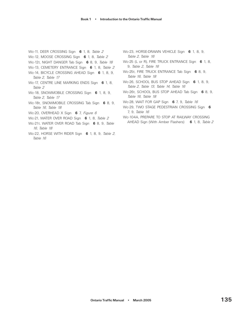Wc-11, DEER CROSSING Sign **6** 1, 8, *Table 2*

Wc-12, MOOSE CROSSING Sign **6** 1, 8, *Table 2*

- Wc-12t, NIGHT DANGER Tab Sign **6** 8, 9, *Table 18*
- Wc-13, CEMETERY ENTRANCE Sign **6** 1, 8, *Table 2*
- Wc-14, BICYCLE CROSSING AHEAD Sign **6** 1, 8, 9, *Table 2*, *Table 17*
- Wc-17, CENTRE LINE MARKING ENDS Sign **6** 1, 8, *Table 2*
- Wc-18, SNOWMOBILE CROSSING Sign **6** 1, 8, 9, *Table 2*, *Table 17*
- Wc-18t, SNOWMOBILE CROSSING Tab Sign **6** 8, 9, *Table 16*, *Table 18*
- Wc-20, OVERHEAD X Sign **6** 7, *Figure 6*
- Wc-21, WATER OVER ROAD Sign **6** 1, 8, *Table 2*
- Wc-21t, WATER OVER ROAD Tab Sign **6** 8, 9, *Table 16*, *Table 18*
- Wc-22, HORSE WITH RIDER Sign **6** 1, 8, 9, *Table 2*, *Table 16*
- Wc-23, HORSE-DRAWN VEHICLE Sign **6** 1, 8, 9, *Table 2*, *Table 16*
- Wc-25 (L or R), FIRE TRUCK ENTRANCE Sign **6** 1, 8, 9, *Table 2*, *Table 16*
- Wc-25t, FIRE TRUCK ENTRANCE Tab Sign **6** 8, 9, *Table 16*, *Table 18*
- Wc-26, SCHOOL BUS STOP AHEAD Sign **6** 1, 8, 9, *Table 2*, *Table 13*, *Table 14*, *Table 16*
- Wc-26t, SCHOOL BUS STOP AHEAD Tab Sign **6** 8, 9, *Table 16*, *Table 18*
- Wc-28, WAIT FOR GAP Sign **6** 7, 9, *Table 16*
- Wc-29, TWO STAGE PEDESTRIAN CROSSING Sign **6** 7, 9, *Table 16*
- Wc-104A, PREPARE TO STOP AT RAILWAY CROSSING AHEAD Sign (With Amber Flashers) **6** 1, 8, *Table 2*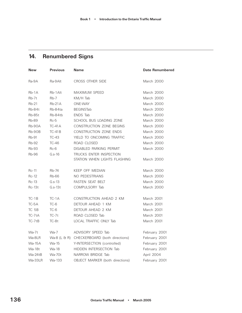# **14. Renumbered Signs**

| New          | <b>Previous</b> | <b>Name</b>                                 | <b>Date Renumbered</b> |
|--------------|-----------------|---------------------------------------------|------------------------|
| Ra-9A        | Ra-9Alt         | CROSS OTHER SIDE                            | March 2000             |
| $Rb-1A$      | Rb-1Alt         | MAXIMUM SPEED                               | March 2000             |
| $Rb-7t$      | $Rb-7$          | KM/H Tab                                    | March 2000             |
| $Rb-21$      | $Rb-21A$        | ONE-WAY                                     | March 2000             |
| $Rb-84t$     | Rb-84ta         | <b>BEGINSTab</b>                            | March 2000             |
| $Rb-85t$     | Rb-84tb         | ENDS Tab                                    | March 2000             |
| <b>Rb-89</b> | $Rc-5$          | SCHOOL BUS LOADING ZONE                     | March 2000             |
| Rb-90A       | $TC-41A$        | CONSTRUCTION ZONE BEGINS                    | March 2000             |
| Rb-90B       | <b>TC-41B</b>   | CONSTRUCTION ZONE ENDS                      | March 2000             |
| Rb-91        | TC-43           | YIELD TO ONCOMING TRAFFIC                   | March 2000             |
| <b>Rb-92</b> | TC-46           | ROAD CLOSED                                 | March 2000             |
| Rb-93        | $Rc-6$          | DISABLED PARKING PERMIT                     | March 2000             |
| $Rb-96$      | $G.S-16$        | TRUCKS ENTER INSPECTION                     |                        |
|              |                 | STATION WHEN LIGHTS FLASHING                | March 2000             |
| Rc-11        | Rb-74           | KEEP OFF MEDIAN                             | March 2000             |
| $Rc-12$      | $Rb-66$         | NO PEDESTRIANS                              | March 2000             |
| Rc-13        | $G.s-13$        | <b>FASTEN SEAT BELT</b>                     | March 2000             |
| $Rc-13t$     | $G.s-13t$       | <b>COMPULSORY Tab</b>                       | March 2000             |
| $TC-1B$      | $TC-1A$         | CONSTRUCTION AHEAD 2 KM                     | March 2001             |
| $TC-5A$      | $TC-6$          | <b>DETOUR AHEAD 1 KM</b>                    | March 2001             |
| TC 5B        | $TC-6$          | DETOUR AHEAD 2 KM                           | March 2001             |
| TC-7tA       | $TC-7t$         | ROAD CLOSED Tab                             | March 2001             |
| $TC-7tB$     | TC-8t           | LOCAL TRAFFIC ONLY Tab                      | March 2001             |
| Wa-7t        | $Wa-7$          | ADVISORY SPEED Tab                          | February 2001          |
| Wa-8LR       |                 | Wa-8 (L & R) CHECKERBOARD (both directions) | February 2001          |
| Wa-15A       | Wa-15           | Y-INTERSECTION (controlled)                 | February 2001          |
| Wa-18t       | Wa-18           | HIDDEN INTERSECTION Tab                     | February 2001          |
| $Wa-24tB$    | Wa-70t          | NARROW BRIDGE Tab                           | April 2004             |
| Wa-33LR      | Wa-133          | OBJECT MARKER (both directions)             | February 2001          |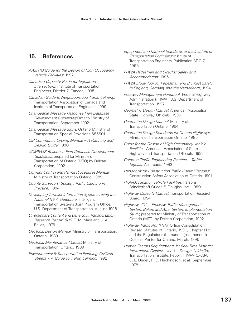#### **15. References**

- *AASHTO Guide for the Design of High Occupancy Vehicle Facilities;* 1992
- *Canadian Capacity Guide for Signalized Intersections;* Institute of Transportation Engineers, District 7, Canada, 1995
- *Canadian Guide to Neighbourhood Traffic Calming;* Transportation Association of Canada and Institute of Transportation Engineers, 1999
- *Changeable Message Response Plan Database Development Guidelines;* Ontario Ministry of Transportation, September 1992
- *Changeable Message Signs;* Ontario Ministry of Transportation Special Provisions 685S01
- *CIP Community Cycling Manual A Planning and Design Guide;* 1990
- *COMPASS Response Plan Database Development Guidelines;* prepared for Ministry of Transportation of Ontario (MTO) by Delcan Corporation, 1992
- *Corridor Control and Permit Procedures Manual;* Ministry of Transportation Ontario, 1989
- *County Surveyors' Society: Traffic Calming In Practice;* 1994
- *Developing Traveller Information Systems Using the National ITS Architecture;* Intelligent Transportation Systems Joint Program Office, U.S. Department of Transportation, August 1998
- *Diversionary Content and Behaviour, Transportation Research Record 600;* T. M. Mast and J. A. Ballas, 1976
- *Electrical Design Manual;* Ministry of Transportation, Ontario, 1989
- *Electrical Maintenance Manual;* Ministry of Transportation, Ontario, 1989
- *Environmental & Transportation Planning: Civilized Streets – A Guide to Traffic Calming;* 1992
- *Equipment and Material Standards of the Institute of Transportation Engineers;* Institute of Transportation Engineers, Publication ST-017, 1995
- *FHWA Pedestrian and Bicyclist Safety and Accommodation;* 1996
- *FHWA Study Tour for Pedestrian and Bicyclist Safety in England, Germany and the Netherlands;* 1994
- *Freeway Management Handbook;* Federal Highway Administration (FHWA), U.S. Department of Transportation, 1997
- *Geometric Design Manual;* American Association State Highway Officials, 1996
- *Geometric Design Manual;* Ministry of Transportation Ontario, 1994
- *Geometric Design Standards for Ontario Highways;* Ministry of Transportation Ontario, 1985
- *Guide for the Design of High Occupancy Vehicle Facilities;* American Association of State Highway and Transportation Officials, 1992
- *Guide to Traffic Engineering Practice Traffic Signals;* Austroads, 1993
- *Handbook for Construction Traffic Control Persons;* Construction Safety Association of Ontario, 1991
- *High-Occupancy Vehicle Facilities;* Parsons Brinckerhoff Quade & Douglas, Inc., 1990
- *Highway Capacity Manual;* Transportation Research Board, 1994
- *Highway 401 Freeway Traffic Management System Before and After System Implementation Study;* prepared for Ministry of Transportation of Ontario (MTO) by Delcan Corporation, 1992
- *Highway Traffic Act (HTA);* Office Consolidation, Revised Statutes of Ontario, 1990, Chapter H.8 and the Regulations thereunder (as amended), Queen's Printer for Ontario, March, 1996
- *Human Factors Requirements for Real-Time Motorist Information Displays, vol. 1 – Design Guide;* Texas Transportation Institute, Report FHWA-RD-78-5, C. L. Dudek, R. D. Huchingson, et al., September 1978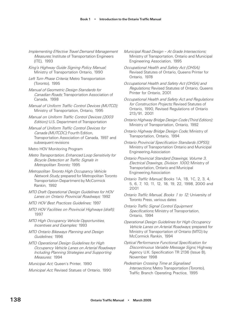- *Implementing Effective Travel Demand Management Measures;* Institute of Transportation Engineers (ITE), 1993
- *King's Highway Guide Signing Policy Manual;* Ministry of Transportation Ontario, 1990
- *Left Turn Phase Criteria;* Metro Transportation (Toronto), 1995
- *Manual of Geometric Design Standards for Canadian Roads;* Transportation Association of Canada, 1998
- *Manual of Uniform Traffic Control Devices (MUTCD);* Ministry of Transportation, Ontario, 1995
- *Manual on Uniform Traffic Control Devices (2003 Edition);* U.S. Department of Transportation
- *Manual of Uniform Traffic Control Devices for Canada (MUTCDC);* Fourth Edition, Transportation Association of Canada, 1997 and subsequent revisions
- Metro HOV Monitoring Program
- *Metro Transportation, Enhanced Loop Sensitivity for Bicycle Detection at Traffic Signals in Metropolitan Toronto;* 1995
- *Metropolitan Toronto High Occupancy Vehicle Network Study;* prepared for Metropolitan Toronto Transportation Department by McCormick Rankin, 1992
- *MTO Draft Operational Design Guidelines for HOV Lanes on Ontario Provincial Roadways;* 1992
- *MTO HOV Best Practices Guidelines;* 1997
- *MTO HOV Facilities on Provincial Highways (draft);* 1997
- *MTO High Occupancy Vehicle Opportunities, Incentives and Examples;* 1993
- *MTO Ontario Bikeways Planning and Design Guidelines;* 1996
- *MTO Operational Design Guidelines for High Occupancy Vehicle Lanes on Arterial Roadways Including Planning Strategies and Supporting Measures;* 1994
- *Municipal Act;* Queen's Printer, 1990
- *Municipal Act;* Revised Statues of Ontario, 1990
- *Municipal Road Design At Grade Intersections;* Ministry of Transportation, Ontario and Municipal Engineering Association, 1995
- *Occupational Health and Safety Act (OHSA);* Revised Statutes of Ontario, Queens Printer for Ontario, 1978
- *Occupational Health and Safety Act (OHSA) and Regulations;* Revised Statutes of Ontario, Queens Printer for Ontario, 2001
- *Occupational Health and Safety Act and Regulations for Construction Projects;* Revised Statutes of Ontario, 1990, Revised Regulations of Ontario 213/91, 2001
- *Ontario Highway Bridge Design Code (Third Edition);* Ministry of Transportation, Ontario, 1992
- *Ontario Highway Bridge Design Code;* Ministry of Transportation, Ontario, 1994
- *Ontario Provincial Specification Standards (OPSS);* Ministry of Transportation Ontario and Municipal Engineering Association
- *Ontario Provincial Standard Drawings*, *Volume 3, Electrical Drawings, Division 1000;* Ministry of Transportation, Ontario and Municipal Engineering Association
- *Ontario Traffic Manual;* Books 1A, 1B, 1C, 2, 3, 4, 5, 6, 7, 10, 11, 12, 18, 19, 22, 1998, 2000 and 2001
- *Ontario Traffic Manual, Books 1 to 12;* University of Toronto Press, various dates
- *Ontario Traffic Signal Control Equipment Specifications;* Ministry of Transportation, Ontario, 1994
- *Operational Design Guidelines for High Occupancy Vehicle Lanes on Arterial Roadways;* prepared for Ministry of Transportation of Ontario (MTO) by McCormick Rankin, 1994
- *Optical Performance Functional Specification for Discontinuous Variable Message Signs;* Highway Agency U.K. Specification TR 2136 (Issue B), November 1998
- *Pedestrian Crossing Time at Signalised Intersections;* Metro Transportation (Toronto), Traffic Branch Operating Practice, 1995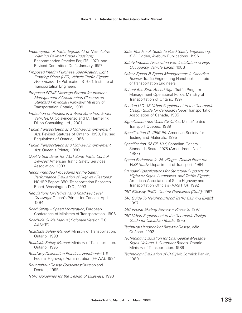- *Preemeption of Traffic Signals At or Near Active Warning Railroad Grade Crossings;* Recommended Practice For, ITE, 1979, and Revised Committee Draft, January 1997
- *Proposed Interim Purchase Specification: Light Emitting Diode (LED) Vehicle Traffic Signals Assemblies;* ITE Publication ST-021, Institute of Transportation Engineers
- *Proposed PCMS Message Format for Incident Management / Construction Closures on Standard Provincial Highways;* Ministry of Transportation Ontario, 1999
- *Protection of Workers in a Work Zone from Errant Vehicles;* O. Colavincenzo and M. Harmelink, Dillon Consulting Ltd., 2001
- *Public Transportation and Highway Improvement Act;* Revised Statutes of Ontario, 1990, Revised Regulations of Ontario, 1986
- *Public Transportation and Highway Improvement Act;* Queen's Printer, 1990
- *Quality Standards for Work Zone Traffic Control Devices;* American Traffic Safety Services Association, 1993
- *Recommended Procedures for the Safety Performance Evaluation of Highway Features;* NCHRP Report 350, Transportation Research Board, Washington D.C., 1993
- *Regulations for Railway and Roadway Level Crossings;* Queen's Printer for Canada, April 1994
- *Road Safety Speed Moderation;* European Conference of Ministers of Transportation, 1996
- *Roadside Guide Manual;* Software Version 5.0, AASHTO
- *Roadside Safety Manual;* Ministry of Transportation, Ontario, 1993
- *Roadside Safety Manual;* Ministry of Transportation, Ontario, 1995
- *Roadway Delineation Practices Handbook;* U. S. Federal Highways Administration (FHWA), 1994
- *Roundabout Design Guidelines;* Ourston and Doctors, 1995
- *RTAC Guidelines for the Design of Bikeways;* 1993
- *Safer Roads A Guide to Road Safety Engineering;* K.W. Ogden, Avebury Publications, 1996
- *Safety Impacts Associated with Installation of High Occupancy Vehicle Lanes;* 1988
- *Safety, Speed & Speed Management: A Canadian Review;* Traffic Engineering Handbook; Institute of Transportation Engineers
- *School Bus Stop Ahead Sign;* Traffic Program Management Operational Policy, Ministry of Transportation of Ontario, 1997
- *Section U.D. 18 Urban Supplement to the Geometric Design Guide for Canadian Roads;* Transportation Association of Canada, 1995
- *Signalisation des Voies Cyclables;* Ministère des Transport Quebec, 1989
- *Specification D 4956-95;* American Society for Testing and Materials, 1995
- *Specification 62-GP-11M;* Canadian General Standards Board, 1978 (Amendment No. 1, 1987)
- *Speed Reduction in 24 Villages: Details From the VISP Study;* Department of Transport, 1994
- *Standard Specifications for Structural Supports for Highway Signs, Luminaires, and Traffic Signals;* American Association of State Highway and Transportation Officials (AASHTO), 1992
- *TAC Bikeway Traffic Control Guidelines (Draft);* 1997
- *TAC Guide To Neighbourhood Traffic Calming (Draft);* 1997
- *TAC In-Line Skating Review Phase 2;* 1997
- *TAC Urban Supplement to the Geometric Design Guide for Canadian Roads;* 1995
- *Technical Handbook of Bikeway Design;* Vélo Québec, 1992
- *Technology Evaluation for Changeable Message Signs, Volume 1, Summary Report;* Ontario Ministry of Transportation, 1989
- *Technology Evaluation of CMS;* McCormick Rankin, 1989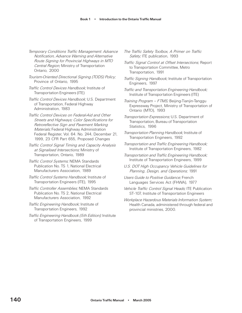- *Temporary Conditions Traffic Management: Advance Notification, Advance Warning and Alternative Route Signing for Provincial Highways in MTO Central Region;* Ministry of Transportation Ontario, 2000
- *Tourism-Oriented Directional Signing (TODS) Policy;* Province of Ontario, 1995
- *Traffic Control Devices Handbook;* Institute of Transportation Engineers (ITE)
- *Traffic Control Devices Handbook;* U.S. Department of Transportation, Federal Highway Administration, 1983
- *Traffic Control Devices on Federal-Aid and Other Streets and Highways; Color Specifications for Retroreflective Sign and Pavement Marking Materials;* Federal Highway Administration Federal Register, Vol. 64. No. 244, December 21, 1999, 23 CFR Part 655, Proposed Changes
- *Traffic Control Signal Timing and Capacity Analysis at Signalised Intersections;* Ministry of Transportation, Ontario, 1989
- *Traffic Control Systems;* NEMA Standards Publication No. TS 1, National Electrical Manufacturers Association, 1989
- *Traffic Control Systems Handbook;* Institute of Transportation Engineers (ITE), 1995
- *Traffic Controller Assemblies;* NEMA Standards Publication No. TS 2, National Electrical Manufacturers Association, 1992
- *Traffic Engineering Handbook;* Institute of Transportation Engineers, 1992
- *Traffic Engineering Handbook (5th Edition);* Institute of Transportation Engineers, 1999
- *The Traffic Safety Toolbox, A Primer on Traffic Safety;* ITE publication, 1993
- *Traffic Signal Control at Offset Intersections;* Report to Transportation Committee, Metro Transportation, 1991
- *Traffic Signing Handbook;* Institute of Transportation Engineers, 1997
- *Traffic and Transportation Engineering Handbook;* Institute of Transportation Engineers (ITE)
- *Training Program FTMS;* Beijing-Tianjin-Tanggu Expressway Project, Ministry of Transportation of Ontario (MTO), 1993
- *Transportation Expressions;* U.S. Department of Transportation, Bureau of Transportation Statistics, 1996
- *Transportation Planning Handbook;* Institute of Transportation Engineers, 1992
- *Transportation and Traffic Engineering Handbook;* Institute of Transportation Engineers, 1982
- *Transportation and Traffic Engineering Handbook;* Institute of Transportation Engineers, 1999
- *U.S. DOT High Occupancy Vehicle Guidelines for Planning, Design, and Operations;* 1991
- *Users Guide to Positive Guidance;* French Languages Services Act (FHWA), 1977
- *Vehicle Traffic Control Signal Heads;* ITE Publication ST-107, Institute of Transportation Engineers
- *Workplace Hazardous Materials Information System;* Health Canada, administered through federal and provincial ministries, 2000.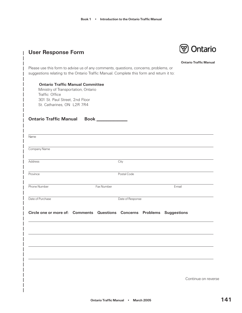

# **User Response Form**

**Ontario Traffic Manual**

Please use this form to advise us of any comments, questions, concerns, problems, or suggestions relating to the Ontario Traffic Manual. Complete this form and return it to:

### **Ontario Traffic Manual Committee**

Ministry of Transportation, Ontario Traffic Office 301 St. Paul Street, 2nd Floor St. Catharines, ON L2R 7R4

|  | <b>Ontario Traffic Manual</b> | Book |  |
|--|-------------------------------|------|--|
|  |                               |      |  |

| Name             |                                                                         |        |  |
|------------------|-------------------------------------------------------------------------|--------|--|
| Company Name     |                                                                         |        |  |
| Address          | City                                                                    |        |  |
| Province         | Postal Code                                                             |        |  |
| Phone Number     | Fax Number                                                              | E-mail |  |
| Date of Purchase | Date of Response                                                        |        |  |
|                  |                                                                         |        |  |
|                  | Circle one or more of: Comments Questions Concerns Problems Suggestions |        |  |
|                  |                                                                         |        |  |
|                  |                                                                         |        |  |
|                  |                                                                         |        |  |
|                  |                                                                         |        |  |